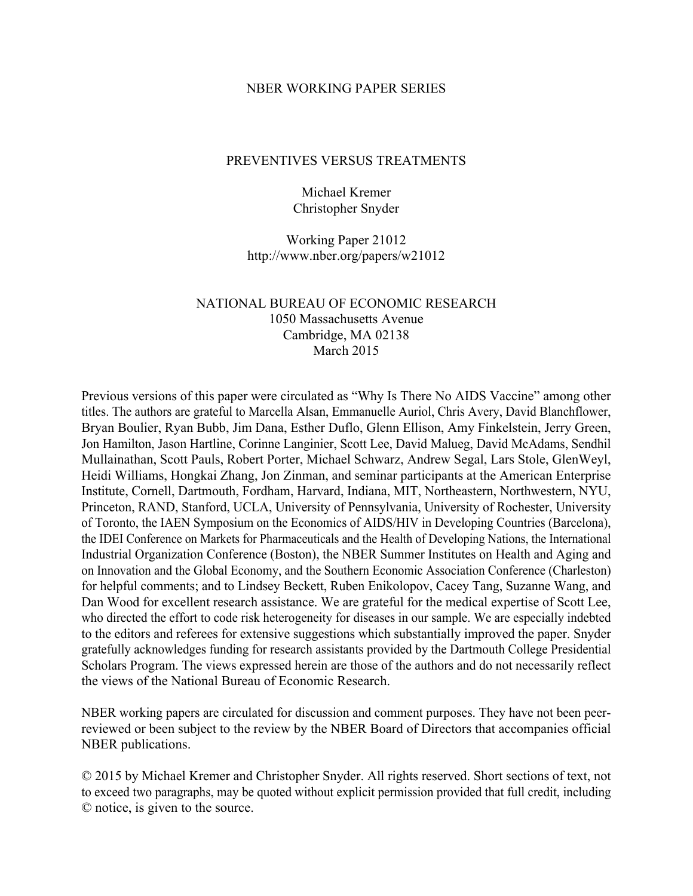## NBER WORKING PAPER SERIES

## PREVENTIVES VERSUS TREATMENTS

Michael Kremer Christopher Snyder

Working Paper 21012 http://www.nber.org/papers/w21012

## NATIONAL BUREAU OF ECONOMIC RESEARCH 1050 Massachusetts Avenue Cambridge, MA 02138 March 2015

Previous versions of this paper were circulated as "Why Is There No AIDS Vaccine" among other titles. The authors are grateful to Marcella Alsan, Emmanuelle Auriol, Chris Avery, David Blanchflower, Bryan Boulier, Ryan Bubb, Jim Dana, Esther Duflo, Glenn Ellison, Amy Finkelstein, Jerry Green, Jon Hamilton, Jason Hartline, Corinne Langinier, Scott Lee, David Malueg, David McAdams, Sendhil Mullainathan, Scott Pauls, Robert Porter, Michael Schwarz, Andrew Segal, Lars Stole, GlenWeyl, Heidi Williams, Hongkai Zhang, Jon Zinman, and seminar participants at the American Enterprise Institute, Cornell, Dartmouth, Fordham, Harvard, Indiana, MIT, Northeastern, Northwestern, NYU, Princeton, RAND, Stanford, UCLA, University of Pennsylvania, University of Rochester, University of Toronto, the IAEN Symposium on the Economics of AIDS/HIV in Developing Countries (Barcelona), the IDEI Conference on Markets for Pharmaceuticals and the Health of Developing Nations, the International Industrial Organization Conference (Boston), the NBER Summer Institutes on Health and Aging and on Innovation and the Global Economy, and the Southern Economic Association Conference (Charleston) for helpful comments; and to Lindsey Beckett, Ruben Enikolopov, Cacey Tang, Suzanne Wang, and Dan Wood for excellent research assistance. We are grateful for the medical expertise of Scott Lee, who directed the effort to code risk heterogeneity for diseases in our sample. We are especially indebted to the editors and referees for extensive suggestions which substantially improved the paper. Snyder gratefully acknowledges funding for research assistants provided by the Dartmouth College Presidential Scholars Program. The views expressed herein are those of the authors and do not necessarily reflect the views of the National Bureau of Economic Research.

NBER working papers are circulated for discussion and comment purposes. They have not been peerreviewed or been subject to the review by the NBER Board of Directors that accompanies official NBER publications.

© 2015 by Michael Kremer and Christopher Snyder. All rights reserved. Short sections of text, not to exceed two paragraphs, may be quoted without explicit permission provided that full credit, including © notice, is given to the source.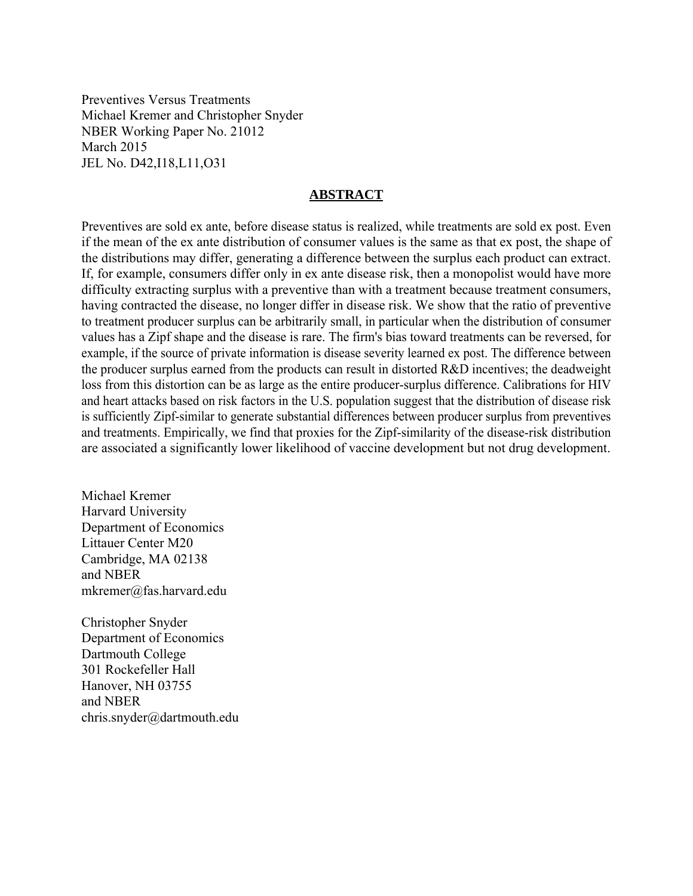Preventives Versus Treatments Michael Kremer and Christopher Snyder NBER Working Paper No. 21012 March 2015 JEL No. D42,I18,L11,O31

## **ABSTRACT**

Preventives are sold ex ante, before disease status is realized, while treatments are sold ex post. Even if the mean of the ex ante distribution of consumer values is the same as that ex post, the shape of the distributions may differ, generating a difference between the surplus each product can extract. If, for example, consumers differ only in ex ante disease risk, then a monopolist would have more difficulty extracting surplus with a preventive than with a treatment because treatment consumers, having contracted the disease, no longer differ in disease risk. We show that the ratio of preventive to treatment producer surplus can be arbitrarily small, in particular when the distribution of consumer values has a Zipf shape and the disease is rare. The firm's bias toward treatments can be reversed, for example, if the source of private information is disease severity learned ex post. The difference between the producer surplus earned from the products can result in distorted R&D incentives; the deadweight loss from this distortion can be as large as the entire producer-surplus difference. Calibrations for HIV and heart attacks based on risk factors in the U.S. population suggest that the distribution of disease risk is sufficiently Zipf-similar to generate substantial differences between producer surplus from preventives and treatments. Empirically, we find that proxies for the Zipf-similarity of the disease-risk distribution are associated a significantly lower likelihood of vaccine development but not drug development.

Michael Kremer Harvard University Department of Economics Littauer Center M20 Cambridge, MA 02138 and NBER mkremer@fas.harvard.edu

Christopher Snyder Department of Economics Dartmouth College 301 Rockefeller Hall Hanover, NH 03755 and NBER chris.snyder@dartmouth.edu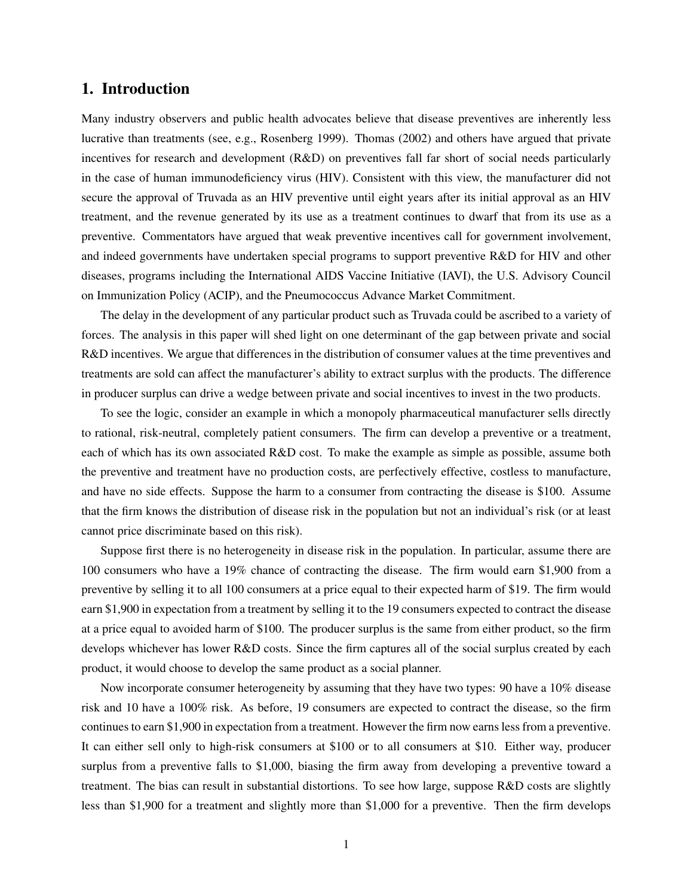# 1. Introduction

Many industry observers and public health advocates believe that disease preventives are inherently less lucrative than treatments (see, e.g., Rosenberg 1999). Thomas (2002) and others have argued that private incentives for research and development (R&D) on preventives fall far short of social needs particularly in the case of human immunodeficiency virus (HIV). Consistent with this view, the manufacturer did not secure the approval of Truvada as an HIV preventive until eight years after its initial approval as an HIV treatment, and the revenue generated by its use as a treatment continues to dwarf that from its use as a preventive. Commentators have argued that weak preventive incentives call for government involvement, and indeed governments have undertaken special programs to support preventive R&D for HIV and other diseases, programs including the International AIDS Vaccine Initiative (IAVI), the U.S. Advisory Council on Immunization Policy (ACIP), and the Pneumococcus Advance Market Commitment.

The delay in the development of any particular product such as Truvada could be ascribed to a variety of forces. The analysis in this paper will shed light on one determinant of the gap between private and social R&D incentives. We argue that differences in the distribution of consumer values at the time preventives and treatments are sold can affect the manufacturer's ability to extract surplus with the products. The difference in producer surplus can drive a wedge between private and social incentives to invest in the two products.

To see the logic, consider an example in which a monopoly pharmaceutical manufacturer sells directly to rational, risk-neutral, completely patient consumers. The firm can develop a preventive or a treatment, each of which has its own associated R&D cost. To make the example as simple as possible, assume both the preventive and treatment have no production costs, are perfectively effective, costless to manufacture, and have no side effects. Suppose the harm to a consumer from contracting the disease is \$100. Assume that the firm knows the distribution of disease risk in the population but not an individual's risk (or at least cannot price discriminate based on this risk).

Suppose first there is no heterogeneity in disease risk in the population. In particular, assume there are 100 consumers who have a 19% chance of contracting the disease. The firm would earn \$1,900 from a preventive by selling it to all 100 consumers at a price equal to their expected harm of \$19. The firm would earn \$1,900 in expectation from a treatment by selling it to the 19 consumers expected to contract the disease at a price equal to avoided harm of \$100. The producer surplus is the same from either product, so the firm develops whichever has lower R&D costs. Since the firm captures all of the social surplus created by each product, it would choose to develop the same product as a social planner.

Now incorporate consumer heterogeneity by assuming that they have two types: 90 have a 10% disease risk and 10 have a 100% risk. As before, 19 consumers are expected to contract the disease, so the firm continues to earn \$1,900 in expectation from a treatment. However the firm now earns less from a preventive. It can either sell only to high-risk consumers at \$100 or to all consumers at \$10. Either way, producer surplus from a preventive falls to \$1,000, biasing the firm away from developing a preventive toward a treatment. The bias can result in substantial distortions. To see how large, suppose R&D costs are slightly less than \$1,900 for a treatment and slightly more than \$1,000 for a preventive. Then the firm develops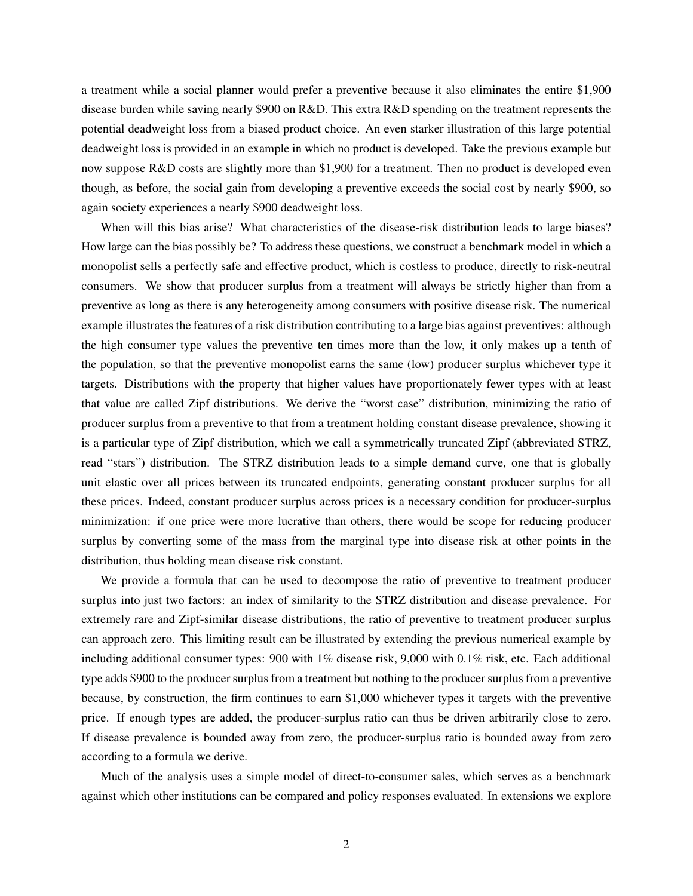a treatment while a social planner would prefer a preventive because it also eliminates the entire \$1,900 disease burden while saving nearly \$900 on R&D. This extra R&D spending on the treatment represents the potential deadweight loss from a biased product choice. An even starker illustration of this large potential deadweight loss is provided in an example in which no product is developed. Take the previous example but now suppose R&D costs are slightly more than \$1,900 for a treatment. Then no product is developed even though, as before, the social gain from developing a preventive exceeds the social cost by nearly \$900, so again society experiences a nearly \$900 deadweight loss.

When will this bias arise? What characteristics of the disease-risk distribution leads to large biases? How large can the bias possibly be? To address these questions, we construct a benchmark model in which a monopolist sells a perfectly safe and effective product, which is costless to produce, directly to risk-neutral consumers. We show that producer surplus from a treatment will always be strictly higher than from a preventive as long as there is any heterogeneity among consumers with positive disease risk. The numerical example illustrates the features of a risk distribution contributing to a large bias against preventives: although the high consumer type values the preventive ten times more than the low, it only makes up a tenth of the population, so that the preventive monopolist earns the same (low) producer surplus whichever type it targets. Distributions with the property that higher values have proportionately fewer types with at least that value are called Zipf distributions. We derive the "worst case" distribution, minimizing the ratio of producer surplus from a preventive to that from a treatment holding constant disease prevalence, showing it is a particular type of Zipf distribution, which we call a symmetrically truncated Zipf (abbreviated STRZ, read "stars") distribution. The STRZ distribution leads to a simple demand curve, one that is globally unit elastic over all prices between its truncated endpoints, generating constant producer surplus for all these prices. Indeed, constant producer surplus across prices is a necessary condition for producer-surplus minimization: if one price were more lucrative than others, there would be scope for reducing producer surplus by converting some of the mass from the marginal type into disease risk at other points in the distribution, thus holding mean disease risk constant.

We provide a formula that can be used to decompose the ratio of preventive to treatment producer surplus into just two factors: an index of similarity to the STRZ distribution and disease prevalence. For extremely rare and Zipf-similar disease distributions, the ratio of preventive to treatment producer surplus can approach zero. This limiting result can be illustrated by extending the previous numerical example by including additional consumer types: 900 with 1% disease risk, 9,000 with 0.1% risk, etc. Each additional type adds \$900 to the producer surplus from a treatment but nothing to the producer surplus from a preventive because, by construction, the firm continues to earn \$1,000 whichever types it targets with the preventive price. If enough types are added, the producer-surplus ratio can thus be driven arbitrarily close to zero. If disease prevalence is bounded away from zero, the producer-surplus ratio is bounded away from zero according to a formula we derive.

Much of the analysis uses a simple model of direct-to-consumer sales, which serves as a benchmark against which other institutions can be compared and policy responses evaluated. In extensions we explore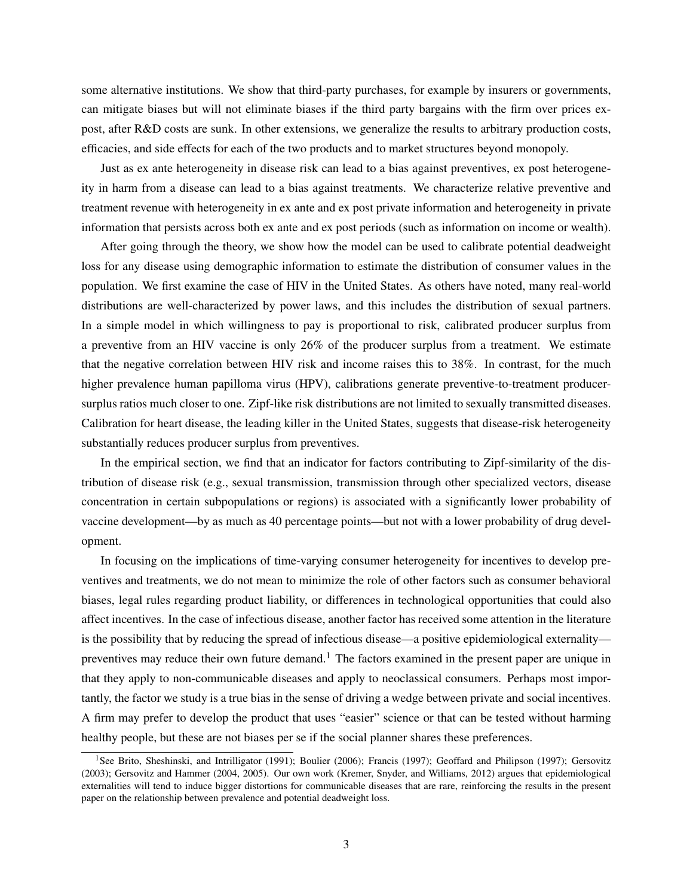some alternative institutions. We show that third-party purchases, for example by insurers or governments, can mitigate biases but will not eliminate biases if the third party bargains with the firm over prices expost, after R&D costs are sunk. In other extensions, we generalize the results to arbitrary production costs, efficacies, and side effects for each of the two products and to market structures beyond monopoly.

Just as ex ante heterogeneity in disease risk can lead to a bias against preventives, ex post heterogeneity in harm from a disease can lead to a bias against treatments. We characterize relative preventive and treatment revenue with heterogeneity in ex ante and ex post private information and heterogeneity in private information that persists across both ex ante and ex post periods (such as information on income or wealth).

After going through the theory, we show how the model can be used to calibrate potential deadweight loss for any disease using demographic information to estimate the distribution of consumer values in the population. We first examine the case of HIV in the United States. As others have noted, many real-world distributions are well-characterized by power laws, and this includes the distribution of sexual partners. In a simple model in which willingness to pay is proportional to risk, calibrated producer surplus from a preventive from an HIV vaccine is only 26% of the producer surplus from a treatment. We estimate that the negative correlation between HIV risk and income raises this to 38%. In contrast, for the much higher prevalence human papilloma virus (HPV), calibrations generate preventive-to-treatment producersurplus ratios much closer to one. Zipf-like risk distributions are not limited to sexually transmitted diseases. Calibration for heart disease, the leading killer in the United States, suggests that disease-risk heterogeneity substantially reduces producer surplus from preventives.

In the empirical section, we find that an indicator for factors contributing to Zipf-similarity of the distribution of disease risk (e.g., sexual transmission, transmission through other specialized vectors, disease concentration in certain subpopulations or regions) is associated with a significantly lower probability of vaccine development—by as much as 40 percentage points—but not with a lower probability of drug development.

In focusing on the implications of time-varying consumer heterogeneity for incentives to develop preventives and treatments, we do not mean to minimize the role of other factors such as consumer behavioral biases, legal rules regarding product liability, or differences in technological opportunities that could also affect incentives. In the case of infectious disease, another factor has received some attention in the literature is the possibility that by reducing the spread of infectious disease—a positive epidemiological externality preventives may reduce their own future demand.<sup>1</sup> The factors examined in the present paper are unique in that they apply to non-communicable diseases and apply to neoclassical consumers. Perhaps most importantly, the factor we study is a true bias in the sense of driving a wedge between private and social incentives. A firm may prefer to develop the product that uses "easier" science or that can be tested without harming healthy people, but these are not biases per se if the social planner shares these preferences.

<sup>&</sup>lt;sup>1</sup>See Brito, Sheshinski, and Intrilligator (1991); Boulier (2006); Francis (1997); Geoffard and Philipson (1997); Gersovitz (2003); Gersovitz and Hammer (2004, 2005). Our own work (Kremer, Snyder, and Williams, 2012) argues that epidemiological externalities will tend to induce bigger distortions for communicable diseases that are rare, reinforcing the results in the present paper on the relationship between prevalence and potential deadweight loss.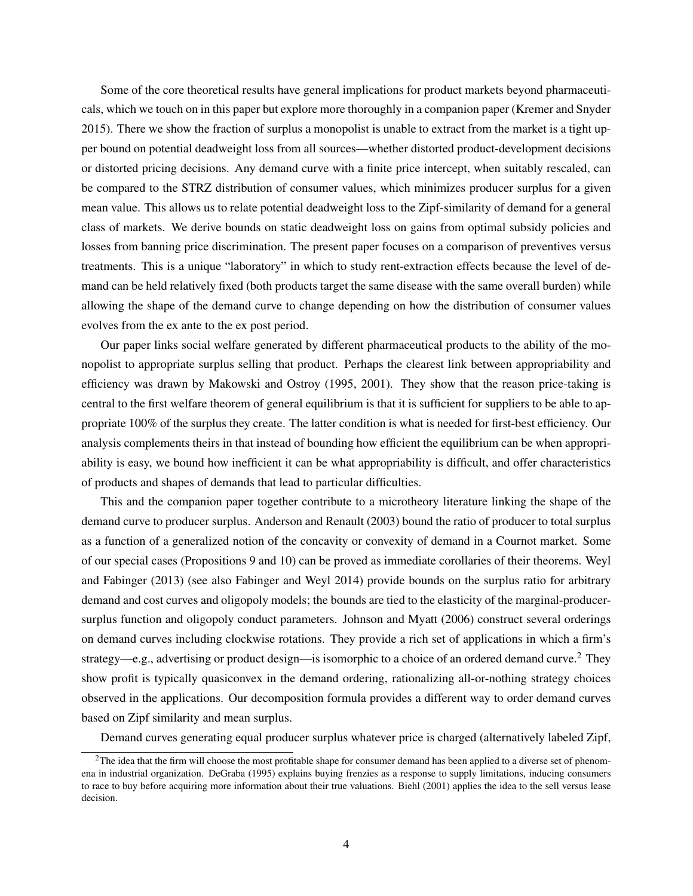Some of the core theoretical results have general implications for product markets beyond pharmaceuticals, which we touch on in this paper but explore more thoroughly in a companion paper (Kremer and Snyder 2015). There we show the fraction of surplus a monopolist is unable to extract from the market is a tight upper bound on potential deadweight loss from all sources—whether distorted product-development decisions or distorted pricing decisions. Any demand curve with a finite price intercept, when suitably rescaled, can be compared to the STRZ distribution of consumer values, which minimizes producer surplus for a given mean value. This allows us to relate potential deadweight loss to the Zipf-similarity of demand for a general class of markets. We derive bounds on static deadweight loss on gains from optimal subsidy policies and losses from banning price discrimination. The present paper focuses on a comparison of preventives versus treatments. This is a unique "laboratory" in which to study rent-extraction effects because the level of demand can be held relatively fixed (both products target the same disease with the same overall burden) while allowing the shape of the demand curve to change depending on how the distribution of consumer values evolves from the ex ante to the ex post period.

Our paper links social welfare generated by different pharmaceutical products to the ability of the monopolist to appropriate surplus selling that product. Perhaps the clearest link between appropriability and efficiency was drawn by Makowski and Ostroy (1995, 2001). They show that the reason price-taking is central to the first welfare theorem of general equilibrium is that it is sufficient for suppliers to be able to appropriate 100% of the surplus they create. The latter condition is what is needed for first-best efficiency. Our analysis complements theirs in that instead of bounding how efficient the equilibrium can be when appropriability is easy, we bound how inefficient it can be what appropriability is difficult, and offer characteristics of products and shapes of demands that lead to particular difficulties.

This and the companion paper together contribute to a microtheory literature linking the shape of the demand curve to producer surplus. Anderson and Renault (2003) bound the ratio of producer to total surplus as a function of a generalized notion of the concavity or convexity of demand in a Cournot market. Some of our special cases (Propositions 9 and 10) can be proved as immediate corollaries of their theorems. Weyl and Fabinger (2013) (see also Fabinger and Weyl 2014) provide bounds on the surplus ratio for arbitrary demand and cost curves and oligopoly models; the bounds are tied to the elasticity of the marginal-producersurplus function and oligopoly conduct parameters. Johnson and Myatt (2006) construct several orderings on demand curves including clockwise rotations. They provide a rich set of applications in which a firm's strategy—e.g., advertising or product design—is isomorphic to a choice of an ordered demand curve.<sup>2</sup> They show profit is typically quasiconvex in the demand ordering, rationalizing all-or-nothing strategy choices observed in the applications. Our decomposition formula provides a different way to order demand curves based on Zipf similarity and mean surplus.

Demand curves generating equal producer surplus whatever price is charged (alternatively labeled Zipf,

<sup>&</sup>lt;sup>2</sup>The idea that the firm will choose the most profitable shape for consumer demand has been applied to a diverse set of phenomena in industrial organization. DeGraba (1995) explains buying frenzies as a response to supply limitations, inducing consumers to race to buy before acquiring more information about their true valuations. Biehl (2001) applies the idea to the sell versus lease decision.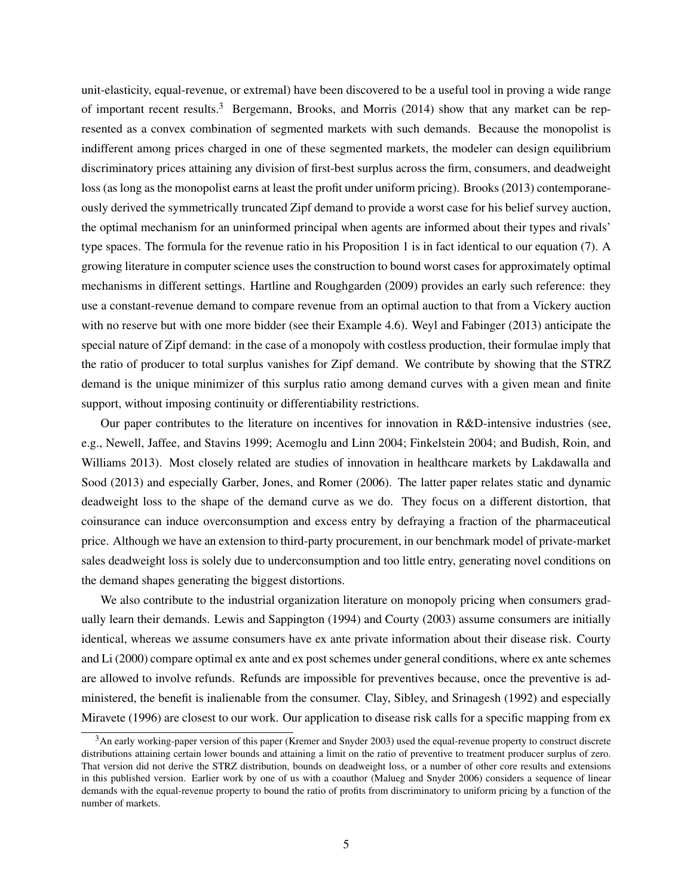unit-elasticity, equal-revenue, or extremal) have been discovered to be a useful tool in proving a wide range of important recent results.<sup>3</sup> Bergemann, Brooks, and Morris (2014) show that any market can be represented as a convex combination of segmented markets with such demands. Because the monopolist is indifferent among prices charged in one of these segmented markets, the modeler can design equilibrium discriminatory prices attaining any division of first-best surplus across the firm, consumers, and deadweight loss (as long as the monopolist earns at least the profit under uniform pricing). Brooks (2013) contemporaneously derived the symmetrically truncated Zipf demand to provide a worst case for his belief survey auction, the optimal mechanism for an uninformed principal when agents are informed about their types and rivals' type spaces. The formula for the revenue ratio in his Proposition 1 is in fact identical to our equation (7). A growing literature in computer science uses the construction to bound worst cases for approximately optimal mechanisms in different settings. Hartline and Roughgarden (2009) provides an early such reference: they use a constant-revenue demand to compare revenue from an optimal auction to that from a Vickery auction with no reserve but with one more bidder (see their Example 4.6). Weyl and Fabinger (2013) anticipate the special nature of Zipf demand: in the case of a monopoly with costless production, their formulae imply that the ratio of producer to total surplus vanishes for Zipf demand. We contribute by showing that the STRZ demand is the unique minimizer of this surplus ratio among demand curves with a given mean and finite support, without imposing continuity or differentiability restrictions.

Our paper contributes to the literature on incentives for innovation in R&D-intensive industries (see, e.g., Newell, Jaffee, and Stavins 1999; Acemoglu and Linn 2004; Finkelstein 2004; and Budish, Roin, and Williams 2013). Most closely related are studies of innovation in healthcare markets by Lakdawalla and Sood (2013) and especially Garber, Jones, and Romer (2006). The latter paper relates static and dynamic deadweight loss to the shape of the demand curve as we do. They focus on a different distortion, that coinsurance can induce overconsumption and excess entry by defraying a fraction of the pharmaceutical price. Although we have an extension to third-party procurement, in our benchmark model of private-market sales deadweight loss is solely due to underconsumption and too little entry, generating novel conditions on the demand shapes generating the biggest distortions.

We also contribute to the industrial organization literature on monopoly pricing when consumers gradually learn their demands. Lewis and Sappington (1994) and Courty (2003) assume consumers are initially identical, whereas we assume consumers have ex ante private information about their disease risk. Courty and Li (2000) compare optimal ex ante and ex post schemes under general conditions, where ex ante schemes are allowed to involve refunds. Refunds are impossible for preventives because, once the preventive is administered, the benefit is inalienable from the consumer. Clay, Sibley, and Srinagesh (1992) and especially Miravete (1996) are closest to our work. Our application to disease risk calls for a specific mapping from ex

<sup>&</sup>lt;sup>3</sup>An early working-paper version of this paper (Kremer and Snyder 2003) used the equal-revenue property to construct discrete distributions attaining certain lower bounds and attaining a limit on the ratio of preventive to treatment producer surplus of zero. That version did not derive the STRZ distribution, bounds on deadweight loss, or a number of other core results and extensions in this published version. Earlier work by one of us with a coauthor (Malueg and Snyder 2006) considers a sequence of linear demands with the equal-revenue property to bound the ratio of profits from discriminatory to uniform pricing by a function of the number of markets.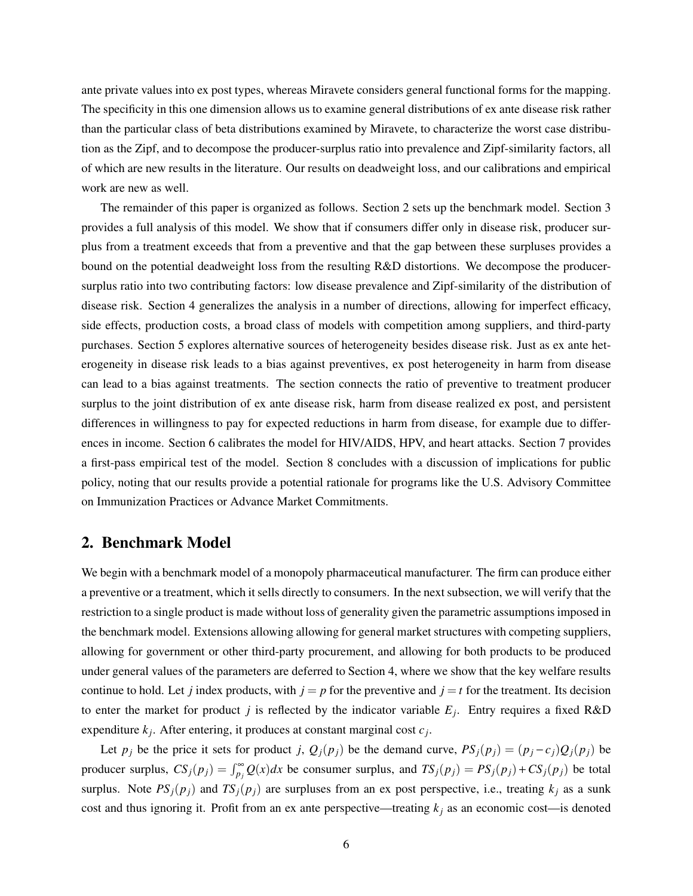ante private values into ex post types, whereas Miravete considers general functional forms for the mapping. The specificity in this one dimension allows us to examine general distributions of ex ante disease risk rather than the particular class of beta distributions examined by Miravete, to characterize the worst case distribution as the Zipf, and to decompose the producer-surplus ratio into prevalence and Zipf-similarity factors, all of which are new results in the literature. Our results on deadweight loss, and our calibrations and empirical work are new as well.

The remainder of this paper is organized as follows. Section 2 sets up the benchmark model. Section 3 provides a full analysis of this model. We show that if consumers differ only in disease risk, producer surplus from a treatment exceeds that from a preventive and that the gap between these surpluses provides a bound on the potential deadweight loss from the resulting R&D distortions. We decompose the producersurplus ratio into two contributing factors: low disease prevalence and Zipf-similarity of the distribution of disease risk. Section 4 generalizes the analysis in a number of directions, allowing for imperfect efficacy, side effects, production costs, a broad class of models with competition among suppliers, and third-party purchases. Section 5 explores alternative sources of heterogeneity besides disease risk. Just as ex ante heterogeneity in disease risk leads to a bias against preventives, ex post heterogeneity in harm from disease can lead to a bias against treatments. The section connects the ratio of preventive to treatment producer surplus to the joint distribution of ex ante disease risk, harm from disease realized ex post, and persistent differences in willingness to pay for expected reductions in harm from disease, for example due to differences in income. Section 6 calibrates the model for HIV/AIDS, HPV, and heart attacks. Section 7 provides a first-pass empirical test of the model. Section 8 concludes with a discussion of implications for public policy, noting that our results provide a potential rationale for programs like the U.S. Advisory Committee on Immunization Practices or Advance Market Commitments.

## 2. Benchmark Model

We begin with a benchmark model of a monopoly pharmaceutical manufacturer. The firm can produce either a preventive or a treatment, which it sells directly to consumers. In the next subsection, we will verify that the restriction to a single product is made without loss of generality given the parametric assumptions imposed in the benchmark model. Extensions allowing allowing for general market structures with competing suppliers, allowing for government or other third-party procurement, and allowing for both products to be produced under general values of the parameters are deferred to Section 4, where we show that the key welfare results continue to hold. Let *j* index products, with  $j = p$  for the preventive and  $j = t$  for the treatment. Its decision to enter the market for product *j* is reflected by the indicator variable  $E_j$ . Entry requires a fixed R&D expenditure *k<sup>j</sup>* . After entering, it produces at constant marginal cost *c<sup>j</sup>* .

Let  $p_j$  be the price it sets for product j,  $Q_j(p_j)$  be the demand curve,  $PS_j(p_j) = (p_j - c_j)Q_j(p_j)$  be producer surplus,  $CS_j(p_j) = \int_{p_j}^{\infty} Q(x)dx$  be consumer surplus, and  $TS_j(p_j) = PS_j(p_j) + CS_j(p_j)$  be total surplus. Note  $PS_j(p_j)$  and  $TS_j(p_j)$  are surpluses from an ex post perspective, i.e., treating  $k_j$  as a sunk cost and thus ignoring it. Profit from an ex ante perspective—treating  $k_j$  as an economic cost—is denoted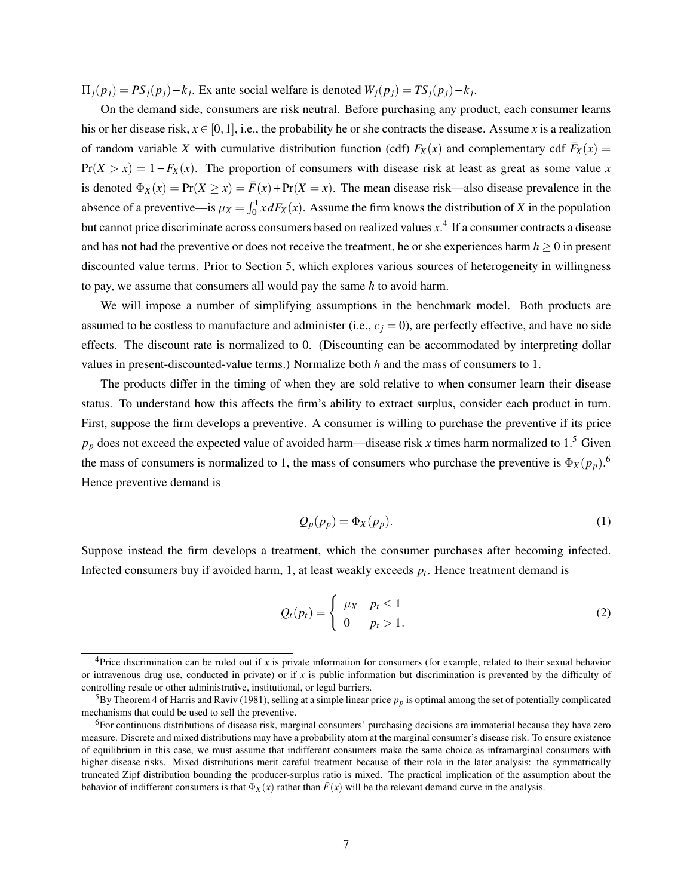$\Pi_j(p_j) = PS_j(p_j) - k_j$ . Ex ante social welfare is denoted  $W_j(p_j) = TS_j(p_j) - k_j$ .

On the demand side, consumers are risk neutral. Before purchasing any product, each consumer learns his or her disease risk,  $x \in [0,1]$ , i.e., the probability he or she contracts the disease. Assume x is a realization of random variable *X* with cumulative distribution function (cdf)  $F_X(x)$  and complementary cdf  $\bar{F}_X(x)$  =  $Pr(X > x) = 1 - F_X(x)$ . The proportion of consumers with disease risk at least as great as some value *x* is denoted  $\Phi_X(x) = \Pr(X \ge x) = \overline{F}(x) + \Pr(X = x)$ . The mean disease risk—also disease prevalence in the absence of a preventive—is  $\mu_X = \int_0^1 x dF_X(x)$ . Assume the firm knows the distribution of *X* in the population but cannot price discriminate across consumers based on realized values *x*. 4 If a consumer contracts a disease and has not had the preventive or does not receive the treatment, he or she experiences harm  $h \geq 0$  in present discounted value terms. Prior to Section 5, which explores various sources of heterogeneity in willingness to pay, we assume that consumers all would pay the same *h* to avoid harm.

We will impose a number of simplifying assumptions in the benchmark model. Both products are assumed to be costless to manufacture and administer (i.e.,  $c_j = 0$ ), are perfectly effective, and have no side effects. The discount rate is normalized to 0. (Discounting can be accommodated by interpreting dollar values in present-discounted-value terms.) Normalize both *h* and the mass of consumers to 1.

The products differ in the timing of when they are sold relative to when consumer learn their disease status. To understand how this affects the firm's ability to extract surplus, consider each product in turn. First, suppose the firm develops a preventive. A consumer is willing to purchase the preventive if its price  $p_p$  does not exceed the expected value of avoided harm—disease risk *x* times harm normalized to 1.<sup>5</sup> Given the mass of consumers is normalized to 1, the mass of consumers who purchase the preventive is  $\Phi_X(p_p)$ .<sup>6</sup> Hence preventive demand is

$$
Q_p(p_p) = \Phi_X(p_p). \tag{1}
$$

Suppose instead the firm develops a treatment, which the consumer purchases after becoming infected. Infected consumers buy if avoided harm, 1, at least weakly exceeds *p<sup>t</sup>* . Hence treatment demand is

$$
Q_t(p_t) = \begin{cases} \mu_X & p_t \le 1 \\ 0 & p_t > 1. \end{cases}
$$
 (2)

<sup>4</sup>Price discrimination can be ruled out if *x* is private information for consumers (for example, related to their sexual behavior or intravenous drug use, conducted in private) or if *x* is public information but discrimination is prevented by the difficulty of controlling resale or other administrative, institutional, or legal barriers.

 ${}^5By$  Theorem 4 of Harris and Raviv (1981), selling at a simple linear price  $p_p$  is optimal among the set of potentially complicated mechanisms that could be used to sell the preventive.

<sup>6</sup>For continuous distributions of disease risk, marginal consumers' purchasing decisions are immaterial because they have zero measure. Discrete and mixed distributions may have a probability atom at the marginal consumer's disease risk. To ensure existence of equilibrium in this case, we must assume that indifferent consumers make the same choice as inframarginal consumers with higher disease risks. Mixed distributions merit careful treatment because of their role in the later analysis: the symmetrically truncated Zipf distribution bounding the producer-surplus ratio is mixed. The practical implication of the assumption about the behavior of indifferent consumers is that  $\Phi_X(x)$  rather than  $\bar{F}(x)$  will be the relevant demand curve in the analysis.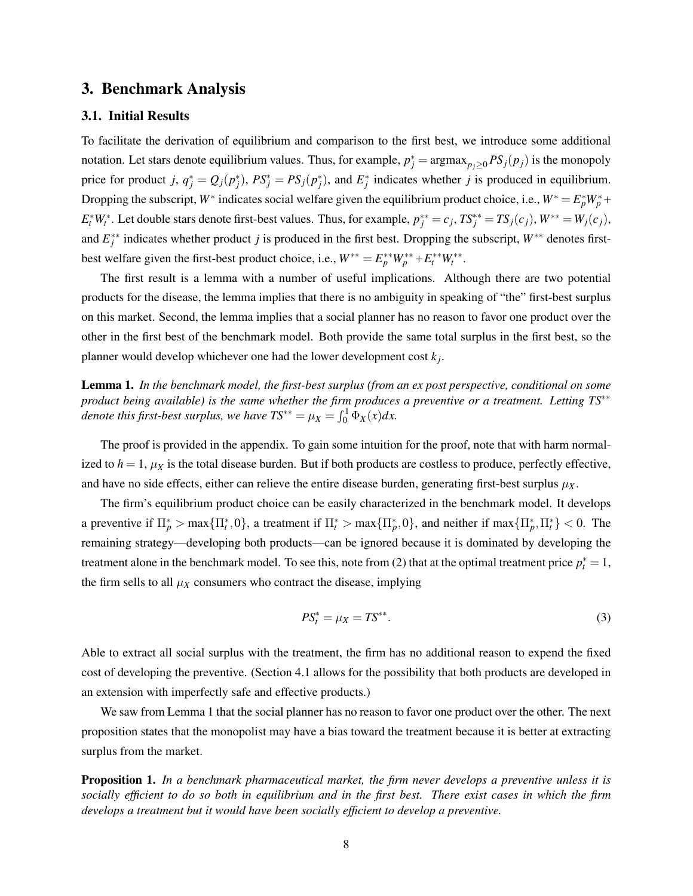## 3. Benchmark Analysis

## 3.1. Initial Results

To facilitate the derivation of equilibrium and comparison to the first best, we introduce some additional notation. Let stars denote equilibrium values. Thus, for example,  $p_j^* = \argmax_{p_j \geq 0} PS_j(p_j)$  is the monopoly price for product j,  $q_j^* = Q_j(p_j^*)$ ,  $PS_j^* = PS_j(p_j^*)$ , and  $E_j^*$  indicates whether j is produced in equilibrium. Dropping the subscript,  $W^*$  indicates social welfare given the equilibrium product choice, i.e.,  $W^* = E_p^* W_p^* + E_p^* W_p^*$  $E_t^*W_t^*$ . Let double stars denote first-best values. Thus, for example,  $p_j^{**} = c_j$ ,  $TS_j^{**} = TS_j(c_j)$ ,  $W^{**} = W_j(c_j)$ , and  $E_j^*$  indicates whether product *j* is produced in the first best. Dropping the subscript,  $W^{**}$  denotes firstbest welfare given the first-best product choice, i.e.,  $W^{**} = E_p^{**}W_p^{**} + E_t^{**}W_t^{**}$ .

The first result is a lemma with a number of useful implications. Although there are two potential products for the disease, the lemma implies that there is no ambiguity in speaking of "the" first-best surplus on this market. Second, the lemma implies that a social planner has no reason to favor one product over the other in the first best of the benchmark model. Both provide the same total surplus in the first best, so the planner would develop whichever one had the lower development cost *k<sup>j</sup>* .

Lemma 1. *In the benchmark model, the first-best surplus (from an ex post perspective, conditional on some product being available) is the same whether the firm produces a preventive or a treatment. Letting TS∗∗ denote this first-best surplus, we have*  $TS^{**} = \mu_X = \int_0^1 \Phi_X(x) dx$ .

The proof is provided in the appendix. To gain some intuition for the proof, note that with harm normalized to  $h = 1$ ,  $\mu_X$  is the total disease burden. But if both products are costless to produce, perfectly effective, and have no side effects, either can relieve the entire disease burden, generating first-best surplus  $\mu_X$ .

The firm's equilibrium product choice can be easily characterized in the benchmark model. It develops a preventive if  $\Pi_p^* > \max{\{\Pi_t^*,0\}}$ , a treatment if  $\Pi_t^* > \max{\{\Pi_p^*,0\}}$ , and neither if  $\max{\{\Pi_p^*,\Pi_t^*\}} < 0$ . The remaining strategy—developing both products—can be ignored because it is dominated by developing the treatment alone in the benchmark model. To see this, note from (2) that at the optimal treatment price  $p_t^* = 1$ , the firm sells to all  $\mu_X$  consumers who contract the disease, implying

$$
PS_t^* = \mu_X = TS^{**}.
$$
 (3)

Able to extract all social surplus with the treatment, the firm has no additional reason to expend the fixed cost of developing the preventive. (Section 4.1 allows for the possibility that both products are developed in an extension with imperfectly safe and effective products.)

We saw from Lemma 1 that the social planner has no reason to favor one product over the other. The next proposition states that the monopolist may have a bias toward the treatment because it is better at extracting surplus from the market.

Proposition 1. *In a benchmark pharmaceutical market, the firm never develops a preventive unless it is socially efficient to do so both in equilibrium and in the first best. There exist cases in which the firm develops a treatment but it would have been socially efficient to develop a preventive.*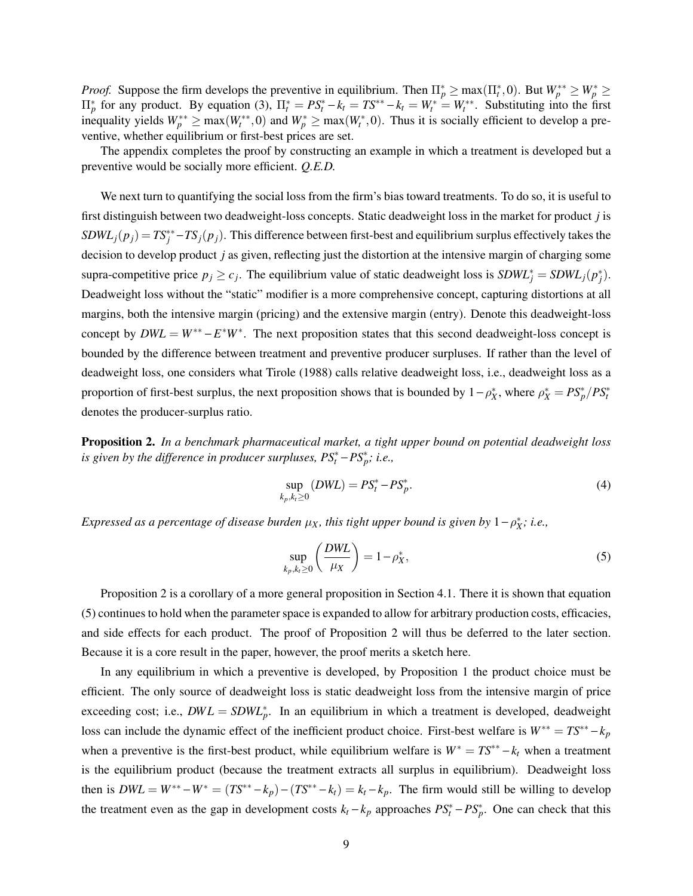*Proof.* Suppose the firm develops the preventive in equilibrium. Then  $\Pi_p^* \ge \max(\Pi_f^*, 0)$ . But  $W_p^{**} \ge W_p^* \ge$  $\Pi_p^*$  for any product. By equation (3),  $\Pi_t^* = PS_t^* - k_t = TS^{**} - k_t = W_t^* = W_t^{**}$ . Substituting into the first inequality yields  $W_p^{**} \ge \max(W_t^{**}, 0)$  and  $W_p^* \ge \max(W_t^*, 0)$ . Thus it is socially efficient to develop a preventive, whether equilibrium or first-best prices are set.

The appendix completes the proof by constructing an example in which a treatment is developed but a preventive would be socially more efficient. *Q.E.D.*

We next turn to quantifying the social loss from the firm's bias toward treatments. To do so, it is useful to first distinguish between two deadweight-loss concepts. Static deadweight loss in the market for product *j* is  $SDWL_j(p_j) = TS_j^{**} - TS_j(p_j)$ . This difference between first-best and equilibrium surplus effectively takes the decision to develop product *j* as given, reflecting just the distortion at the intensive margin of charging some supra-competitive price  $p_j \ge c_j$ . The equilibrium value of static deadweight loss is  $SDWL_j^* = SDWL_j(p_j^*)$ . Deadweight loss without the "static" modifier is a more comprehensive concept, capturing distortions at all margins, both the intensive margin (pricing) and the extensive margin (entry). Denote this deadweight-loss concept by  $DWL = W^{**} - E^*W^*$ . The next proposition states that this second deadweight-loss concept is bounded by the difference between treatment and preventive producer surpluses. If rather than the level of deadweight loss, one considers what Tirole (1988) calls relative deadweight loss, i.e., deadweight loss as a proportion of first-best surplus, the next proposition shows that is bounded by  $1 - \rho_X^*$ , where  $\rho_X^* = PS_p^* / PS_t^*$ denotes the producer-surplus ratio.

Proposition 2. *In a benchmark pharmaceutical market, a tight upper bound on potential deadweight loss is given by the difference in producer surpluses,*  $PS_t^* - PS_p^*$ *; i.e.,* 

$$
\sup_{k_p, k_t \ge 0} (DWL) = PS_t^* - PS_p^*.
$$
\n(4)

*Expressed as a percentage of disease burden*  $\mu_X$ , this tight upper bound is given by  $1 - \rho_X^*$ ; i.e.,

$$
\sup_{k_p, k_i \ge 0} \left( \frac{DWL}{\mu_X} \right) = 1 - \rho_X^*,\tag{5}
$$

Proposition 2 is a corollary of a more general proposition in Section 4.1. There it is shown that equation (5) continues to hold when the parameter space is expanded to allow for arbitrary production costs, efficacies, and side effects for each product. The proof of Proposition 2 will thus be deferred to the later section. Because it is a core result in the paper, however, the proof merits a sketch here.

In any equilibrium in which a preventive is developed, by Proposition 1 the product choice must be efficient. The only source of deadweight loss is static deadweight loss from the intensive margin of price exceeding cost; i.e.,  $DWL = SDWL^*$ . In an equilibrium in which a treatment is developed, deadweight loss can include the dynamic effect of the inefficient product choice. First-best welfare is  $W^{**} = TS^{**} - k_p$ when a preventive is the first-best product, while equilibrium welfare is  $W^* = TS^{**} - k_t$  when a treatment is the equilibrium product (because the treatment extracts all surplus in equilibrium). Deadweight loss then is  $DWL = W^{**} - W^* = (TS^{**} - k_p) - (TS^{**} - k_t) = k_t - k_p$ . The firm would still be willing to develop the treatment even as the gap in development costs  $k_t - k_p$  approaches  $PS_t^* - PS_p^*$ . One can check that this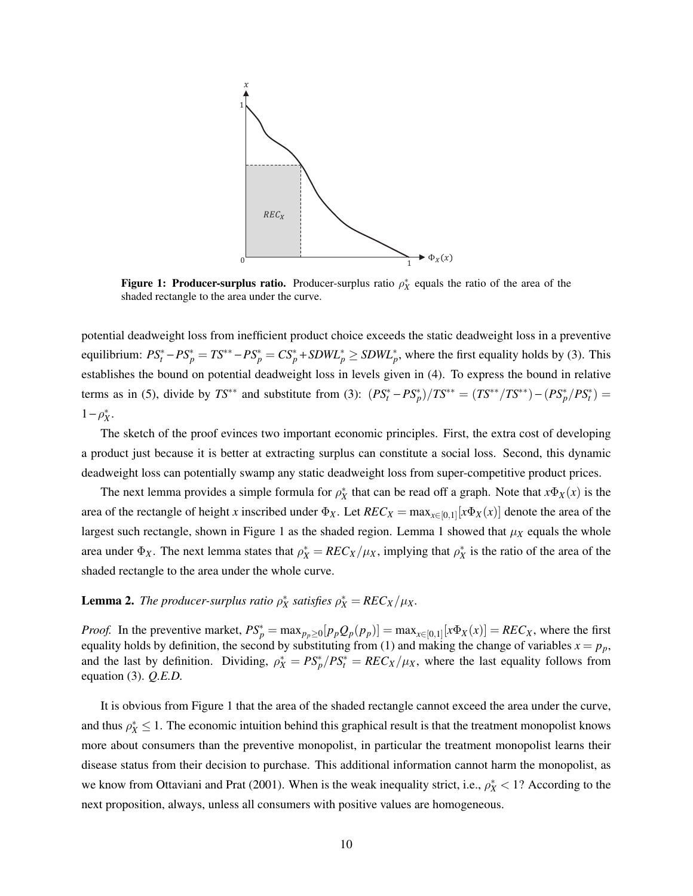

**Figure 1: Producer-surplus ratio.** Producer-surplus ratio  $\rho_X^*$  equals the ratio of the area of the shaded rectangle to the area under the curve.

potential deadweight loss from inefficient product choice exceeds the static deadweight loss in a preventive equilibrium:  $PS_t^*-PS_p^* = TS^{**} - PS_p^* = CS_p^* + SDWL_p^* \ge SDWL_p^*$ , where the first equality holds by (3). This establishes the bound on potential deadweight loss in levels given in (4). To express the bound in relative terms as in (5), divide by  $TS^{**}$  and substitute from (3):  $(PS_t^* - PS_p^*)/TS^{**} = (TS^{**}/TS^{**}) - (PS_p^*/PS_t^*) = (TS^{**}/TS^{**}) - (PS_p^*/PS_t^*)$  $1 - \rho_X^*$ .

The sketch of the proof evinces two important economic principles. First, the extra cost of developing a product just because it is better at extracting surplus can constitute a social loss. Second, this dynamic deadweight loss can potentially swamp any static deadweight loss from super-competitive product prices.

The next lemma provides a simple formula for  $\rho_X^*$  that can be read off a graph. Note that  $x\Phi_X(x)$  is the area of the rectangle of height *x* inscribed under  $\Phi_X$ . Let  $REC_X = \max_{x \in [0,1]} [x \Phi_X(x)]$  denote the area of the largest such rectangle, shown in Figure 1 as the shaded region. Lemma 1 showed that  $\mu_X$  equals the whole area under  $\Phi_X$ . The next lemma states that  $\rho_X^* = REC_X/\mu_X$ , implying that  $\rho_X^*$  is the ratio of the area of the shaded rectangle to the area under the whole curve.

# **Lemma 2.** *The producer-surplus ratio*  $\rho_X^*$  *satisfies*  $\rho_X^* = REC_X/\mu_X$ .

*Proof.* In the preventive market,  $PS_p^* = \max_{p_p \ge 0} [p_p Q_p(p_p)] = \max_{x \in [0,1]} [x \Phi_x(x)] = REC_x$ , where the first equality holds by definition, the second by substituting from (1) and making the change of variables  $x = p_p$ , and the last by definition. Dividing,  $\rho_X^* = PS_p^* / PS_t^* = REC_X / \mu_X$ , where the last equality follows from equation (3). *Q.E.D.*

It is obvious from Figure 1 that the area of the shaded rectangle cannot exceed the area under the curve, and thus  $\rho_X^* \leq 1$ . The economic intuition behind this graphical result is that the treatment monopolist knows more about consumers than the preventive monopolist, in particular the treatment monopolist learns their disease status from their decision to purchase. This additional information cannot harm the monopolist, as we know from Ottaviani and Prat (2001). When is the weak inequality strict, i.e.,  $\rho_X^* < 1$ ? According to the next proposition, always, unless all consumers with positive values are homogeneous.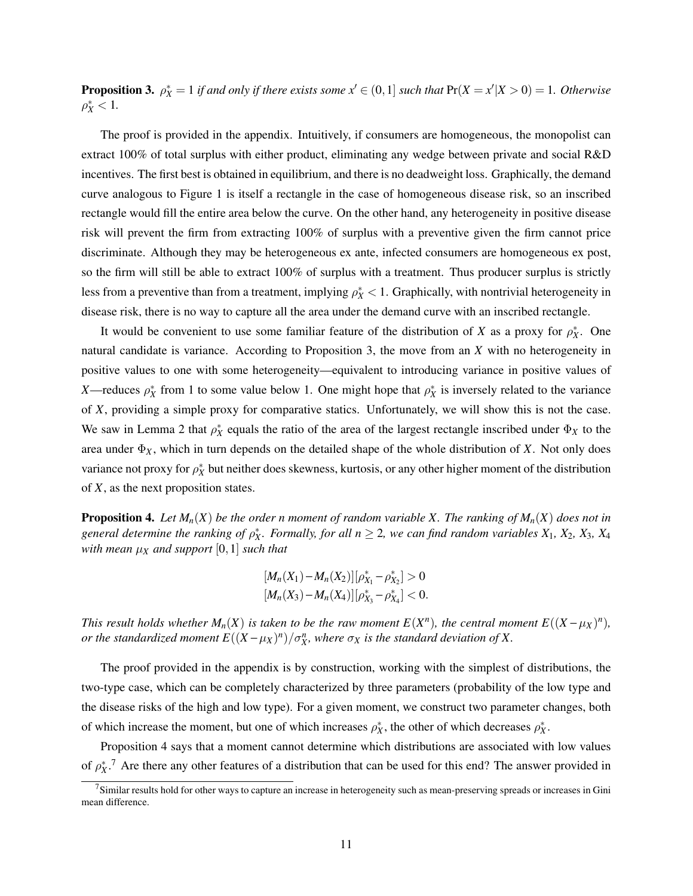**Proposition 3.**  $\rho_X^* = 1$  if and only if there exists some  $x' \in (0,1]$  such that  $Pr(X = x'|X > 0) = 1$ . Otherwise  $\rho_X^*$  < 1*.* 

The proof is provided in the appendix. Intuitively, if consumers are homogeneous, the monopolist can extract 100% of total surplus with either product, eliminating any wedge between private and social R&D incentives. The first best is obtained in equilibrium, and there is no deadweight loss. Graphically, the demand curve analogous to Figure 1 is itself a rectangle in the case of homogeneous disease risk, so an inscribed rectangle would fill the entire area below the curve. On the other hand, any heterogeneity in positive disease risk will prevent the firm from extracting 100% of surplus with a preventive given the firm cannot price discriminate. Although they may be heterogeneous ex ante, infected consumers are homogeneous ex post, so the firm will still be able to extract 100% of surplus with a treatment. Thus producer surplus is strictly less from a preventive than from a treatment, implying  $\rho_X^* < 1$ . Graphically, with nontrivial heterogeneity in disease risk, there is no way to capture all the area under the demand curve with an inscribed rectangle.

It would be convenient to use some familiar feature of the distribution of *X* as a proxy for  $\rho_X^*$ . One natural candidate is variance. According to Proposition 3, the move from an *X* with no heterogeneity in positive values to one with some heterogeneity—equivalent to introducing variance in positive values of *X*—reduces  $\rho_X^*$  from 1 to some value below 1. One might hope that  $\rho_X^*$  is inversely related to the variance of *X*, providing a simple proxy for comparative statics. Unfortunately, we will show this is not the case. We saw in Lemma 2 that  $\rho_X^*$  equals the ratio of the area of the largest rectangle inscribed under  $\Phi_X$  to the area under  $\Phi_X$ , which in turn depends on the detailed shape of the whole distribution of *X*. Not only does variance not proxy for  $\rho_X^*$  but neither does skewness, kurtosis, or any other higher moment of the distribution of *X*, as the next proposition states.

**Proposition 4.** Let  $M_n(X)$  be the order n moment of random variable X. The ranking of  $M_n(X)$  does not in *general determine the ranking of*  $\rho_X^*$ *. Formally, for all n*  $\geq$  2*, we can find random variables*  $X_1$ *,*  $X_2$ *,*  $X_3$ *,*  $X_4$ *with mean*  $\mu_X$  *and support* [0, 1] *such that* 

$$
[M_n(X_1) - M_n(X_2)] [\rho_{X_1}^* - \rho_{X_2}^*] > 0
$$
  

$$
[M_n(X_3) - M_n(X_4)] [\rho_{X_3}^* - \rho_{X_4}^*] < 0.
$$

*This result holds whether*  $M_n(X)$  *is taken to be the raw moment*  $E(X^n)$ *, the central moment*  $E((X - \mu_X)^n)$ *, or the standardized moment*  $E((X - \mu_X)^n)/\sigma_X^n$ , where  $\sigma_X$  is the standard deviation of X.

The proof provided in the appendix is by construction, working with the simplest of distributions, the two-type case, which can be completely characterized by three parameters (probability of the low type and the disease risks of the high and low type). For a given moment, we construct two parameter changes, both of which increase the moment, but one of which increases  $\rho_X^*$ , the other of which decreases  $\rho_X^*$ .

Proposition 4 says that a moment cannot determine which distributions are associated with low values of  $\rho_X^*$ .<sup>7</sup> Are there any other features of a distribution that can be used for this end? The answer provided in

 $<sup>7</sup>$ Similar results hold for other ways to capture an increase in heterogeneity such as mean-preserving spreads or increases in Gini</sup> mean difference.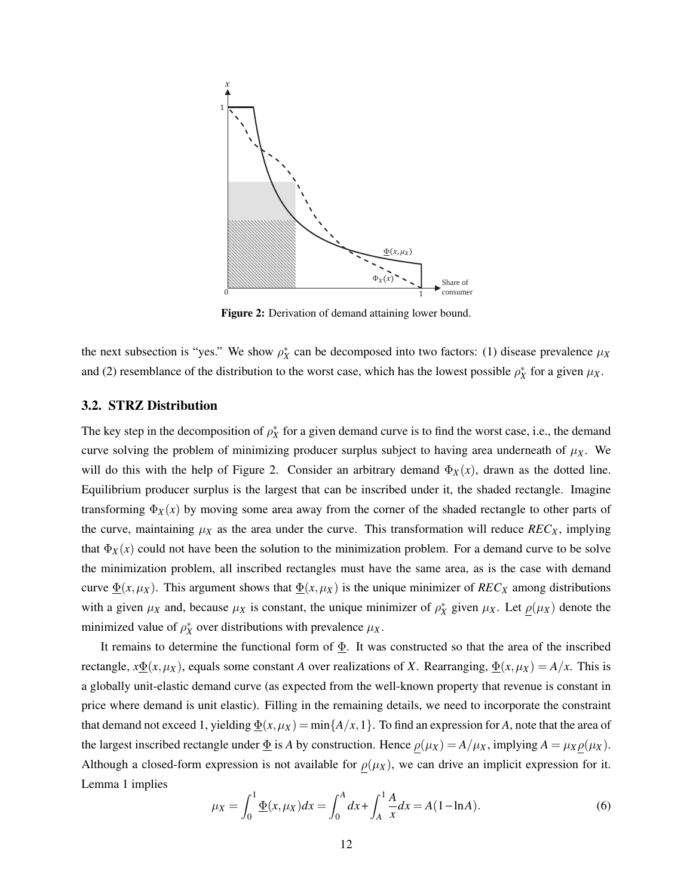

Figure 2: Derivation of demand attaining lower bound.

the next subsection is "yes." We show  $\rho_X^*$  can be decomposed into two factors: (1) disease prevalence  $\mu_X$ and (2) resemblance of the distribution to the worst case, which has the lowest possible  $\rho_X^*$  for a given  $\mu_X$ .

## 3.2. STRZ Distribution

The key step in the decomposition of  $\rho_X^*$  for a given demand curve is to find the worst case, i.e., the demand curve solving the problem of minimizing producer surplus subject to having area underneath of  $\mu_X$ . We will do this with the help of Figure 2. Consider an arbitrary demand  $\Phi_X(x)$ , drawn as the dotted line. Equilibrium producer surplus is the largest that can be inscribed under it, the shaded rectangle. Imagine transforming  $\Phi_X(x)$  by moving some area away from the corner of the shaded rectangle to other parts of the curve, maintaining  $\mu_X$  as the area under the curve. This transformation will reduce *REC<sub>X</sub>*, implying that  $\Phi_X(x)$  could not have been the solution to the minimization problem. For a demand curve to be solve the minimization problem, all inscribed rectangles must have the same area, as is the case with demand curve  $\underline{\Phi}(x,\mu_X)$ . This argument shows that  $\underline{\Phi}(x,\mu_X)$  is the unique minimizer of *REC<sub>X</sub>* among distributions with a given  $\mu_X$  and, because  $\mu_X$  is constant, the unique minimizer of  $\rho_X^*$  given  $\mu_X$ . Let  $\rho(\mu_X)$  denote the minimized value of  $\rho_X^*$  over distributions with prevalence  $\mu_X$ .

It remains to determine the functional form of  $\underline{\Phi}$ . It was constructed so that the area of the inscribed rectangle,  $x \underline{\Phi}(x, \mu_X)$ , equals some constant *A* over realizations of *X*. Rearranging,  $\underline{\Phi}(x, \mu_X) = A/x$ . This is a globally unit-elastic demand curve (as expected from the well-known property that revenue is constant in price where demand is unit elastic). Filling in the remaining details, we need to incorporate the constraint that demand not exceed 1, yielding  $\underline{\Phi}(x,\mu_X) = \min\{A/x, 1\}$ . To find an expression for *A*, note that the area of the largest inscribed rectangle under  $\underline{\Phi}$  is *A* by construction. Hence  $\rho(\mu_X) = A/\mu_X$ , implying  $A = \mu_X \rho(\mu_X)$ . Although a closed-form expression is not available for  $\rho(\mu_X)$ , we can drive an implicit expression for it. Lemma 1 implies

$$
\mu_X = \int_0^1 \underline{\Phi}(x, \mu_X) dx = \int_0^A dx + \int_A^1 \frac{A}{x} dx = A(1 - \ln A). \tag{6}
$$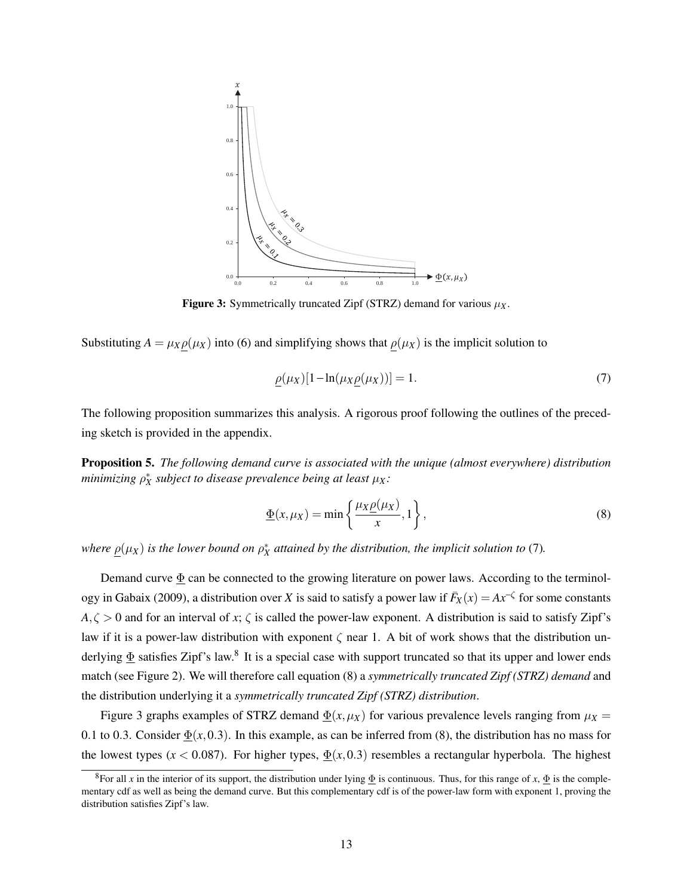

**Figure 3:** Symmetrically truncated Zipf (STRZ) demand for various  $\mu_X$ .

Substituting  $A = \mu_X \rho(\mu_X)$  into (6) and simplifying shows that  $\rho(\mu_X)$  is the implicit solution to

$$
\rho(\mu_X)[1 - \ln(\mu_X \rho(\mu_X))] = 1.
$$
\n(7)

The following proposition summarizes this analysis. A rigorous proof following the outlines of the preceding sketch is provided in the appendix.

Proposition 5. *The following demand curve is associated with the unique (almost everywhere) distribution minimizing*  $\rho_X^*$  *subject to disease prevalence being at least*  $\mu_X$ *:* 

$$
\underline{\Phi}(x,\mu_X) = \min\left\{\frac{\mu_X \underline{\rho}(\mu_X)}{x}, 1\right\},\tag{8}
$$

*where*  $\rho(\mu_X)$  *is the lower bound on*  $\rho_X^*$  *attained by the distribution, the implicit solution to* (7).

Demand curve  $\Phi$  can be connected to the growing literature on power laws. According to the terminology in Gabaix (2009), a distribution over *X* is said to satisfy a power law if  $\bar{F}_X(x) = Ax^{-\zeta}$  for some constants  $A, \zeta > 0$  and for an interval of *x*;  $\zeta$  is called the power-law exponent. A distribution is said to satisfy Zipf's law if it is a power-law distribution with exponent *ζ* near 1. A bit of work shows that the distribution underlying  $\underline{\Phi}$  satisfies Zipf's law.<sup>8</sup> It is a special case with support truncated so that its upper and lower ends match (see Figure 2). We will therefore call equation (8) a *symmetrically truncated Zipf (STRZ) demand* and the distribution underlying it a *symmetrically truncated Zipf (STRZ) distribution*.

Figure 3 graphs examples of STRZ demand  $\Phi(x, \mu_X)$  for various prevalence levels ranging from  $\mu_X$ 0.1 to 0.3. Consider  $\Phi(x, 0.3)$ . In this example, as can be inferred from (8), the distribution has no mass for the lowest types ( $x < 0.087$ ). For higher types,  $\Phi(x, 0.3)$  resembles a rectangular hyperbola. The highest

<sup>&</sup>lt;sup>8</sup>For all *x* in the interior of its support, the distribution under lying  $\Phi$  is continuous. Thus, for this range of *x*,  $\Phi$  is the complementary cdf as well as being the demand curve. But this complementary cdf is of the power-law form with exponent 1, proving the distribution satisfies Zipf's law.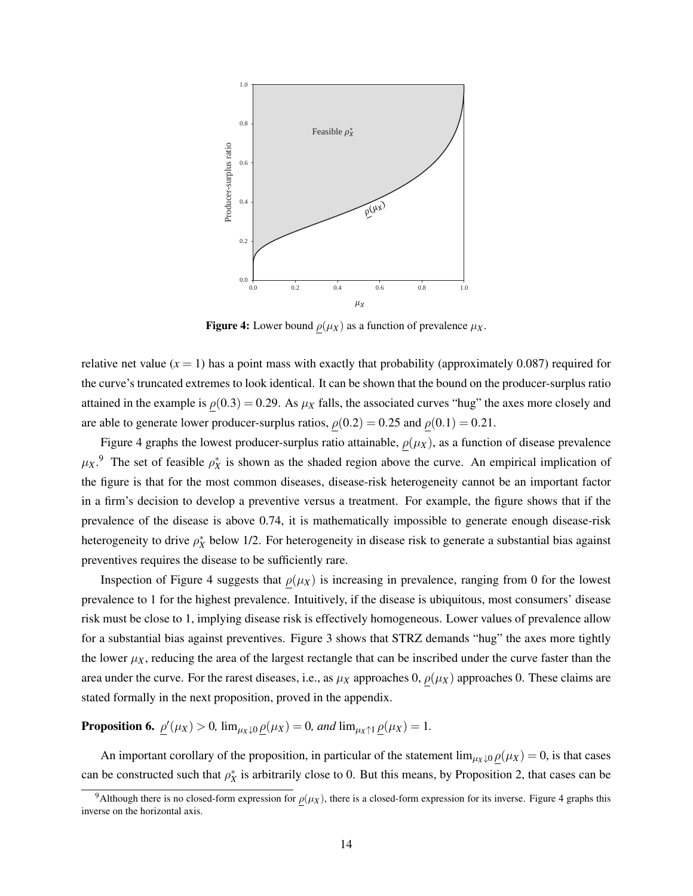

**Figure 4:** Lower bound  $\rho(\mu_X)$  as a function of prevalence  $\mu_X$ .

relative net value  $(x = 1)$  has a point mass with exactly that probability (approximately 0.087) required for the curve's truncated extremes to look identical. It can be shown that the bound on the producer-surplus ratio attained in the example is  $\rho(0.3) = 0.29$ . As  $\mu_X$  falls, the associated curves "hug" the axes more closely and are able to generate lower producer-surplus ratios,  $\rho(0.2) = 0.25$  and  $\rho(0.1) = 0.21$ .

Figure 4 graphs the lowest producer-surplus ratio attainable,  $\rho(\mu_X)$ , as a function of disease prevalence  $\mu_X$ .<sup>9</sup> The set of feasible  $\rho_X^*$  is shown as the shaded region above the curve. An empirical implication of the figure is that for the most common diseases, disease-risk heterogeneity cannot be an important factor in a firm's decision to develop a preventive versus a treatment. For example, the figure shows that if the prevalence of the disease is above 0.74, it is mathematically impossible to generate enough disease-risk heterogeneity to drive  $\rho_X^*$  below 1/2. For heterogeneity in disease risk to generate a substantial bias against preventives requires the disease to be sufficiently rare.

Inspection of Figure 4 suggests that  $\rho(\mu_X)$  is increasing in prevalence, ranging from 0 for the lowest prevalence to 1 for the highest prevalence. Intuitively, if the disease is ubiquitous, most consumers' disease risk must be close to 1, implying disease risk is effectively homogeneous. Lower values of prevalence allow for a substantial bias against preventives. Figure 3 shows that STRZ demands "hug" the axes more tightly the lower  $\mu_X$ , reducing the area of the largest rectangle that can be inscribed under the curve faster than the area under the curve. For the rarest diseases, i.e., as  $\mu_X$  approaches 0,  $\rho(\mu_X)$  approaches 0. These claims are stated formally in the next proposition, proved in the appendix.

**Proposition 6.**  $\rho'(\mu_X) > 0$ ,  $\lim_{\mu_X \downarrow 0} \rho(\mu_X) = 0$ , and  $\lim_{\mu_X \uparrow 1} \rho(\mu_X) = 1$ .

An important corollary of the proposition, in particular of the statement  $\lim_{\mu_X \downarrow 0} \rho(\mu_X) = 0$ , is that cases can be constructed such that  $\rho_X^*$  is arbitrarily close to 0. But this means, by Proposition 2, that cases can be

<sup>&</sup>lt;sup>9</sup>Although there is no closed-form expression for  $\rho(\mu_X)$ , there is a closed-form expression for its inverse. Figure 4 graphs this inverse on the horizontal axis.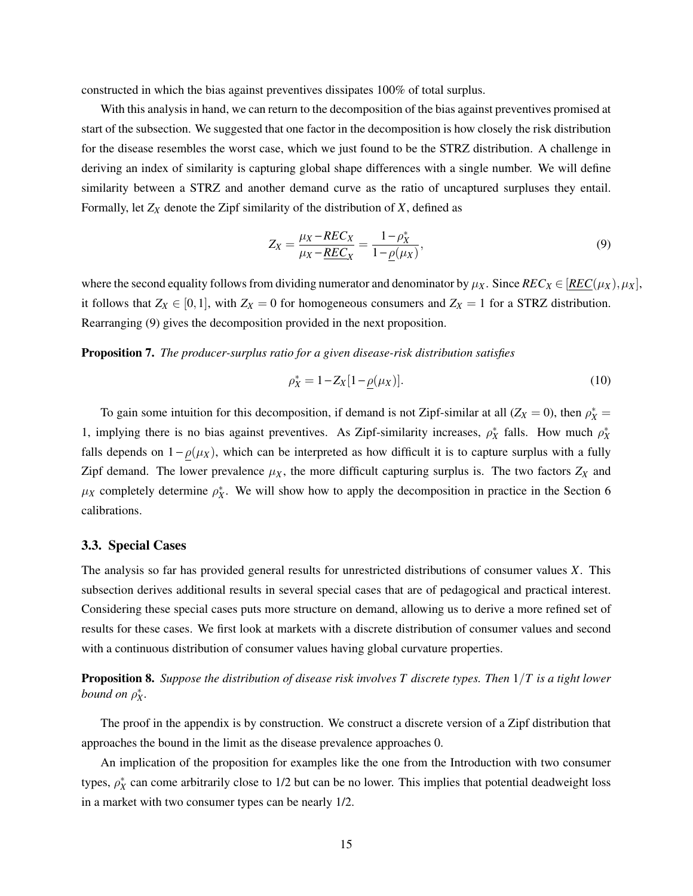constructed in which the bias against preventives dissipates 100% of total surplus.

With this analysis in hand, we can return to the decomposition of the bias against preventives promised at start of the subsection. We suggested that one factor in the decomposition is how closely the risk distribution for the disease resembles the worst case, which we just found to be the STRZ distribution. A challenge in deriving an index of similarity is capturing global shape differences with a single number. We will define similarity between a STRZ and another demand curve as the ratio of uncaptured surpluses they entail. Formally, let  $Z_X$  denote the Zipf similarity of the distribution of  $X$ , defined as

$$
Z_X = \frac{\mu_X - REC_X}{\mu_X - REC_X} = \frac{1 - \rho_X^*}{1 - \rho(\mu_X)},
$$
\n(9)

where the second equality follows from dividing numerator and denominator by  $\mu_X$ . Since  $REC_X \in [REC(\mu_X), \mu_X]$ , it follows that  $Z_X \in [0,1]$ , with  $Z_X = 0$  for homogeneous consumers and  $Z_X = 1$  for a STRZ distribution. Rearranging (9) gives the decomposition provided in the next proposition.

Proposition 7. *The producer-surplus ratio for a given disease-risk distribution satisfies*

$$
\rho_X^* = 1 - Z_X[1 - \underline{\rho}(\mu_X)].
$$
\n(10)

To gain some intuition for this decomposition, if demand is not Zipf-similar at all  $(Z_X = 0)$ , then  $\rho_X^* =$ 1, implying there is no bias against preventives. As Zipf-similarity increases,  $\rho_X^*$  falls. How much  $\rho_X^*$ falls depends on  $1 - \rho(\mu_X)$ , which can be interpreted as how difficult it is to capture surplus with a fully Zipf demand. The lower prevalence  $\mu_X$ , the more difficult capturing surplus is. The two factors  $Z_X$  and  $\mu_X$  completely determine  $\rho_X^*$ . We will show how to apply the decomposition in practice in the Section 6 calibrations.

#### 3.3. Special Cases

The analysis so far has provided general results for unrestricted distributions of consumer values *X*. This subsection derives additional results in several special cases that are of pedagogical and practical interest. Considering these special cases puts more structure on demand, allowing us to derive a more refined set of results for these cases. We first look at markets with a discrete distribution of consumer values and second with a continuous distribution of consumer values having global curvature properties.

Proposition 8. *Suppose the distribution of disease risk involves T discrete types. Then* 1*/T is a tight lower bound on*  $\rho_X^*$ .

The proof in the appendix is by construction. We construct a discrete version of a Zipf distribution that approaches the bound in the limit as the disease prevalence approaches 0.

An implication of the proposition for examples like the one from the Introduction with two consumer types,  $\rho_X^*$  can come arbitrarily close to 1/2 but can be no lower. This implies that potential deadweight loss in a market with two consumer types can be nearly 1/2.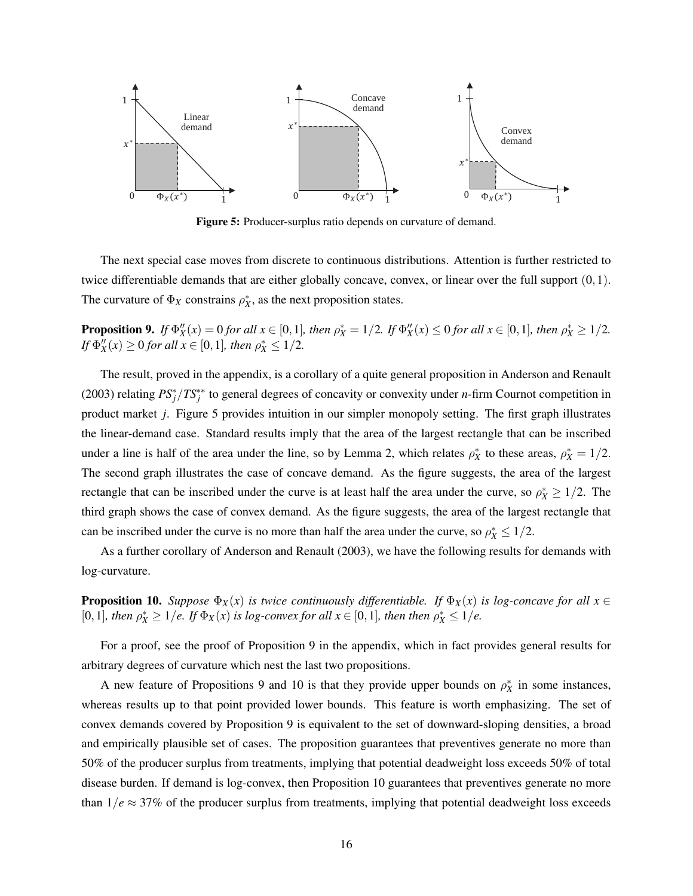

Figure 5: Producer-surplus ratio depends on curvature of demand.

The next special case moves from discrete to continuous distributions. Attention is further restricted to twice differentiable demands that are either globally concave, convex, or linear over the full support (0*,*1). The curvature of  $\Phi_X$  constrains  $\rho_X^*$ , as the next proposition states.

**Proposition 9.** If  $\Phi''_X(x) = 0$  for all  $x \in [0,1]$ , then  $\rho^*_X = 1/2$ . If  $\Phi''_X(x) \le 0$  for all  $x \in [0,1]$ , then  $\rho^*_X \ge 1/2$ . *If*  $\Phi''_X(x) \geq 0$  *for all*  $x \in [0,1]$ *, then*  $\rho^*_X \leq 1/2$ *.* 

The result, proved in the appendix, is a corollary of a quite general proposition in Anderson and Renault (2003) relating  $PS_j^*/TS_j^{**}$  to general degrees of concavity or convexity under *n*-firm Cournot competition in product market *j*. Figure 5 provides intuition in our simpler monopoly setting. The first graph illustrates the linear-demand case. Standard results imply that the area of the largest rectangle that can be inscribed under a line is half of the area under the line, so by Lemma 2, which relates  $\rho_X^*$  to these areas,  $\rho_X^* = 1/2$ . The second graph illustrates the case of concave demand. As the figure suggests, the area of the largest rectangle that can be inscribed under the curve is at least half the area under the curve, so  $\rho_X^* \geq 1/2$ . The third graph shows the case of convex demand. As the figure suggests, the area of the largest rectangle that can be inscribed under the curve is no more than half the area under the curve, so  $\rho_X^* \leq 1/2$ .

As a further corollary of Anderson and Renault (2003), we have the following results for demands with log-curvature.

**Proposition 10.** *Suppose*  $\Phi_X(x)$  *is twice continuously differentiable. If*  $\Phi_X(x)$  *is log-concave for all*  $x \in$ [0,1], then  $\rho_X^* \geq 1/e$ . If  $\Phi_X(x)$  is log-convex for all  $x \in [0,1]$ , then then  $\rho_X^* \leq 1/e$ .

For a proof, see the proof of Proposition 9 in the appendix, which in fact provides general results for arbitrary degrees of curvature which nest the last two propositions.

A new feature of Propositions 9 and 10 is that they provide upper bounds on  $\rho_X^*$  in some instances, whereas results up to that point provided lower bounds. This feature is worth emphasizing. The set of convex demands covered by Proposition 9 is equivalent to the set of downward-sloping densities, a broad and empirically plausible set of cases. The proposition guarantees that preventives generate no more than 50% of the producer surplus from treatments, implying that potential deadweight loss exceeds 50% of total disease burden. If demand is log-convex, then Proposition 10 guarantees that preventives generate no more than  $1/e \approx 37\%$  of the producer surplus from treatments, implying that potential deadweight loss exceeds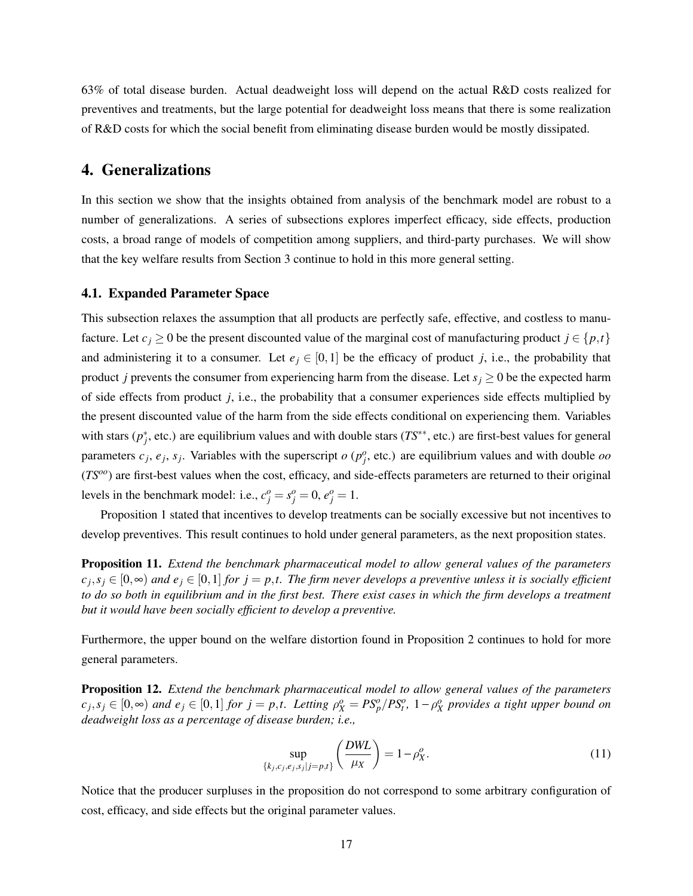63% of total disease burden. Actual deadweight loss will depend on the actual R&D costs realized for preventives and treatments, but the large potential for deadweight loss means that there is some realization of R&D costs for which the social benefit from eliminating disease burden would be mostly dissipated.

## 4. Generalizations

In this section we show that the insights obtained from analysis of the benchmark model are robust to a number of generalizations. A series of subsections explores imperfect efficacy, side effects, production costs, a broad range of models of competition among suppliers, and third-party purchases. We will show that the key welfare results from Section 3 continue to hold in this more general setting.

### 4.1. Expanded Parameter Space

This subsection relaxes the assumption that all products are perfectly safe, effective, and costless to manufacture. Let  $c_j \geq 0$  be the present discounted value of the marginal cost of manufacturing product  $j \in \{p, t\}$ and administering it to a consumer. Let  $e_j \in [0,1]$  be the efficacy of product *j*, i.e., the probability that product *j* prevents the consumer from experiencing harm from the disease. Let  $s_j \geq 0$  be the expected harm of side effects from product *j*, i.e., the probability that a consumer experiences side effects multiplied by the present discounted value of the harm from the side effects conditional on experiencing them. Variables with stars ( $p_j^*$ , etc.) are equilibrium values and with double stars ( $TS^{**}$ , etc.) are first-best values for general parameters  $c_j$ ,  $e_j$ ,  $s_j$ . Variables with the superscript  $o(p_j^o)$ , etc.) are equilibrium values and with double  $oo$ (*TSoo*) are first-best values when the cost, efficacy, and side-effects parameters are returned to their original levels in the benchmark model: i.e.,  $c_j^o = s_j^o = 0$ ,  $e_j^o = 1$ .

Proposition 1 stated that incentives to develop treatments can be socially excessive but not incentives to develop preventives. This result continues to hold under general parameters, as the next proposition states.

Proposition 11. *Extend the benchmark pharmaceutical model to allow general values of the parameters*  $c_j$ , $s_j$  $\in$   $[0,\infty)$  and  $e_j$   $\in$   $[0,1]$  for  $j = p,t$ . The firm never develops a preventive unless it is socially efficient *to do so both in equilibrium and in the first best. There exist cases in which the firm develops a treatment but it would have been socially efficient to develop a preventive.*

Furthermore, the upper bound on the welfare distortion found in Proposition 2 continues to hold for more general parameters.

Proposition 12. *Extend the benchmark pharmaceutical model to allow general values of the parameters*  $c_j, s_j \in [0, \infty)$  and  $e_j \in [0, 1]$  for  $j = p, t$ . Letting  $\rho_X^o = PS_p^o/PS_t^o$ ,  $1 - \rho_X^o$  provides a tight upper bound on *deadweight loss as a percentage of disease burden; i.e.,*

$$
\sup_{\{k_j, c_j, e_j, s_j | j = p, t\}} \left( \frac{DWL}{\mu_X} \right) = 1 - \rho_X^o. \tag{11}
$$

Notice that the producer surpluses in the proposition do not correspond to some arbitrary configuration of cost, efficacy, and side effects but the original parameter values.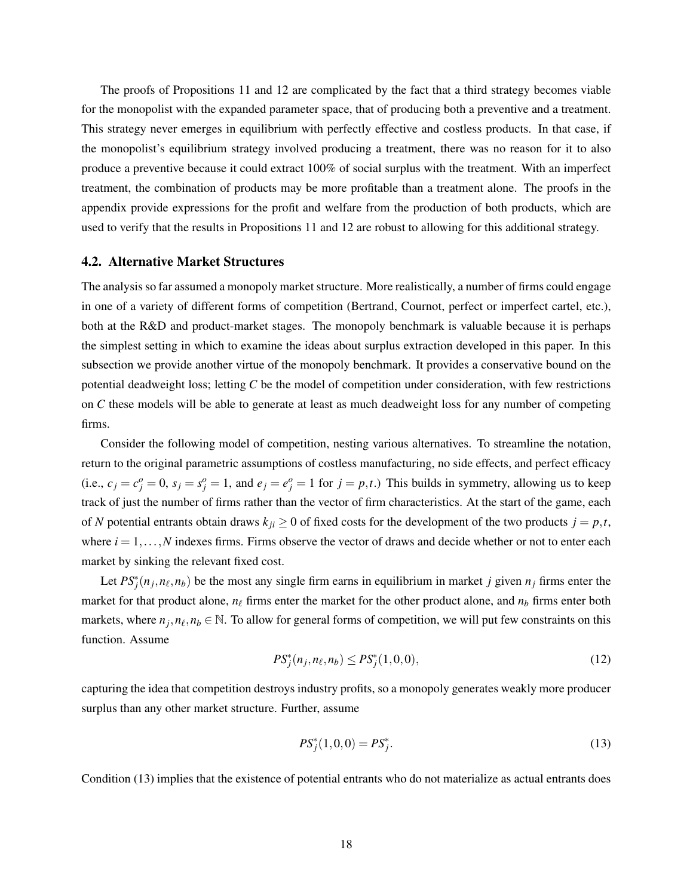The proofs of Propositions 11 and 12 are complicated by the fact that a third strategy becomes viable for the monopolist with the expanded parameter space, that of producing both a preventive and a treatment. This strategy never emerges in equilibrium with perfectly effective and costless products. In that case, if the monopolist's equilibrium strategy involved producing a treatment, there was no reason for it to also produce a preventive because it could extract 100% of social surplus with the treatment. With an imperfect treatment, the combination of products may be more profitable than a treatment alone. The proofs in the appendix provide expressions for the profit and welfare from the production of both products, which are used to verify that the results in Propositions 11 and 12 are robust to allowing for this additional strategy.

#### 4.2. Alternative Market Structures

The analysis so far assumed a monopoly market structure. More realistically, a number of firms could engage in one of a variety of different forms of competition (Bertrand, Cournot, perfect or imperfect cartel, etc.), both at the R&D and product-market stages. The monopoly benchmark is valuable because it is perhaps the simplest setting in which to examine the ideas about surplus extraction developed in this paper. In this subsection we provide another virtue of the monopoly benchmark. It provides a conservative bound on the potential deadweight loss; letting *C* be the model of competition under consideration, with few restrictions on *C* these models will be able to generate at least as much deadweight loss for any number of competing firms.

Consider the following model of competition, nesting various alternatives. To streamline the notation, return to the original parametric assumptions of costless manufacturing, no side effects, and perfect efficacy (i.e.,  $c_j = c_j^o = 0$ ,  $s_j = s_j^o = 1$ , and  $e_j = e_j^o = 1$  for  $j = p, t$ .) This builds in symmetry, allowing us to keep track of just the number of firms rather than the vector of firm characteristics. At the start of the game, each of *N* potential entrants obtain draws  $k_{ji} \geq 0$  of fixed costs for the development of the two products  $j = p, t$ , where  $i = 1, \ldots, N$  indexes firms. Firms observe the vector of draws and decide whether or not to enter each market by sinking the relevant fixed cost.

Let  $PS_j^*(n_j, n_\ell, n_b)$  be the most any single firm earns in equilibrium in market *j* given  $n_j$  firms enter the market for that product alone,  $n_\ell$  firms enter the market for the other product alone, and  $n_b$  firms enter both markets, where  $n_j, n_\ell, n_b \in \mathbb{N}$ . To allow for general forms of competition, we will put few constraints on this function. Assume

$$
PS_j^*(n_j, n_\ell, n_b) \le PS_j^*(1, 0, 0),\tag{12}
$$

capturing the idea that competition destroys industry profits, so a monopoly generates weakly more producer surplus than any other market structure. Further, assume

$$
PS_j^*(1,0,0) = PS_j^*.
$$
\n(13)

Condition (13) implies that the existence of potential entrants who do not materialize as actual entrants does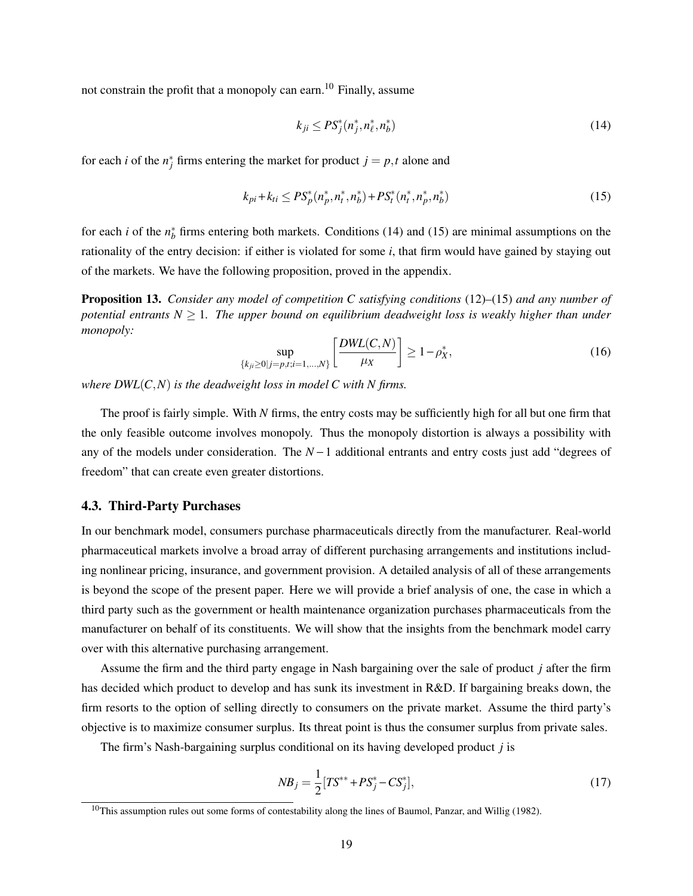not constrain the profit that a monopoly can earn.<sup>10</sup> Finally, assume

$$
k_{ji} \le PS_j^*(n_j^*, n_\ell^*, n_b^*)
$$
\n<sup>(14)</sup>

for each *i* of the  $n_j^*$  firms entering the market for product  $j = p, t$  alone and

$$
k_{pi} + k_{ti} \le PS_p^*(n_p^*, n_t^*, n_b^*) + PS_t^*(n_t^*, n_p^*, n_b^*)
$$
\n<sup>(15)</sup>

for each *i* of the  $n_b^*$  firms entering both markets. Conditions (14) and (15) are minimal assumptions on the rationality of the entry decision: if either is violated for some *i*, that firm would have gained by staying out of the markets. We have the following proposition, proved in the appendix.

Proposition 13. *Consider any model of competition C satisfying conditions* (12)*–*(15) *and any number of potential entrants N*  $\geq$  1*. The upper bound on equilibrium deadweight loss is weakly higher than under monopoly:*

$$
\sup_{\{k_{ji}\geq 0\mid j=p,t;i=1,\dots,N\}} \left[\frac{DWL(C,N)}{\mu_X}\right] \geq 1 - \rho_X^*,\tag{16}
$$

*where DWL*(*C,N*) *is the deadweight loss in model C with N firms.*

The proof is fairly simple. With *N* firms, the entry costs may be sufficiently high for all but one firm that the only feasible outcome involves monopoly. Thus the monopoly distortion is always a possibility with any of the models under consideration. The *N* − 1 additional entrants and entry costs just add "degrees of freedom" that can create even greater distortions.

### 4.3. Third-Party Purchases

In our benchmark model, consumers purchase pharmaceuticals directly from the manufacturer. Real-world pharmaceutical markets involve a broad array of different purchasing arrangements and institutions including nonlinear pricing, insurance, and government provision. A detailed analysis of all of these arrangements is beyond the scope of the present paper. Here we will provide a brief analysis of one, the case in which a third party such as the government or health maintenance organization purchases pharmaceuticals from the manufacturer on behalf of its constituents. We will show that the insights from the benchmark model carry over with this alternative purchasing arrangement.

Assume the firm and the third party engage in Nash bargaining over the sale of product *j* after the firm has decided which product to develop and has sunk its investment in R&D. If bargaining breaks down, the firm resorts to the option of selling directly to consumers on the private market. Assume the third party's objective is to maximize consumer surplus. Its threat point is thus the consumer surplus from private sales.

The firm's Nash-bargaining surplus conditional on its having developed product *j* is

$$
NB_j = \frac{1}{2} [TS^{**} + PS_j^* - CS_j^*],\tag{17}
$$

<sup>&</sup>lt;sup>10</sup>This assumption rules out some forms of contestability along the lines of Baumol, Panzar, and Willig (1982).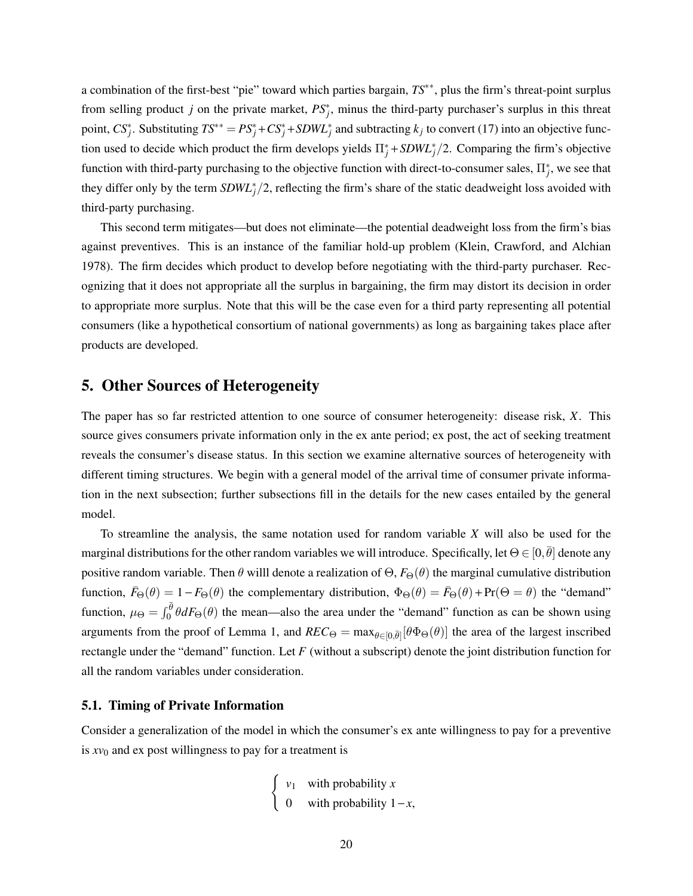a combination of the first-best "pie" toward which parties bargain, *TS∗∗*, plus the firm's threat-point surplus from selling product *j* on the private market,  $PS_f^*$ , minus the third-party purchaser's surplus in this threat point,  $CS_j^*$ . Substituting  $TS^{**} = PS_j^* + CS_j^* + SDWL_j^*$  and subtracting  $k_j$  to convert (17) into an objective function used to decide which product the firm develops yields  $\Pi_j^* + SDWL_j^*/2$ . Comparing the firm's objective function with third-party purchasing to the objective function with direct-to-consumer sales, Π*<sup>∗</sup> j* , we see that they differ only by the term *SDWL<sup>∗</sup> <sup>j</sup>/*2, reflecting the firm's share of the static deadweight loss avoided with third-party purchasing.

This second term mitigates—but does not eliminate—the potential deadweight loss from the firm's bias against preventives. This is an instance of the familiar hold-up problem (Klein, Crawford, and Alchian 1978). The firm decides which product to develop before negotiating with the third-party purchaser. Recognizing that it does not appropriate all the surplus in bargaining, the firm may distort its decision in order to appropriate more surplus. Note that this will be the case even for a third party representing all potential consumers (like a hypothetical consortium of national governments) as long as bargaining takes place after products are developed.

## 5. Other Sources of Heterogeneity

The paper has so far restricted attention to one source of consumer heterogeneity: disease risk, *X*. This source gives consumers private information only in the ex ante period; ex post, the act of seeking treatment reveals the consumer's disease status. In this section we examine alternative sources of heterogeneity with different timing structures. We begin with a general model of the arrival time of consumer private information in the next subsection; further subsections fill in the details for the new cases entailed by the general model.

To streamline the analysis, the same notation used for random variable *X* will also be used for the marginal distributions for the other random variables we will introduce. Specifically, let  $\Theta \in [0,\bar{\theta}]$  denote any positive random variable. Then  $\theta$  willl denote a realization of  $\Theta$ ,  $F_{\Theta}(\theta)$  the marginal cumulative distribution function,  $\bar{F}_{\Theta}(\theta) = 1 - F_{\Theta}(\theta)$  the complementary distribution,  $\Phi_{\Theta}(\theta) = \bar{F}_{\Theta}(\theta) + \Pr(\Theta = \theta)$  the "demand" function,  $\mu_{\Theta} = \int_0^{\bar{\theta}} \theta dF_{\Theta}(\theta)$  the mean—also the area under the "demand" function as can be shown using arguments from the proof of Lemma 1, and  $REC_{\Theta} = \max_{\theta \in [0,\bar{\theta}]} [\theta \Phi_{\Theta}(\theta)]$  the area of the largest inscribed rectangle under the "demand" function. Let *F* (without a subscript) denote the joint distribution function for all the random variables under consideration.

#### 5.1. Timing of Private Information

Consider a generalization of the model in which the consumer's ex ante willingness to pay for a preventive is  $xv_0$  and ex post willingness to pay for a treatment is

$$
\begin{cases} v_1 & \text{with probability } x \\ 0 & \text{with probability } 1-x, \end{cases}
$$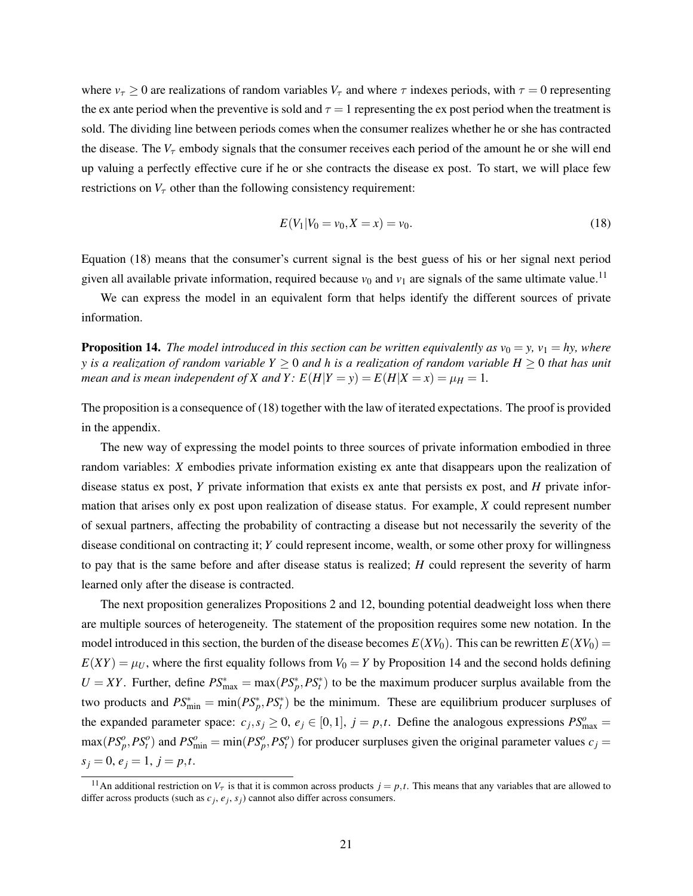where  $v_\tau \geq 0$  are realizations of random variables  $V_\tau$  and where  $\tau$  indexes periods, with  $\tau = 0$  representing the ex ante period when the preventive is sold and  $\tau = 1$  representing the ex post period when the treatment is sold. The dividing line between periods comes when the consumer realizes whether he or she has contracted the disease. The  $V<sub>\tau</sub>$  embody signals that the consumer receives each period of the amount he or she will end up valuing a perfectly effective cure if he or she contracts the disease ex post. To start, we will place few restrictions on  $V_{\tau}$  other than the following consistency requirement:

$$
E(V_1|V_0 = v_0, X = x) = v_0.
$$
\n(18)

Equation (18) means that the consumer's current signal is the best guess of his or her signal next period given all available private information, required because  $v_0$  and  $v_1$  are signals of the same ultimate value.<sup>11</sup>

We can express the model in an equivalent form that helps identify the different sources of private information.

**Proposition 14.** The model introduced in this section can be written equivalently as  $v_0 = y$ ,  $v_1 = hy$ , where *y is a realization of random variable Y ≥* 0 *and h is a realization of random variable H ≥* 0 *that has unit mean and is mean independent of X and Y:*  $E(H|Y = y) = E(H|X = x) = \mu_H = 1$ .

The proposition is a consequence of (18) together with the law of iterated expectations. The proof is provided in the appendix.

The new way of expressing the model points to three sources of private information embodied in three random variables: *X* embodies private information existing ex ante that disappears upon the realization of disease status ex post, *Y* private information that exists ex ante that persists ex post, and *H* private information that arises only ex post upon realization of disease status. For example, *X* could represent number of sexual partners, affecting the probability of contracting a disease but not necessarily the severity of the disease conditional on contracting it; *Y* could represent income, wealth, or some other proxy for willingness to pay that is the same before and after disease status is realized; *H* could represent the severity of harm learned only after the disease is contracted.

The next proposition generalizes Propositions 2 and 12, bounding potential deadweight loss when there are multiple sources of heterogeneity. The statement of the proposition requires some new notation. In the model introduced in this section, the burden of the disease becomes  $E(XV_0)$ . This can be rewritten  $E(XV_0)$  =  $E(XY) = \mu_U$ , where the first equality follows from  $V_0 = Y$  by Proposition 14 and the second holds defining  $U = XY$ . Further, define  $PS_{\text{max}}^* = \max(PS_p^*, PS_t^*)$  to be the maximum producer surplus available from the two products and  $PS_{\text{min}}^* = \min(PS_p^*, PS_t^*)$  be the minimum. These are equilibrium producer surpluses of the expanded parameter space:  $c_j$ ,  $s_j \ge 0$ ,  $e_j \in [0,1]$ ,  $j = p$ , *t*. Define the analogous expressions  $PS_{\text{max}}^o =$  $\max(PS_p^o, PS_t^o)$  and  $PS_{\min}^o = \min(PS_p^o, PS_t^o)$  for producer surpluses given the original parameter values  $c_j =$  $s_j = 0, e_j = 1, j = p, t$ .

<sup>&</sup>lt;sup>11</sup>An additional restriction on  $V_\tau$  is that it is common across products  $j = p$ , *t*. This means that any variables that are allowed to differ across products (such as *c j* , *e j* , *sj*) cannot also differ across consumers.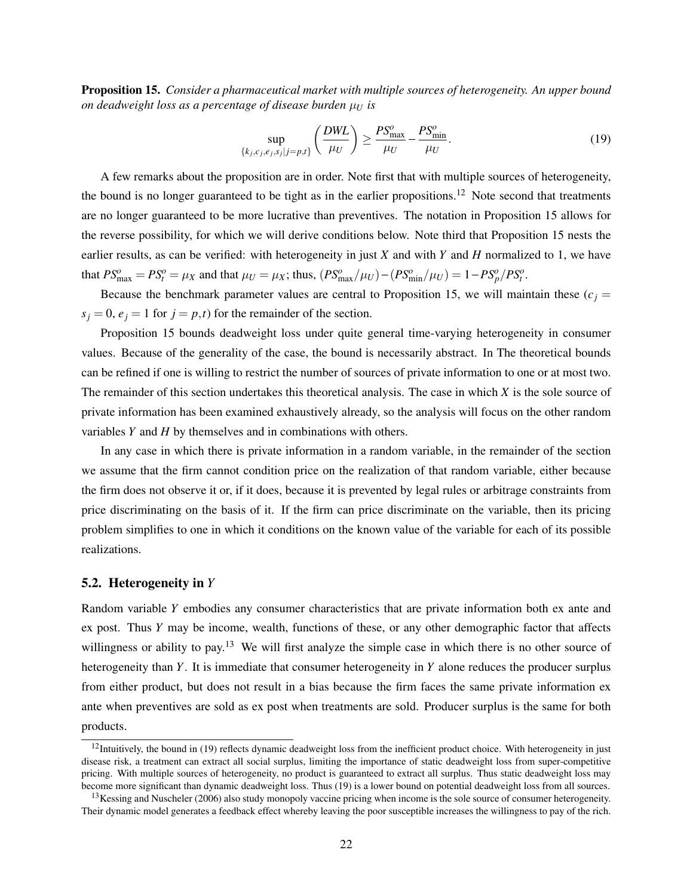Proposition 15. *Consider a pharmaceutical market with multiple sources of heterogeneity. An upper bound on deadweight loss as a percentage of disease burden*  $\mu_U$  *is* 

$$
\sup_{\{k_j, c_j, e_j, s_j | j = p, t\}} \left( \frac{DWL}{\mu_U} \right) \ge \frac{PS_{\text{max}}^o}{\mu_U} - \frac{PS_{\text{min}}^o}{\mu_U}.
$$
\n(19)

A few remarks about the proposition are in order. Note first that with multiple sources of heterogeneity, the bound is no longer guaranteed to be tight as in the earlier propositions.<sup>12</sup> Note second that treatments are no longer guaranteed to be more lucrative than preventives. The notation in Proposition 15 allows for the reverse possibility, for which we will derive conditions below. Note third that Proposition 15 nests the earlier results, as can be verified: with heterogeneity in just *X* and with *Y* and *H* normalized to 1, we have that  $PS_{\text{max}}^o = PS_t^o = \mu_X$  and that  $\mu_U = \mu_X$ ; thus,  $(PS_{\text{max}}^o/\mu_U) - (PS_{\text{min}}^o/\mu_U) = 1 - PS_p^o/PS_t^o$ .

Because the benchmark parameter values are central to Proposition 15, we will maintain these  $(c_i =$  $s_j = 0$ ,  $e_j = 1$  for  $j = p, t$ ) for the remainder of the section.

Proposition 15 bounds deadweight loss under quite general time-varying heterogeneity in consumer values. Because of the generality of the case, the bound is necessarily abstract. In The theoretical bounds can be refined if one is willing to restrict the number of sources of private information to one or at most two. The remainder of this section undertakes this theoretical analysis. The case in which *X* is the sole source of private information has been examined exhaustively already, so the analysis will focus on the other random variables *Y* and *H* by themselves and in combinations with others.

In any case in which there is private information in a random variable, in the remainder of the section we assume that the firm cannot condition price on the realization of that random variable, either because the firm does not observe it or, if it does, because it is prevented by legal rules or arbitrage constraints from price discriminating on the basis of it. If the firm can price discriminate on the variable, then its pricing problem simplifies to one in which it conditions on the known value of the variable for each of its possible realizations.

#### 5.2. Heterogeneity in *Y*

Random variable *Y* embodies any consumer characteristics that are private information both ex ante and ex post. Thus *Y* may be income, wealth, functions of these, or any other demographic factor that affects willingness or ability to pay.<sup>13</sup> We will first analyze the simple case in which there is no other source of heterogeneity than *Y*. It is immediate that consumer heterogeneity in *Y* alone reduces the producer surplus from either product, but does not result in a bias because the firm faces the same private information ex ante when preventives are sold as ex post when treatments are sold. Producer surplus is the same for both products.

 $12$ Intuitively, the bound in (19) reflects dynamic deadweight loss from the inefficient product choice. With heterogeneity in just disease risk, a treatment can extract all social surplus, limiting the importance of static deadweight loss from super-competitive pricing. With multiple sources of heterogeneity, no product is guaranteed to extract all surplus. Thus static deadweight loss may become more significant than dynamic deadweight loss. Thus (19) is a lower bound on potential deadweight loss from all sources.

<sup>&</sup>lt;sup>13</sup>Kessing and Nuscheler (2006) also study monopoly vaccine pricing when income is the sole source of consumer heterogeneity. Their dynamic model generates a feedback effect whereby leaving the poor susceptible increases the willingness to pay of the rich.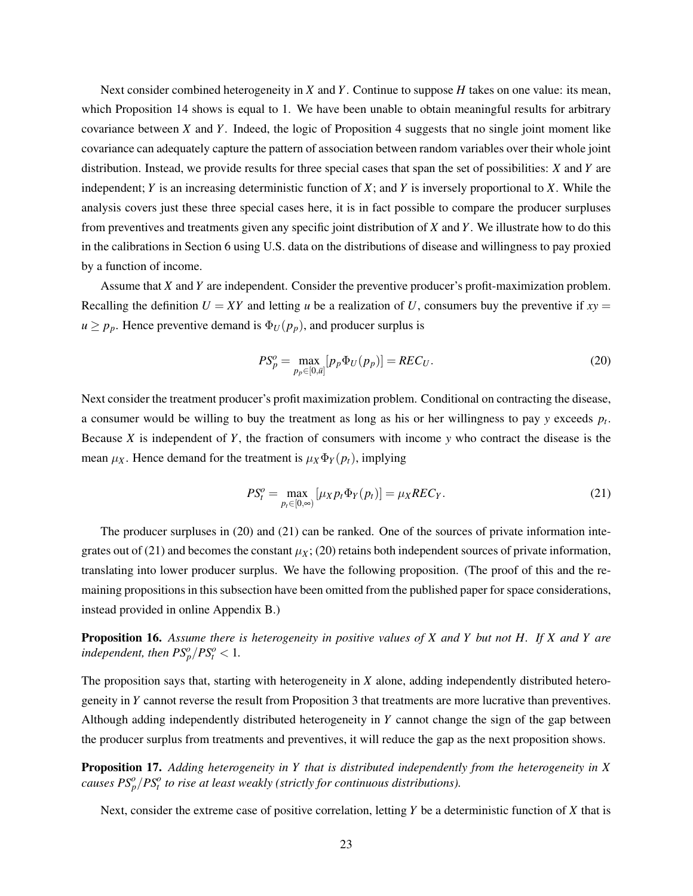Next consider combined heterogeneity in *X* and *Y*. Continue to suppose *H* takes on one value: its mean, which Proposition 14 shows is equal to 1. We have been unable to obtain meaningful results for arbitrary covariance between *X* and *Y*. Indeed, the logic of Proposition 4 suggests that no single joint moment like covariance can adequately capture the pattern of association between random variables over their whole joint distribution. Instead, we provide results for three special cases that span the set of possibilities: *X* and *Y* are independent; *Y* is an increasing deterministic function of *X*; and *Y* is inversely proportional to *X*. While the analysis covers just these three special cases here, it is in fact possible to compare the producer surpluses from preventives and treatments given any specific joint distribution of *X* and *Y*. We illustrate how to do this in the calibrations in Section 6 using U.S. data on the distributions of disease and willingness to pay proxied by a function of income.

Assume that *X* and *Y* are independent. Consider the preventive producer's profit-maximization problem. Recalling the definition  $U = XY$  and letting *u* be a realization of *U*, consumers buy the preventive if  $xy =$  $u \geq p_p$ . Hence preventive demand is  $\Phi_U(p_p)$ , and producer surplus is

$$
PS_p^o = \max_{p_p \in [0,\bar{u}]} [p_p \Phi_U(p_p)] = REC_U.
$$
\n
$$
(20)
$$

Next consider the treatment producer's profit maximization problem. Conditional on contracting the disease, a consumer would be willing to buy the treatment as long as his or her willingness to pay *y* exceeds *p<sup>t</sup>* . Because *X* is independent of *Y*, the fraction of consumers with income *y* who contract the disease is the mean  $\mu_X$ . Hence demand for the treatment is  $\mu_X \Phi_Y(p_t)$ , implying

$$
PS_t^o = \max_{p_t \in [0,\infty)} [\mu_X p_t \Phi_Y(p_t)] = \mu_X REC_Y.
$$
 (21)

The producer surpluses in (20) and (21) can be ranked. One of the sources of private information integrates out of (21) and becomes the constant  $\mu_X$ ; (20) retains both independent sources of private information, translating into lower producer surplus. We have the following proposition. (The proof of this and the remaining propositions in this subsection have been omitted from the published paper for space considerations, instead provided in online Appendix B.)

Proposition 16. *Assume there is heterogeneity in positive values of X and Y but not H. If X and Y are independent, then*  $PS_p^o/PS_t^o < 1$ *.* 

The proposition says that, starting with heterogeneity in *X* alone, adding independently distributed heterogeneity in *Y* cannot reverse the result from Proposition 3 that treatments are more lucrative than preventives. Although adding independently distributed heterogeneity in *Y* cannot change the sign of the gap between the producer surplus from treatments and preventives, it will reduce the gap as the next proposition shows.

Proposition 17. *Adding heterogeneity in Y that is distributed independently from the heterogeneity in X causes PS<sup>o</sup> p/PS<sup>o</sup> t to rise at least weakly (strictly for continuous distributions).*

Next, consider the extreme case of positive correlation, letting *Y* be a deterministic function of *X* that is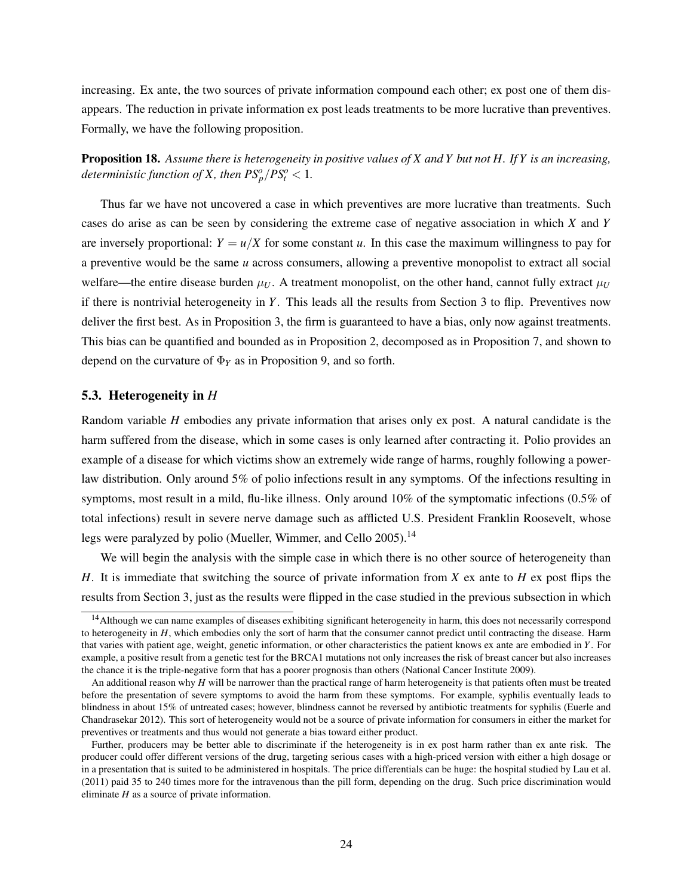increasing. Ex ante, the two sources of private information compound each other; ex post one of them disappears. The reduction in private information ex post leads treatments to be more lucrative than preventives. Formally, we have the following proposition.

Proposition 18. *Assume there is heterogeneity in positive values of X and Y but not H. If Y is an increasing, deterministic function of X, then*  $PS_p^o/PS_t^o < 1$ *.* 

Thus far we have not uncovered a case in which preventives are more lucrative than treatments. Such cases do arise as can be seen by considering the extreme case of negative association in which *X* and *Y* are inversely proportional:  $Y = u/X$  for some constant *u*. In this case the maximum willingness to pay for a preventive would be the same *u* across consumers, allowing a preventive monopolist to extract all social welfare—the entire disease burden  $\mu_U$ . A treatment monopolist, on the other hand, cannot fully extract  $\mu_U$ if there is nontrivial heterogeneity in *Y*. This leads all the results from Section 3 to flip. Preventives now deliver the first best. As in Proposition 3, the firm is guaranteed to have a bias, only now against treatments. This bias can be quantified and bounded as in Proposition 2, decomposed as in Proposition 7, and shown to depend on the curvature of  $\Phi_Y$  as in Proposition 9, and so forth.

## 5.3. Heterogeneity in *H*

Random variable *H* embodies any private information that arises only ex post. A natural candidate is the harm suffered from the disease, which in some cases is only learned after contracting it. Polio provides an example of a disease for which victims show an extremely wide range of harms, roughly following a powerlaw distribution. Only around 5% of polio infections result in any symptoms. Of the infections resulting in symptoms, most result in a mild, flu-like illness. Only around 10% of the symptomatic infections (0.5% of total infections) result in severe nerve damage such as afflicted U.S. President Franklin Roosevelt, whose legs were paralyzed by polio (Mueller, Wimmer, and Cello 2005).<sup>14</sup>

We will begin the analysis with the simple case in which there is no other source of heterogeneity than *H*. It is immediate that switching the source of private information from *X* ex ante to *H* ex post flips the results from Section 3, just as the results were flipped in the case studied in the previous subsection in which

<sup>&</sup>lt;sup>14</sup>Although we can name examples of diseases exhibiting significant heterogeneity in harm, this does not necessarily correspond to heterogeneity in *H*, which embodies only the sort of harm that the consumer cannot predict until contracting the disease. Harm that varies with patient age, weight, genetic information, or other characteristics the patient knows ex ante are embodied in *Y*. For example, a positive result from a genetic test for the BRCA1 mutations not only increases the risk of breast cancer but also increases the chance it is the triple-negative form that has a poorer prognosis than others (National Cancer Institute 2009).

An additional reason why *H* will be narrower than the practical range of harm heterogeneity is that patients often must be treated before the presentation of severe symptoms to avoid the harm from these symptoms. For example, syphilis eventually leads to blindness in about 15% of untreated cases; however, blindness cannot be reversed by antibiotic treatments for syphilis (Euerle and Chandrasekar 2012). This sort of heterogeneity would not be a source of private information for consumers in either the market for preventives or treatments and thus would not generate a bias toward either product.

Further, producers may be better able to discriminate if the heterogeneity is in ex post harm rather than ex ante risk. The producer could offer different versions of the drug, targeting serious cases with a high-priced version with either a high dosage or in a presentation that is suited to be administered in hospitals. The price differentials can be huge: the hospital studied by Lau et al. (2011) paid 35 to 240 times more for the intravenous than the pill form, depending on the drug. Such price discrimination would eliminate *H* as a source of private information.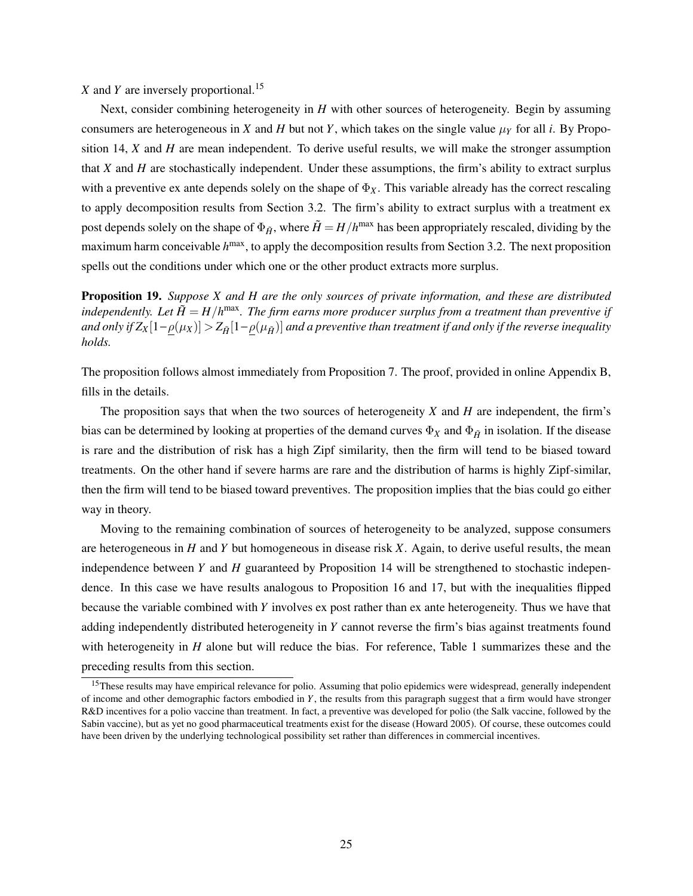*X* and *Y* are inversely proportional.<sup>15</sup>

Next, consider combining heterogeneity in *H* with other sources of heterogeneity. Begin by assuming consumers are heterogeneous in *X* and *H* but not *Y*, which takes on the single value  $\mu_Y$  for all *i*. By Proposition 14, *X* and *H* are mean independent. To derive useful results, we will make the stronger assumption that *X* and *H* are stochastically independent. Under these assumptions, the firm's ability to extract surplus with a preventive ex ante depends solely on the shape of  $\Phi_X$ . This variable already has the correct rescaling to apply decomposition results from Section 3.2. The firm's ability to extract surplus with a treatment ex post depends solely on the shape of  $\Phi_{\tilde{H}}$ , where  $\tilde{H} = H/h^{\max}$  has been appropriately rescaled, dividing by the maximum harm conceivable  $h^{max}$ , to apply the decomposition results from Section 3.2. The next proposition spells out the conditions under which one or the other product extracts more surplus.

Proposition 19. *Suppose X and H are the only sources of private information, and these are distributed* independently. Let  $\tilde{H} = H/h^\text{max}$ . The firm earns more producer surplus from a treatment than preventive if *and only if*  $Z_X[1-\rho(\mu_X)] > Z_{\tilde{H}}[1-\rho(\mu_{\tilde{H}})]$  *and a preventive than treatment if and only if the reverse inequality holds.*

The proposition follows almost immediately from Proposition 7. The proof, provided in online Appendix B, fills in the details.

The proposition says that when the two sources of heterogeneity *X* and *H* are independent, the firm's bias can be determined by looking at properties of the demand curves  $\Phi_X$  and  $\Phi_{\tilde{H}}$  in isolation. If the disease is rare and the distribution of risk has a high Zipf similarity, then the firm will tend to be biased toward treatments. On the other hand if severe harms are rare and the distribution of harms is highly Zipf-similar, then the firm will tend to be biased toward preventives. The proposition implies that the bias could go either way in theory.

Moving to the remaining combination of sources of heterogeneity to be analyzed, suppose consumers are heterogeneous in *H* and *Y* but homogeneous in disease risk *X*. Again, to derive useful results, the mean independence between *Y* and *H* guaranteed by Proposition 14 will be strengthened to stochastic independence. In this case we have results analogous to Proposition 16 and 17, but with the inequalities flipped because the variable combined with *Y* involves ex post rather than ex ante heterogeneity. Thus we have that adding independently distributed heterogeneity in *Y* cannot reverse the firm's bias against treatments found with heterogeneity in *H* alone but will reduce the bias. For reference, Table 1 summarizes these and the preceding results from this section.

<sup>&</sup>lt;sup>15</sup>These results may have empirical relevance for polio. Assuming that polio epidemics were widespread, generally independent of income and other demographic factors embodied in *Y*, the results from this paragraph suggest that a firm would have stronger R&D incentives for a polio vaccine than treatment. In fact, a preventive was developed for polio (the Salk vaccine, followed by the Sabin vaccine), but as yet no good pharmaceutical treatments exist for the disease (Howard 2005). Of course, these outcomes could have been driven by the underlying technological possibility set rather than differences in commercial incentives.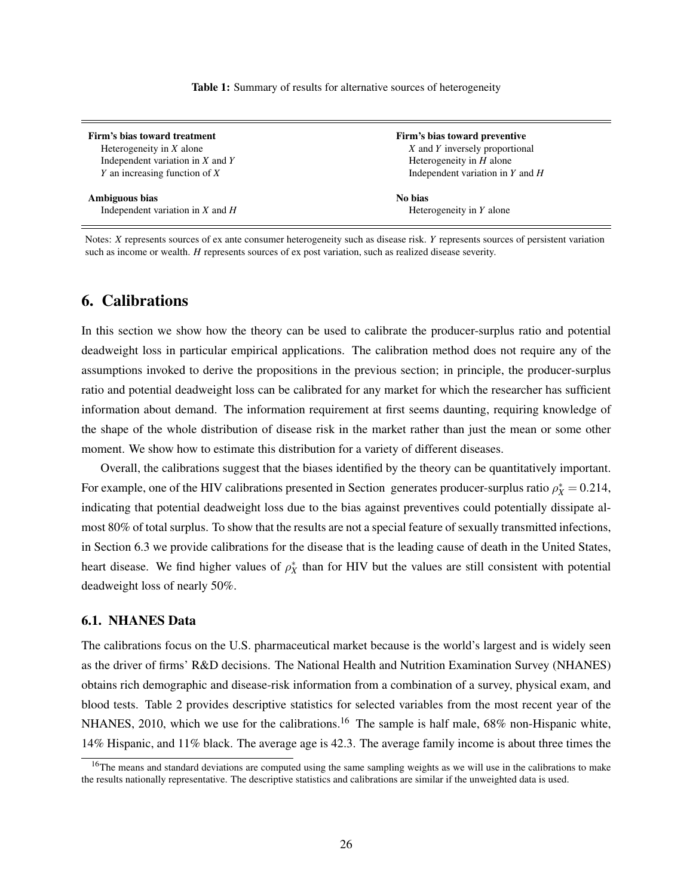Table 1: Summary of results for alternative sources of heterogeneity

| Firm's bias toward treatment         | Firm's bias toward preventive        |
|--------------------------------------|--------------------------------------|
| Heterogeneity in $X$ alone           | X and Y inversely proportional       |
| Independent variation in $X$ and $Y$ | Heterogeneity in $H$ alone           |
| $Y$ an increasing function of $X$    | Independent variation in $Y$ and $H$ |
| Ambiguous bias                       | No bias                              |
| Independent variation in $X$ and $H$ | Heterogeneity in Y alone             |

Notes: *X* represents sources of ex ante consumer heterogeneity such as disease risk. *Y* represents sources of persistent variation such as income or wealth. *H* represents sources of ex post variation, such as realized disease severity.

# 6. Calibrations

In this section we show how the theory can be used to calibrate the producer-surplus ratio and potential deadweight loss in particular empirical applications. The calibration method does not require any of the assumptions invoked to derive the propositions in the previous section; in principle, the producer-surplus ratio and potential deadweight loss can be calibrated for any market for which the researcher has sufficient information about demand. The information requirement at first seems daunting, requiring knowledge of the shape of the whole distribution of disease risk in the market rather than just the mean or some other moment. We show how to estimate this distribution for a variety of different diseases.

Overall, the calibrations suggest that the biases identified by the theory can be quantitatively important. For example, one of the HIV calibrations presented in Section generates producer-surplus ratio  $\rho_X^* = 0.214$ , indicating that potential deadweight loss due to the bias against preventives could potentially dissipate almost 80% of total surplus. To show that the results are not a special feature of sexually transmitted infections, in Section 6.3 we provide calibrations for the disease that is the leading cause of death in the United States, heart disease. We find higher values of  $\rho_X^*$  than for HIV but the values are still consistent with potential deadweight loss of nearly 50%.

### 6.1. NHANES Data

The calibrations focus on the U.S. pharmaceutical market because is the world's largest and is widely seen as the driver of firms' R&D decisions. The National Health and Nutrition Examination Survey (NHANES) obtains rich demographic and disease-risk information from a combination of a survey, physical exam, and blood tests. Table 2 provides descriptive statistics for selected variables from the most recent year of the NHANES, 2010, which we use for the calibrations.<sup>16</sup> The sample is half male, 68% non-Hispanic white, 14% Hispanic, and 11% black. The average age is 42.3. The average family income is about three times the

<sup>&</sup>lt;sup>16</sup>The means and standard deviations are computed using the same sampling weights as we will use in the calibrations to make the results nationally representative. The descriptive statistics and calibrations are similar if the unweighted data is used.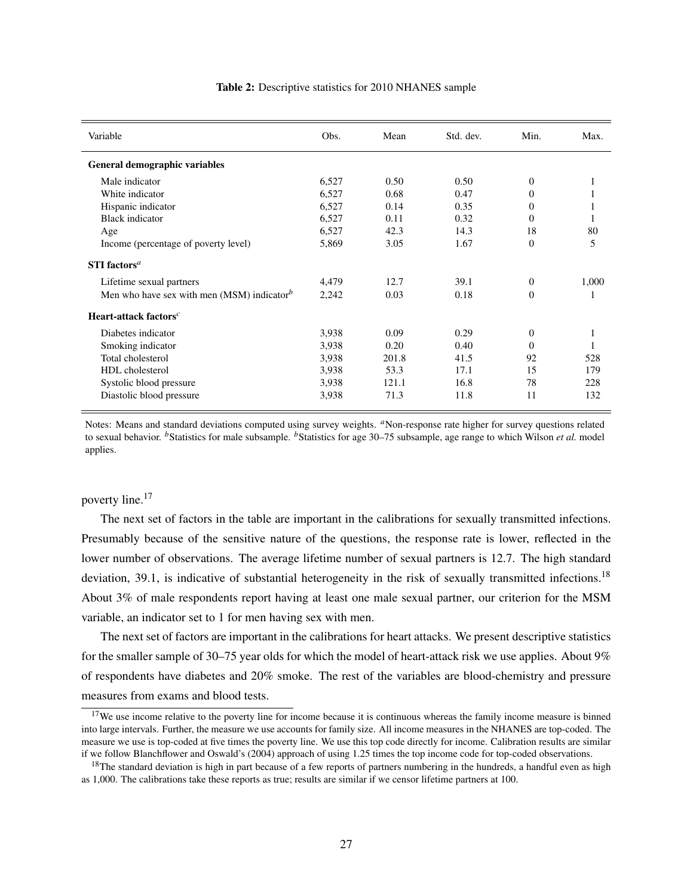| Variable                                               | Obs.  | Mean  | Std. dev. | Min.           | Max.  |
|--------------------------------------------------------|-------|-------|-----------|----------------|-------|
| General demographic variables                          |       |       |           |                |       |
| Male indicator                                         | 6,527 | 0.50  | 0.50      | $\mathbf{0}$   |       |
| White indicator                                        | 6,527 | 0.68  | 0.47      | $\Omega$       |       |
| Hispanic indicator                                     | 6,527 | 0.14  | 0.35      | $\Omega$       |       |
| <b>Black</b> indicator                                 | 6,527 | 0.11  | 0.32      | $\theta$       |       |
| Age                                                    | 6,527 | 42.3  | 14.3      | 18             | 80    |
| Income (percentage of poverty level)                   | 5,869 | 3.05  | 1.67      | $\theta$       | 5     |
| STI factors <sup>a</sup>                               |       |       |           |                |       |
| Lifetime sexual partners                               | 4,479 | 12.7  | 39.1      | $\theta$       | 1,000 |
| Men who have sex with men (MSM) indicator <sup>b</sup> | 2,242 | 0.03  | 0.18      | $\overline{0}$ |       |
| Heart-attack factors $c$                               |       |       |           |                |       |
| Diabetes indicator                                     | 3,938 | 0.09  | 0.29      | $\overline{0}$ | 1     |
| Smoking indicator                                      | 3,938 | 0.20  | 0.40      | $\Omega$       |       |
| Total cholesterol                                      | 3,938 | 201.8 | 41.5      | 92             | 528   |
| HDL cholesterol                                        | 3,938 | 53.3  | 17.1      | 15             | 179   |
| Systolic blood pressure                                | 3,938 | 121.1 | 16.8      | 78             | 228   |
| Diastolic blood pressure                               | 3,938 | 71.3  | 11.8      | 11             | 132   |

#### Table 2: Descriptive statistics for 2010 NHANES sample

Notes: Means and standard deviations computed using survey weights. <sup>*a*</sup>Non-response rate higher for survey questions related to sexual behavior. *<sup>b</sup>*Statistics for male subsample. *<sup>b</sup>*Statistics for age 30–75 subsample, age range to which Wilson *et al.* model applies.

## poverty line.<sup>17</sup>

The next set of factors in the table are important in the calibrations for sexually transmitted infections. Presumably because of the sensitive nature of the questions, the response rate is lower, reflected in the lower number of observations. The average lifetime number of sexual partners is 12.7. The high standard deviation, 39.1, is indicative of substantial heterogeneity in the risk of sexually transmitted infections.<sup>18</sup> About 3% of male respondents report having at least one male sexual partner, our criterion for the MSM variable, an indicator set to 1 for men having sex with men.

The next set of factors are important in the calibrations for heart attacks. We present descriptive statistics for the smaller sample of 30–75 year olds for which the model of heart-attack risk we use applies. About 9% of respondents have diabetes and 20% smoke. The rest of the variables are blood-chemistry and pressure measures from exams and blood tests.

 $17$ We use income relative to the poverty line for income because it is continuous whereas the family income measure is binned into large intervals. Further, the measure we use accounts for family size. All income measures in the NHANES are top-coded. The measure we use is top-coded at five times the poverty line. We use this top code directly for income. Calibration results are similar if we follow Blanchflower and Oswald's (2004) approach of using 1.25 times the top income code for top-coded observations.

 $18$ The standard deviation is high in part because of a few reports of partners numbering in the hundreds, a handful even as high as 1,000. The calibrations take these reports as true; results are similar if we censor lifetime partners at 100.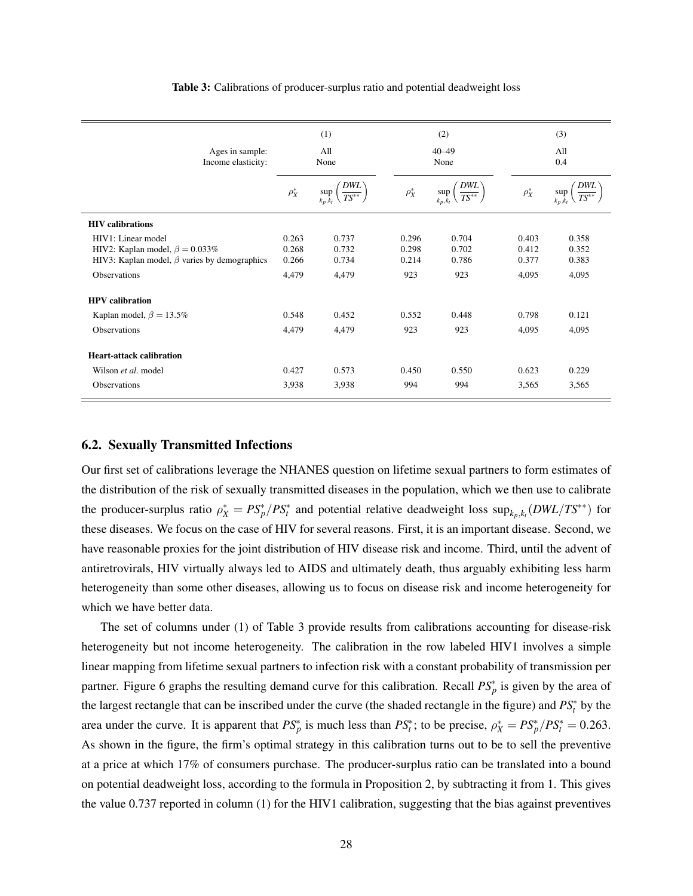| Ages in sample:<br>Income elasticity:              |            | (1)<br>All<br>None                    |            | (2)<br>$40 - 49$<br>None                          |            | (3)<br>A11<br>0.4        |
|----------------------------------------------------|------------|---------------------------------------|------------|---------------------------------------------------|------------|--------------------------|
|                                                    | $\rho_X^*$ | DWL<br>sup<br>$TS^{**}$<br>$k_p, k_t$ | $\rho_X^*$ | DWL<br>sup<br>$TS^{\ast\ast}$<br>$k_p, \bar{k}_t$ | $\rho_X^*$ | DWL<br>sup<br>$k_p, k_l$ |
| <b>HIV</b> calibrations                            |            |                                       |            |                                                   |            |                          |
| HIV1: Linear model                                 | 0.263      | 0.737                                 | 0.296      | 0.704                                             | 0.403      | 0.358                    |
| HIV2: Kaplan model, $\beta = 0.033\%$              | 0.268      | 0.732                                 | 0.298      | 0.702                                             | 0.412      | 0.352                    |
| HIV3: Kaplan model, $\beta$ varies by demographics | 0.266      | 0.734                                 | 0.214      | 0.786                                             | 0.377      | 0.383                    |
| <b>Observations</b>                                | 4,479      | 4,479                                 | 923        | 923                                               | 4,095      | 4,095                    |
| <b>HPV</b> calibration                             |            |                                       |            |                                                   |            |                          |
| Kaplan model, $\beta = 13.5\%$                     | 0.548      | 0.452                                 | 0.552      | 0.448                                             | 0.798      | 0.121                    |
| <b>Observations</b>                                | 4,479      | 4,479                                 | 923        | 923                                               | 4,095      | 4,095                    |
| <b>Heart-attack calibration</b>                    |            |                                       |            |                                                   |            |                          |
| Wilson et al. model                                | 0.427      | 0.573                                 | 0.450      | 0.550                                             | 0.623      | 0.229                    |
| <b>Observations</b>                                | 3,938      | 3,938                                 | 994        | 994                                               | 3,565      | 3,565                    |

Table 3: Calibrations of producer-surplus ratio and potential deadweight loss

### 6.2. Sexually Transmitted Infections

Our first set of calibrations leverage the NHANES question on lifetime sexual partners to form estimates of the distribution of the risk of sexually transmitted diseases in the population, which we then use to calibrate the producer-surplus ratio  $\rho_X^* = PS_p^*/PS_t^*$  and potential relative deadweight loss  $\sup_{k_p,k_t}(DWL/TS^{**})$  for these diseases. We focus on the case of HIV for several reasons. First, it is an important disease. Second, we have reasonable proxies for the joint distribution of HIV disease risk and income. Third, until the advent of antiretrovirals, HIV virtually always led to AIDS and ultimately death, thus arguably exhibiting less harm heterogeneity than some other diseases, allowing us to focus on disease risk and income heterogeneity for which we have better data.

The set of columns under (1) of Table 3 provide results from calibrations accounting for disease-risk heterogeneity but not income heterogeneity. The calibration in the row labeled HIV1 involves a simple linear mapping from lifetime sexual partners to infection risk with a constant probability of transmission per partner. Figure 6 graphs the resulting demand curve for this calibration. Recall  $PS_p^*$  is given by the area of the largest rectangle that can be inscribed under the curve (the shaded rectangle in the figure) and  $PS_t^*$  by the area under the curve. It is apparent that  $PS_p^*$  is much less than  $PS_t^*$ ; to be precise,  $\rho_X^* = PS_p^* / PS_t^* = 0.263$ . As shown in the figure, the firm's optimal strategy in this calibration turns out to be to sell the preventive at a price at which 17% of consumers purchase. The producer-surplus ratio can be translated into a bound on potential deadweight loss, according to the formula in Proposition 2, by subtracting it from 1. This gives the value 0.737 reported in column (1) for the HIV1 calibration, suggesting that the bias against preventives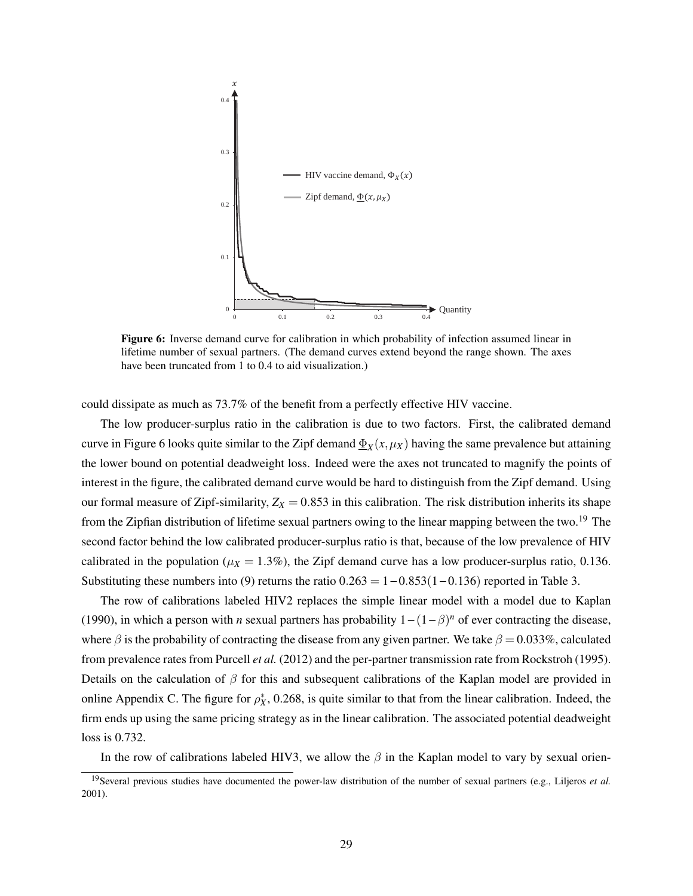

Figure 6: Inverse demand curve for calibration in which probability of infection assumed linear in lifetime number of sexual partners. (The demand curves extend beyond the range shown. The axes have been truncated from 1 to 0.4 to aid visualization.)

could dissipate as much as 73.7% of the benefit from a perfectly effective HIV vaccine.

The low producer-surplus ratio in the calibration is due to two factors. First, the calibrated demand curve in Figure 6 looks quite similar to the Zipf demand  $\underline{\Phi}_X(x,\mu_X)$  having the same prevalence but attaining the lower bound on potential deadweight loss. Indeed were the axes not truncated to magnify the points of interest in the figure, the calibrated demand curve would be hard to distinguish from the Zipf demand. Using our formal measure of Zipf-similarity,  $Z_X = 0.853$  in this calibration. The risk distribution inherits its shape from the Zipfian distribution of lifetime sexual partners owing to the linear mapping between the two.<sup>19</sup> The second factor behind the low calibrated producer-surplus ratio is that, because of the low prevalence of HIV calibrated in the population ( $\mu_X = 1.3\%$ ), the Zipf demand curve has a low producer-surplus ratio, 0.136. Substituting these numbers into (9) returns the ratio  $0.263 = 1 - 0.853(1 - 0.136)$  reported in Table 3.

The row of calibrations labeled HIV2 replaces the simple linear model with a model due to Kaplan (1990), in which a person with *n* sexual partners has probability  $1 - (1 - \beta)^n$  of ever contracting the disease, where  $\beta$  is the probability of contracting the disease from any given partner. We take  $\beta = 0.033\%$ , calculated from prevalence rates from Purcell *et al.* (2012) and the per-partner transmission rate from Rockstroh (1995). Details on the calculation of *β* for this and subsequent calibrations of the Kaplan model are provided in online Appendix C. The figure for  $\rho_X^*$ , 0.268, is quite similar to that from the linear calibration. Indeed, the firm ends up using the same pricing strategy as in the linear calibration. The associated potential deadweight loss is 0.732.

In the row of calibrations labeled HIV3, we allow the *β* in the Kaplan model to vary by sexual orien-

<sup>19</sup>Several previous studies have documented the power-law distribution of the number of sexual partners (e.g., Liljeros *et al.* 2001).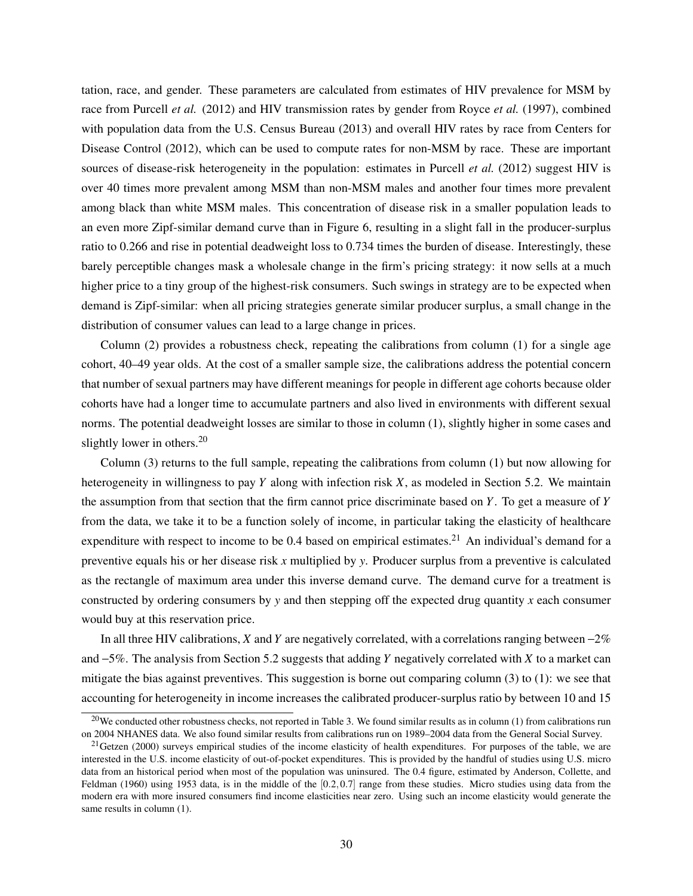tation, race, and gender. These parameters are calculated from estimates of HIV prevalence for MSM by race from Purcell *et al.* (2012) and HIV transmission rates by gender from Royce *et al.* (1997), combined with population data from the U.S. Census Bureau (2013) and overall HIV rates by race from Centers for Disease Control (2012), which can be used to compute rates for non-MSM by race. These are important sources of disease-risk heterogeneity in the population: estimates in Purcell *et al.* (2012) suggest HIV is over 40 times more prevalent among MSM than non-MSM males and another four times more prevalent among black than white MSM males. This concentration of disease risk in a smaller population leads to an even more Zipf-similar demand curve than in Figure 6, resulting in a slight fall in the producer-surplus ratio to 0.266 and rise in potential deadweight loss to 0.734 times the burden of disease. Interestingly, these barely perceptible changes mask a wholesale change in the firm's pricing strategy: it now sells at a much higher price to a tiny group of the highest-risk consumers. Such swings in strategy are to be expected when demand is Zipf-similar: when all pricing strategies generate similar producer surplus, a small change in the distribution of consumer values can lead to a large change in prices.

Column (2) provides a robustness check, repeating the calibrations from column (1) for a single age cohort, 40–49 year olds. At the cost of a smaller sample size, the calibrations address the potential concern that number of sexual partners may have different meanings for people in different age cohorts because older cohorts have had a longer time to accumulate partners and also lived in environments with different sexual norms. The potential deadweight losses are similar to those in column (1), slightly higher in some cases and slightly lower in others.<sup>20</sup>

Column (3) returns to the full sample, repeating the calibrations from column (1) but now allowing for heterogeneity in willingness to pay *Y* along with infection risk *X*, as modeled in Section 5.2. We maintain the assumption from that section that the firm cannot price discriminate based on *Y*. To get a measure of *Y* from the data, we take it to be a function solely of income, in particular taking the elasticity of healthcare expenditure with respect to income to be 0.4 based on empirical estimates.<sup>21</sup> An individual's demand for a preventive equals his or her disease risk *x* multiplied by *y*. Producer surplus from a preventive is calculated as the rectangle of maximum area under this inverse demand curve. The demand curve for a treatment is constructed by ordering consumers by *y* and then stepping off the expected drug quantity *x* each consumer would buy at this reservation price.

In all three HIV calibrations, *X* and *Y* are negatively correlated, with a correlations ranging between −2% and −5%. The analysis from Section 5.2 suggests that adding *Y* negatively correlated with *X* to a market can mitigate the bias against preventives. This suggestion is borne out comparing column (3) to (1): we see that accounting for heterogeneity in income increases the calibrated producer-surplus ratio by between 10 and 15

 $20$ We conducted other robustness checks, not reported in Table 3. We found similar results as in column (1) from calibrations run on 2004 NHANES data. We also found similar results from calibrations run on 1989–2004 data from the General Social Survey.

 $^{21}$ Getzen (2000) surveys empirical studies of the income elasticity of health expenditures. For purposes of the table, we are interested in the U.S. income elasticity of out-of-pocket expenditures. This is provided by the handful of studies using U.S. micro data from an historical period when most of the population was uninsured. The 0.4 figure, estimated by Anderson, Collette, and Feldman (1960) using 1953 data, is in the middle of the [0*.*2*,*0*.*7] range from these studies. Micro studies using data from the modern era with more insured consumers find income elasticities near zero. Using such an income elasticity would generate the same results in column (1).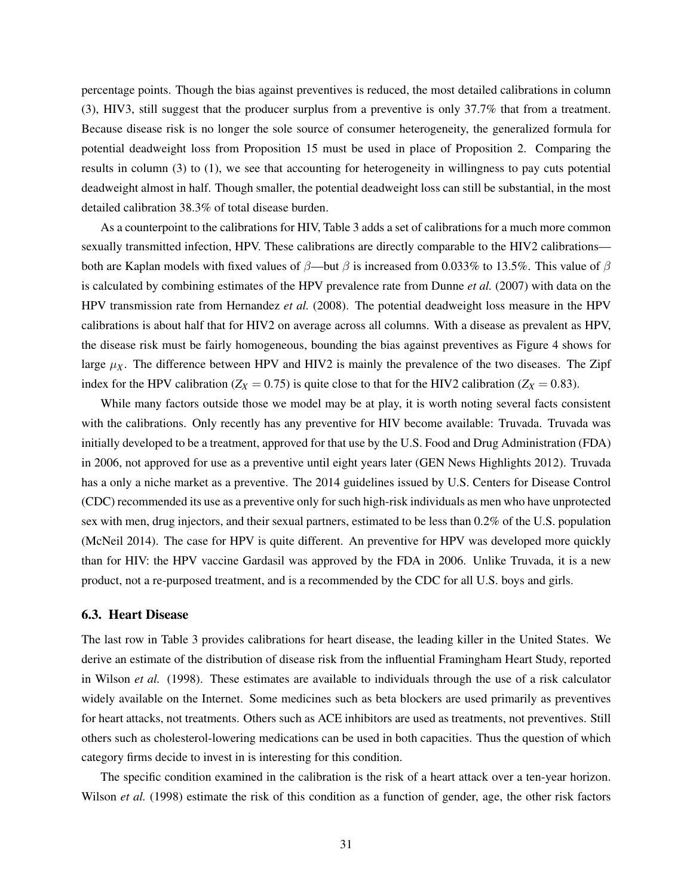percentage points. Though the bias against preventives is reduced, the most detailed calibrations in column (3), HIV3, still suggest that the producer surplus from a preventive is only 37.7% that from a treatment. Because disease risk is no longer the sole source of consumer heterogeneity, the generalized formula for potential deadweight loss from Proposition 15 must be used in place of Proposition 2. Comparing the results in column (3) to (1), we see that accounting for heterogeneity in willingness to pay cuts potential deadweight almost in half. Though smaller, the potential deadweight loss can still be substantial, in the most detailed calibration 38.3% of total disease burden.

As a counterpoint to the calibrations for HIV, Table 3 adds a set of calibrations for a much more common sexually transmitted infection, HPV. These calibrations are directly comparable to the HIV2 calibrations both are Kaplan models with fixed values of *β*—but *β* is increased from 0.033% to 13.5%. This value of *β* is calculated by combining estimates of the HPV prevalence rate from Dunne *et al.* (2007) with data on the HPV transmission rate from Hernandez *et al.* (2008). The potential deadweight loss measure in the HPV calibrations is about half that for HIV2 on average across all columns. With a disease as prevalent as HPV, the disease risk must be fairly homogeneous, bounding the bias against preventives as Figure 4 shows for large  $\mu_X$ . The difference between HPV and HIV2 is mainly the prevalence of the two diseases. The Zipf index for the HPV calibration ( $Z_X = 0.75$ ) is quite close to that for the HIV2 calibration ( $Z_X = 0.83$ ).

While many factors outside those we model may be at play, it is worth noting several facts consistent with the calibrations. Only recently has any preventive for HIV become available: Truvada. Truvada was initially developed to be a treatment, approved for that use by the U.S. Food and Drug Administration (FDA) in 2006, not approved for use as a preventive until eight years later (GEN News Highlights 2012). Truvada has a only a niche market as a preventive. The 2014 guidelines issued by U.S. Centers for Disease Control (CDC) recommended its use as a preventive only for such high-risk individuals as men who have unprotected sex with men, drug injectors, and their sexual partners, estimated to be less than 0.2% of the U.S. population (McNeil 2014). The case for HPV is quite different. An preventive for HPV was developed more quickly than for HIV: the HPV vaccine Gardasil was approved by the FDA in 2006. Unlike Truvada, it is a new product, not a re-purposed treatment, and is a recommended by the CDC for all U.S. boys and girls.

#### 6.3. Heart Disease

The last row in Table 3 provides calibrations for heart disease, the leading killer in the United States. We derive an estimate of the distribution of disease risk from the influential Framingham Heart Study, reported in Wilson *et al.* (1998). These estimates are available to individuals through the use of a risk calculator widely available on the Internet. Some medicines such as beta blockers are used primarily as preventives for heart attacks, not treatments. Others such as ACE inhibitors are used as treatments, not preventives. Still others such as cholesterol-lowering medications can be used in both capacities. Thus the question of which category firms decide to invest in is interesting for this condition.

The specific condition examined in the calibration is the risk of a heart attack over a ten-year horizon. Wilson *et al.* (1998) estimate the risk of this condition as a function of gender, age, the other risk factors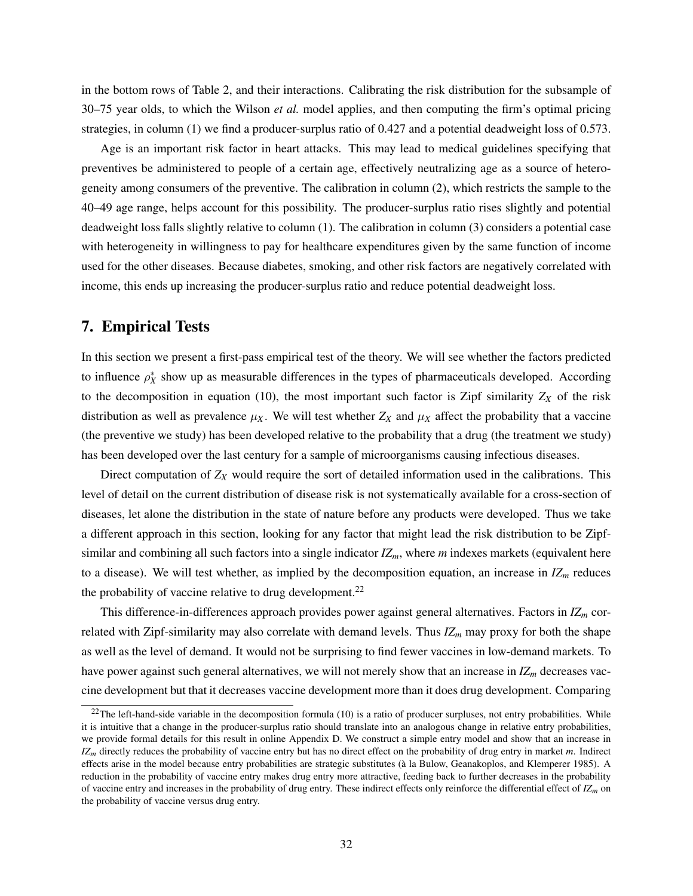in the bottom rows of Table 2, and their interactions. Calibrating the risk distribution for the subsample of 30–75 year olds, to which the Wilson *et al.* model applies, and then computing the firm's optimal pricing strategies, in column (1) we find a producer-surplus ratio of 0.427 and a potential deadweight loss of 0.573.

Age is an important risk factor in heart attacks. This may lead to medical guidelines specifying that preventives be administered to people of a certain age, effectively neutralizing age as a source of heterogeneity among consumers of the preventive. The calibration in column (2), which restricts the sample to the 40–49 age range, helps account for this possibility. The producer-surplus ratio rises slightly and potential deadweight loss falls slightly relative to column (1). The calibration in column (3) considers a potential case with heterogeneity in willingness to pay for healthcare expenditures given by the same function of income used for the other diseases. Because diabetes, smoking, and other risk factors are negatively correlated with income, this ends up increasing the producer-surplus ratio and reduce potential deadweight loss.

## 7. Empirical Tests

In this section we present a first-pass empirical test of the theory. We will see whether the factors predicted to influence  $\rho_X^*$  show up as measurable differences in the types of pharmaceuticals developed. According to the decomposition in equation (10), the most important such factor is Zipf similarity  $Z_X$  of the risk distribution as well as prevalence  $\mu_X$ . We will test whether  $Z_X$  and  $\mu_X$  affect the probability that a vaccine (the preventive we study) has been developed relative to the probability that a drug (the treatment we study) has been developed over the last century for a sample of microorganisms causing infectious diseases.

Direct computation of  $Z_X$  would require the sort of detailed information used in the calibrations. This level of detail on the current distribution of disease risk is not systematically available for a cross-section of diseases, let alone the distribution in the state of nature before any products were developed. Thus we take a different approach in this section, looking for any factor that might lead the risk distribution to be Zipfsimilar and combining all such factors into a single indicator *IZm*, where *m* indexes markets (equivalent here to a disease). We will test whether, as implied by the decomposition equation, an increase in *IZ<sup>m</sup>* reduces the probability of vaccine relative to drug development.<sup>22</sup>

This difference-in-differences approach provides power against general alternatives. Factors in *IZ<sup>m</sup>* correlated with Zipf-similarity may also correlate with demand levels. Thus *IZ<sup>m</sup>* may proxy for both the shape as well as the level of demand. It would not be surprising to find fewer vaccines in low-demand markets. To have power against such general alternatives, we will not merely show that an increase in *IZ<sup>m</sup>* decreases vaccine development but that it decreases vaccine development more than it does drug development. Comparing

 $^{22}$ The left-hand-side variable in the decomposition formula (10) is a ratio of producer surpluses, not entry probabilities. While it is intuitive that a change in the producer-surplus ratio should translate into an analogous change in relative entry probabilities, we provide formal details for this result in online Appendix D. We construct a simple entry model and show that an increase in *IZm* directly reduces the probability of vaccine entry but has no direct effect on the probability of drug entry in market *m*. Indirect effects arise in the model because entry probabilities are strategic substitutes (à la Bulow, Geanakoplos, and Klemperer 1985). A reduction in the probability of vaccine entry makes drug entry more attractive, feeding back to further decreases in the probability of vaccine entry and increases in the probability of drug entry. These indirect effects only reinforce the differential effect of *IZm* on the probability of vaccine versus drug entry.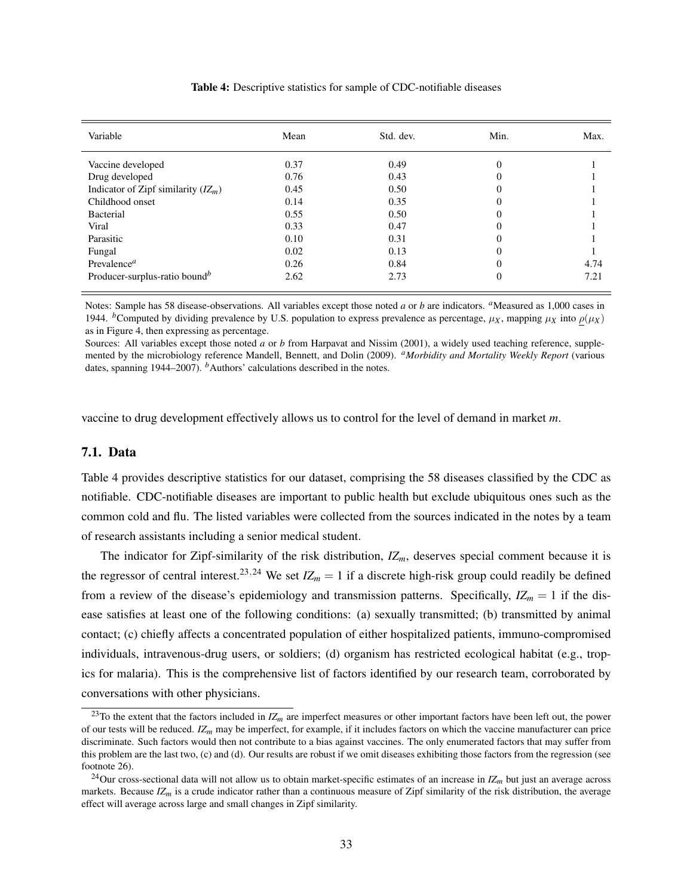| Variable                                  | Mean | Std. dev. | Min.     | Max. |
|-------------------------------------------|------|-----------|----------|------|
| Vaccine developed                         | 0.37 | 0.49      | 0        |      |
| Drug developed                            | 0.76 | 0.43      |          |      |
| Indicator of Zipf similarity $(IZ_m)$     | 0.45 | 0.50      | $\theta$ |      |
| Childhood onset                           | 0.14 | 0.35      |          |      |
| <b>Bacterial</b>                          | 0.55 | 0.50      |          |      |
| Viral                                     | 0.33 | 0.47      |          |      |
| Parasitic                                 | 0.10 | 0.31      |          |      |
| Fungal                                    | 0.02 | 0.13      |          |      |
| Prevalence <sup>a</sup>                   | 0.26 | 0.84      |          | 4.74 |
| Producer-surplus-ratio bound <sup>b</sup> | 2.62 | 2.73      | 0        | 7.21 |

#### Table 4: Descriptive statistics for sample of CDC-notifiable diseases

Notes: Sample has 58 disease-observations. All variables except those noted *a* or *b* are indicators. *a*Measured as 1,000 cases in 1944. *b*Computed by dividing prevalence by U.S. population to express prevalence as percentage,  $\mu_X$ , mapping  $\mu_X$  into  $\rho(\mu_X)$ as in Figure 4, then expressing as percentage.

Sources: All variables except those noted *a* or *b* from Harpavat and Nissim (2001), a widely used teaching reference, supplemented by the microbiology reference Mandell, Bennett, and Dolin (2009). *<sup>a</sup>Morbidity and Mortality Weekly Report* (various dates, spanning 1944–2007). <sup>*b*</sup>Authors' calculations described in the notes.

vaccine to drug development effectively allows us to control for the level of demand in market *m*.

#### 7.1. Data

Table 4 provides descriptive statistics for our dataset, comprising the 58 diseases classified by the CDC as notifiable. CDC-notifiable diseases are important to public health but exclude ubiquitous ones such as the common cold and flu. The listed variables were collected from the sources indicated in the notes by a team of research assistants including a senior medical student.

The indicator for Zipf-similarity of the risk distribution, *IZm*, deserves special comment because it is the regressor of central interest.<sup>23,24</sup> We set  $IZ_m = 1$  if a discrete high-risk group could readily be defined from a review of the disease's epidemiology and transmission patterns. Specifically,  $IZ_m = 1$  if the disease satisfies at least one of the following conditions: (a) sexually transmitted; (b) transmitted by animal contact; (c) chiefly affects a concentrated population of either hospitalized patients, immuno-compromised individuals, intravenous-drug users, or soldiers; (d) organism has restricted ecological habitat (e.g., tropics for malaria). This is the comprehensive list of factors identified by our research team, corroborated by conversations with other physicians.

<sup>&</sup>lt;sup>23</sup>To the extent that the factors included in  $IZ_m$  are imperfect measures or other important factors have been left out, the power of our tests will be reduced. *IZm* may be imperfect, for example, if it includes factors on which the vaccine manufacturer can price discriminate. Such factors would then not contribute to a bias against vaccines. The only enumerated factors that may suffer from this problem are the last two, (c) and (d). Our results are robust if we omit diseases exhibiting those factors from the regression (see footnote 26).

<sup>&</sup>lt;sup>24</sup>Our cross-sectional data will not allow us to obtain market-specific estimates of an increase in  $IZ_m$  but just an average across markets. Because  $IZ_m$  is a crude indicator rather than a continuous measure of Zipf similarity of the risk distribution, the average effect will average across large and small changes in Zipf similarity.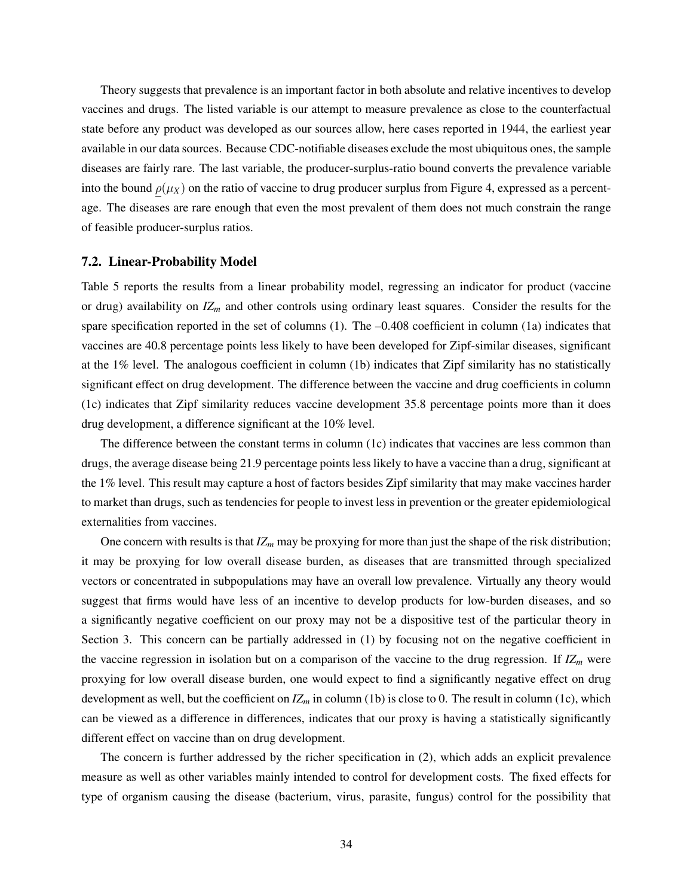Theory suggests that prevalence is an important factor in both absolute and relative incentives to develop vaccines and drugs. The listed variable is our attempt to measure prevalence as close to the counterfactual state before any product was developed as our sources allow, here cases reported in 1944, the earliest year available in our data sources. Because CDC-notifiable diseases exclude the most ubiquitous ones, the sample diseases are fairly rare. The last variable, the producer-surplus-ratio bound converts the prevalence variable into the bound  $\rho(\mu_X)$  on the ratio of vaccine to drug producer surplus from Figure 4, expressed as a percentage. The diseases are rare enough that even the most prevalent of them does not much constrain the range of feasible producer-surplus ratios.

#### 7.2. Linear-Probability Model

Table 5 reports the results from a linear probability model, regressing an indicator for product (vaccine or drug) availability on *IZ<sup>m</sup>* and other controls using ordinary least squares. Consider the results for the spare specification reported in the set of columns (1). The  $-0.408$  coefficient in column (1a) indicates that vaccines are 40.8 percentage points less likely to have been developed for Zipf-similar diseases, significant at the 1% level. The analogous coefficient in column (1b) indicates that Zipf similarity has no statistically significant effect on drug development. The difference between the vaccine and drug coefficients in column (1c) indicates that Zipf similarity reduces vaccine development 35.8 percentage points more than it does drug development, a difference significant at the 10% level.

The difference between the constant terms in column (1c) indicates that vaccines are less common than drugs, the average disease being 21.9 percentage points less likely to have a vaccine than a drug, significant at the 1% level. This result may capture a host of factors besides Zipf similarity that may make vaccines harder to market than drugs, such as tendencies for people to invest less in prevention or the greater epidemiological externalities from vaccines.

One concern with results is that  $IZ_m$  may be proxying for more than just the shape of the risk distribution; it may be proxying for low overall disease burden, as diseases that are transmitted through specialized vectors or concentrated in subpopulations may have an overall low prevalence. Virtually any theory would suggest that firms would have less of an incentive to develop products for low-burden diseases, and so a significantly negative coefficient on our proxy may not be a dispositive test of the particular theory in Section 3. This concern can be partially addressed in (1) by focusing not on the negative coefficient in the vaccine regression in isolation but on a comparison of the vaccine to the drug regression. If  $IZ<sub>m</sub>$  were proxying for low overall disease burden, one would expect to find a significantly negative effect on drug development as well, but the coefficient on  $IZ_m$  in column (1b) is close to 0. The result in column (1c), which can be viewed as a difference in differences, indicates that our proxy is having a statistically significantly different effect on vaccine than on drug development.

The concern is further addressed by the richer specification in (2), which adds an explicit prevalence measure as well as other variables mainly intended to control for development costs. The fixed effects for type of organism causing the disease (bacterium, virus, parasite, fungus) control for the possibility that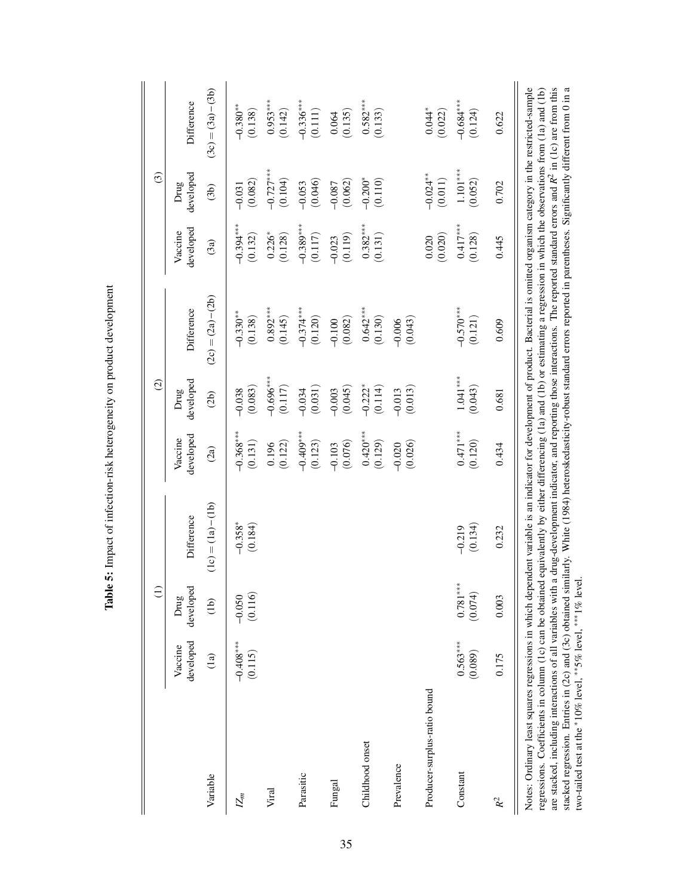|                                                                                                                                                                                                                                                                                                                                                                                                                                                                                                                                                                                                                                                                                                                                                                                                                                             |                        | Ξ                     |                      |                        | $\widehat{c}$          |                        |                        | $\overline{c}$           |                        |
|---------------------------------------------------------------------------------------------------------------------------------------------------------------------------------------------------------------------------------------------------------------------------------------------------------------------------------------------------------------------------------------------------------------------------------------------------------------------------------------------------------------------------------------------------------------------------------------------------------------------------------------------------------------------------------------------------------------------------------------------------------------------------------------------------------------------------------------------|------------------------|-----------------------|----------------------|------------------------|------------------------|------------------------|------------------------|--------------------------|------------------------|
|                                                                                                                                                                                                                                                                                                                                                                                                                                                                                                                                                                                                                                                                                                                                                                                                                                             | developed<br>Vaccine   | developed<br>Drug     | Difference           | developed<br>Vaccine   | developed<br>Drug      | Difference             | developed<br>Vaccine   | developed<br>Drug        | Difference             |
| Variable                                                                                                                                                                                                                                                                                                                                                                                                                                                                                                                                                                                                                                                                                                                                                                                                                                    | (1a)                   | $\overline{d}$        | $(1c) = (1a) - (1b)$ | (2a)                   | (2b)                   | $(2c) = (2a) - (2b)$   | (3a)                   | (3b)                     | $(3c) = (3a) - (3b)$   |
| $I\!Z_m$                                                                                                                                                                                                                                                                                                                                                                                                                                                                                                                                                                                                                                                                                                                                                                                                                                    | $-0.408***$<br>(0.115) | (0.116)<br>$-0.050$   | $-0.358*$<br>(0.184) | $-0.368***$<br>(0.131) | (0.083)<br>$-0.038$    | $-0.330***$<br>(0.138) | $-0.394***$<br>(0.132) | (0.082)<br>$-0.031$      | $-0.380**$<br>(0.138)  |
| Viral                                                                                                                                                                                                                                                                                                                                                                                                                                                                                                                                                                                                                                                                                                                                                                                                                                       |                        |                       |                      | (0.122)<br>0.196       | $-0.696***$<br>(0.117) | $0.892***$<br>(0.145)  | $0.226*$<br>(0.128)    | $-0.727***$<br>(0.104)   | $0.953***$<br>(0.142)  |
| Parasitic                                                                                                                                                                                                                                                                                                                                                                                                                                                                                                                                                                                                                                                                                                                                                                                                                                   |                        |                       |                      | $-0.409***$<br>(0.123) | (0.031)<br>$-0.034$    | $-0.374***$<br>(0.120) | $-0.389***$<br>(0.117) | (0.046)<br>$-0.053$      | $-0.336***$<br>(0.111) |
| Fungal                                                                                                                                                                                                                                                                                                                                                                                                                                                                                                                                                                                                                                                                                                                                                                                                                                      |                        |                       |                      | (0.076)<br>$-0.103$    | (0.045)<br>$-0.003$    | (0.082)<br>$-0.100$    | (0.119)<br>$-0.023$    | (0.062)<br>$-0.087$      | (0.135)<br>0.064       |
| Childhood onset                                                                                                                                                                                                                                                                                                                                                                                                                                                                                                                                                                                                                                                                                                                                                                                                                             |                        |                       |                      | $0.420***$<br>(0.129)  | $-0.222*$<br>(0.114)   | $0.642***$<br>(0.130)  | $0.382***$<br>(0.131)  | $-0.200*$<br>(0.110)     | $0.582***$<br>(0.133)  |
| Prevalence                                                                                                                                                                                                                                                                                                                                                                                                                                                                                                                                                                                                                                                                                                                                                                                                                                  |                        |                       |                      | (0.026)<br>$-0.020$    | (0.013)<br>$-0.013$    | (0.043)<br>$-0.006$    |                        |                          |                        |
| Producer-surplus-ratio bound                                                                                                                                                                                                                                                                                                                                                                                                                                                                                                                                                                                                                                                                                                                                                                                                                |                        |                       |                      |                        |                        |                        | (0.020)<br>0.020       | $-0.024**$<br>(0.011)    | $0.044*$<br>(0.022)    |
| Constant                                                                                                                                                                                                                                                                                                                                                                                                                                                                                                                                                                                                                                                                                                                                                                                                                                    | $0.563***$<br>(0.089)  | $0.781***$<br>(0.074) | (0.134)<br>$-0.219$  | $0.471***$<br>(0.120)  | $1.041***$<br>(0.043)  | $-0.570***$<br>(0.121) | $0.417***$<br>(0.128)  | $1.101^{***}$<br>(0.052) | $-0.684***$<br>(0.124) |
| $\mathcal{R}^2$                                                                                                                                                                                                                                                                                                                                                                                                                                                                                                                                                                                                                                                                                                                                                                                                                             | 0.175                  | 0.003                 | 0.232                | 0.434                  | 0.681                  | 0.609                  | 0.445                  | 0.702                    | 0.622                  |
| are stacked, including interactions of all variables with a drug-development indicator, and reporting those interactions. The reported standard errors and R <sup>2</sup> in (1c) are from this<br>stacked regression. Entries in (2c) and (3c) obtained similarly. White (1984) heteroskedasticity-robust standard errors reported in parentheses. Significantly different from 0 in a<br>Notes: Ordinary least squares regressions in which dependent variable is an indicator for development of product. Bacterial is omitted organism category in the restricted-sample<br>regressions. Coefficients in column $(1c)$ can be obtained equivalently by either differencing $(1a)$ and $(1b)$ or estimating a regression in which the observations from $(1a)$ and $(1b)$<br>two-tailed test at the *10% level, **5% level, ***1% level. |                        |                       |                      |                        |                        |                        |                        |                          |                        |

two-tailed test at the *∗*10% level, *∗∗*5% level, *∗∗∗*1% level.

Table 5: Impact of infection-risk heterogeneity on product development Table 5: Impact of infection-risk heterogeneity on product development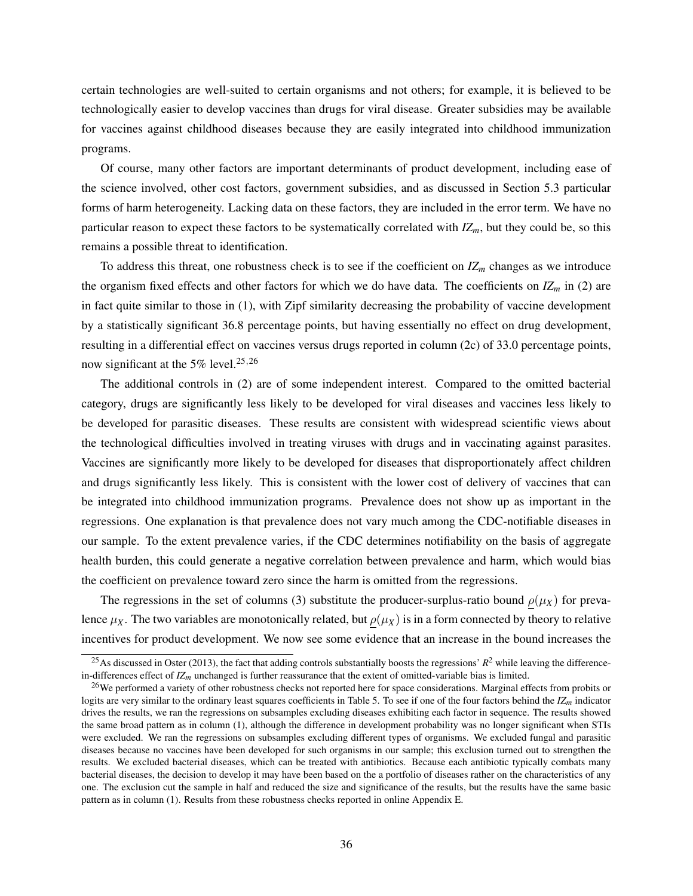certain technologies are well-suited to certain organisms and not others; for example, it is believed to be technologically easier to develop vaccines than drugs for viral disease. Greater subsidies may be available for vaccines against childhood diseases because they are easily integrated into childhood immunization programs.

Of course, many other factors are important determinants of product development, including ease of the science involved, other cost factors, government subsidies, and as discussed in Section 5.3 particular forms of harm heterogeneity. Lacking data on these factors, they are included in the error term. We have no particular reason to expect these factors to be systematically correlated with *IZm*, but they could be, so this remains a possible threat to identification.

To address this threat, one robustness check is to see if the coefficient on  $IZ<sub>m</sub>$  changes as we introduce the organism fixed effects and other factors for which we do have data. The coefficients on *IZ<sup>m</sup>* in (2) are in fact quite similar to those in (1), with Zipf similarity decreasing the probability of vaccine development by a statistically significant 36.8 percentage points, but having essentially no effect on drug development, resulting in a differential effect on vaccines versus drugs reported in column (2c) of 33.0 percentage points, now significant at the 5% level.25*,*<sup>26</sup>

The additional controls in (2) are of some independent interest. Compared to the omitted bacterial category, drugs are significantly less likely to be developed for viral diseases and vaccines less likely to be developed for parasitic diseases. These results are consistent with widespread scientific views about the technological difficulties involved in treating viruses with drugs and in vaccinating against parasites. Vaccines are significantly more likely to be developed for diseases that disproportionately affect children and drugs significantly less likely. This is consistent with the lower cost of delivery of vaccines that can be integrated into childhood immunization programs. Prevalence does not show up as important in the regressions. One explanation is that prevalence does not vary much among the CDC-notifiable diseases in our sample. To the extent prevalence varies, if the CDC determines notifiability on the basis of aggregate health burden, this could generate a negative correlation between prevalence and harm, which would bias the coefficient on prevalence toward zero since the harm is omitted from the regressions.

The regressions in the set of columns (3) substitute the producer-surplus-ratio bound  $\rho(\mu_X)$  for prevalence  $\mu_X$ . The two variables are monotonically related, but  $\rho(\mu_X)$  is in a form connected by theory to relative incentives for product development. We now see some evidence that an increase in the bound increases the

<sup>&</sup>lt;sup>25</sup>As discussed in Oster (2013), the fact that adding controls substantially boosts the regressions'  $R^2$  while leaving the differencein-differences effect of *IZm* unchanged is further reassurance that the extent of omitted-variable bias is limited.

<sup>&</sup>lt;sup>26</sup>We performed a variety of other robustness checks not reported here for space considerations. Marginal effects from probits or logits are very similar to the ordinary least squares coefficients in Table 5. To see if one of the four factors behind the *IZm* indicator drives the results, we ran the regressions on subsamples excluding diseases exhibiting each factor in sequence. The results showed the same broad pattern as in column (1), although the difference in development probability was no longer significant when STIs were excluded. We ran the regressions on subsamples excluding different types of organisms. We excluded fungal and parasitic diseases because no vaccines have been developed for such organisms in our sample; this exclusion turned out to strengthen the results. We excluded bacterial diseases, which can be treated with antibiotics. Because each antibiotic typically combats many bacterial diseases, the decision to develop it may have been based on the a portfolio of diseases rather on the characteristics of any one. The exclusion cut the sample in half and reduced the size and significance of the results, but the results have the same basic pattern as in column (1). Results from these robustness checks reported in online Appendix E.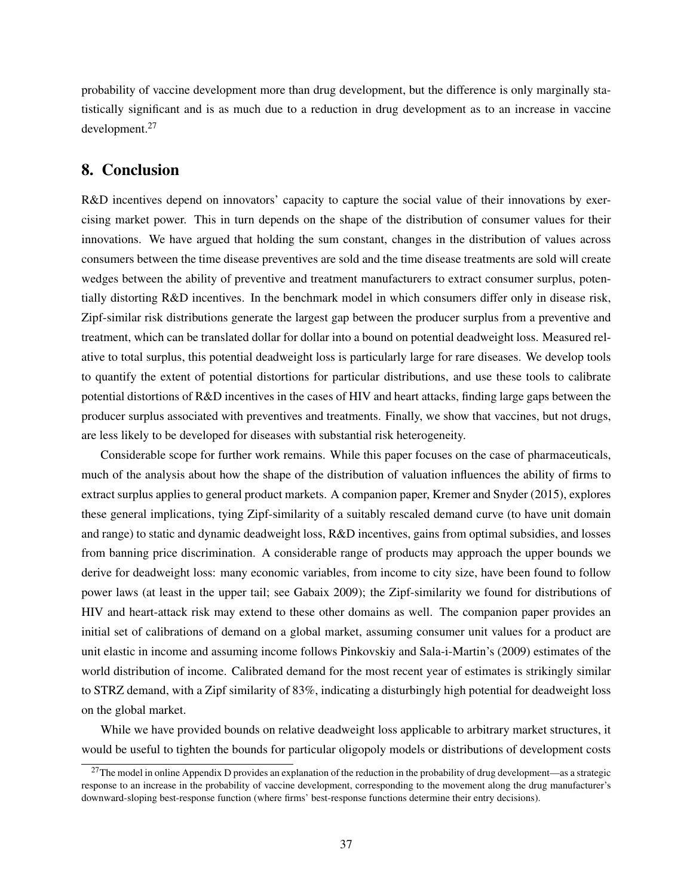probability of vaccine development more than drug development, but the difference is only marginally statistically significant and is as much due to a reduction in drug development as to an increase in vaccine development.<sup>27</sup>

# 8. Conclusion

R&D incentives depend on innovators' capacity to capture the social value of their innovations by exercising market power. This in turn depends on the shape of the distribution of consumer values for their innovations. We have argued that holding the sum constant, changes in the distribution of values across consumers between the time disease preventives are sold and the time disease treatments are sold will create wedges between the ability of preventive and treatment manufacturers to extract consumer surplus, potentially distorting R&D incentives. In the benchmark model in which consumers differ only in disease risk, Zipf-similar risk distributions generate the largest gap between the producer surplus from a preventive and treatment, which can be translated dollar for dollar into a bound on potential deadweight loss. Measured relative to total surplus, this potential deadweight loss is particularly large for rare diseases. We develop tools to quantify the extent of potential distortions for particular distributions, and use these tools to calibrate potential distortions of R&D incentives in the cases of HIV and heart attacks, finding large gaps between the producer surplus associated with preventives and treatments. Finally, we show that vaccines, but not drugs, are less likely to be developed for diseases with substantial risk heterogeneity.

Considerable scope for further work remains. While this paper focuses on the case of pharmaceuticals, much of the analysis about how the shape of the distribution of valuation influences the ability of firms to extract surplus applies to general product markets. A companion paper, Kremer and Snyder (2015), explores these general implications, tying Zipf-similarity of a suitably rescaled demand curve (to have unit domain and range) to static and dynamic deadweight loss, R&D incentives, gains from optimal subsidies, and losses from banning price discrimination. A considerable range of products may approach the upper bounds we derive for deadweight loss: many economic variables, from income to city size, have been found to follow power laws (at least in the upper tail; see Gabaix 2009); the Zipf-similarity we found for distributions of HIV and heart-attack risk may extend to these other domains as well. The companion paper provides an initial set of calibrations of demand on a global market, assuming consumer unit values for a product are unit elastic in income and assuming income follows Pinkovskiy and Sala-i-Martin's (2009) estimates of the world distribution of income. Calibrated demand for the most recent year of estimates is strikingly similar to STRZ demand, with a Zipf similarity of 83%, indicating a disturbingly high potential for deadweight loss on the global market.

While we have provided bounds on relative deadweight loss applicable to arbitrary market structures, it would be useful to tighten the bounds for particular oligopoly models or distributions of development costs

<sup>&</sup>lt;sup>27</sup>The model in online Appendix D provides an explanation of the reduction in the probability of drug development—as a strategic response to an increase in the probability of vaccine development, corresponding to the movement along the drug manufacturer's downward-sloping best-response function (where firms' best-response functions determine their entry decisions).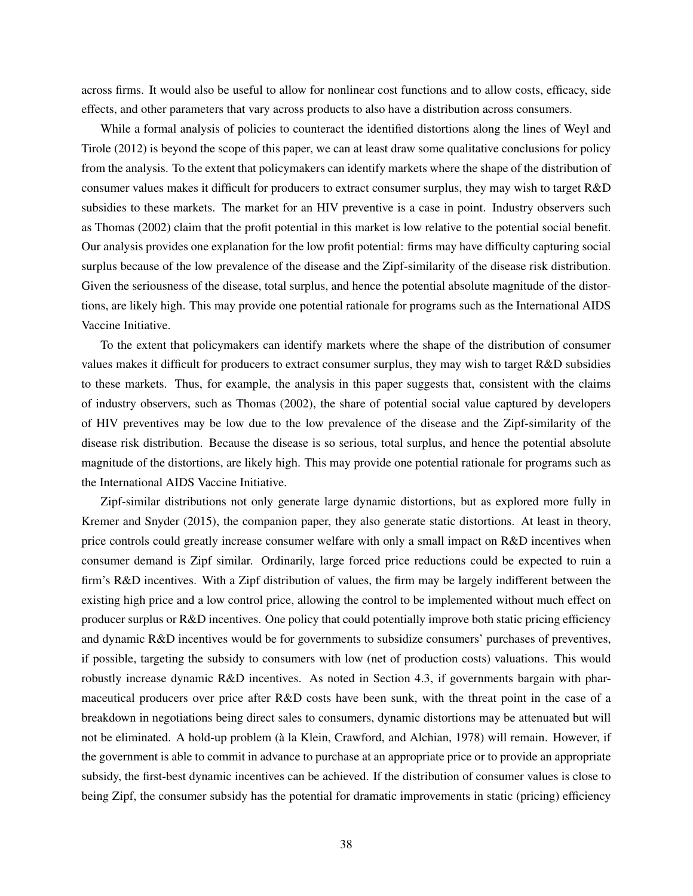across firms. It would also be useful to allow for nonlinear cost functions and to allow costs, efficacy, side effects, and other parameters that vary across products to also have a distribution across consumers.

While a formal analysis of policies to counteract the identified distortions along the lines of Weyl and Tirole (2012) is beyond the scope of this paper, we can at least draw some qualitative conclusions for policy from the analysis. To the extent that policymakers can identify markets where the shape of the distribution of consumer values makes it difficult for producers to extract consumer surplus, they may wish to target R&D subsidies to these markets. The market for an HIV preventive is a case in point. Industry observers such as Thomas (2002) claim that the profit potential in this market is low relative to the potential social benefit. Our analysis provides one explanation for the low profit potential: firms may have difficulty capturing social surplus because of the low prevalence of the disease and the Zipf-similarity of the disease risk distribution. Given the seriousness of the disease, total surplus, and hence the potential absolute magnitude of the distortions, are likely high. This may provide one potential rationale for programs such as the International AIDS Vaccine Initiative.

To the extent that policymakers can identify markets where the shape of the distribution of consumer values makes it difficult for producers to extract consumer surplus, they may wish to target R&D subsidies to these markets. Thus, for example, the analysis in this paper suggests that, consistent with the claims of industry observers, such as Thomas (2002), the share of potential social value captured by developers of HIV preventives may be low due to the low prevalence of the disease and the Zipf-similarity of the disease risk distribution. Because the disease is so serious, total surplus, and hence the potential absolute magnitude of the distortions, are likely high. This may provide one potential rationale for programs such as the International AIDS Vaccine Initiative.

Zipf-similar distributions not only generate large dynamic distortions, but as explored more fully in Kremer and Snyder (2015), the companion paper, they also generate static distortions. At least in theory, price controls could greatly increase consumer welfare with only a small impact on R&D incentives when consumer demand is Zipf similar. Ordinarily, large forced price reductions could be expected to ruin a firm's R&D incentives. With a Zipf distribution of values, the firm may be largely indifferent between the existing high price and a low control price, allowing the control to be implemented without much effect on producer surplus or R&D incentives. One policy that could potentially improve both static pricing efficiency and dynamic R&D incentives would be for governments to subsidize consumers' purchases of preventives, if possible, targeting the subsidy to consumers with low (net of production costs) valuations. This would robustly increase dynamic R&D incentives. As noted in Section 4.3, if governments bargain with pharmaceutical producers over price after R&D costs have been sunk, with the threat point in the case of a breakdown in negotiations being direct sales to consumers, dynamic distortions may be attenuated but will not be eliminated. A hold-up problem (à la Klein, Crawford, and Alchian, 1978) will remain. However, if the government is able to commit in advance to purchase at an appropriate price or to provide an appropriate subsidy, the first-best dynamic incentives can be achieved. If the distribution of consumer values is close to being Zipf, the consumer subsidy has the potential for dramatic improvements in static (pricing) efficiency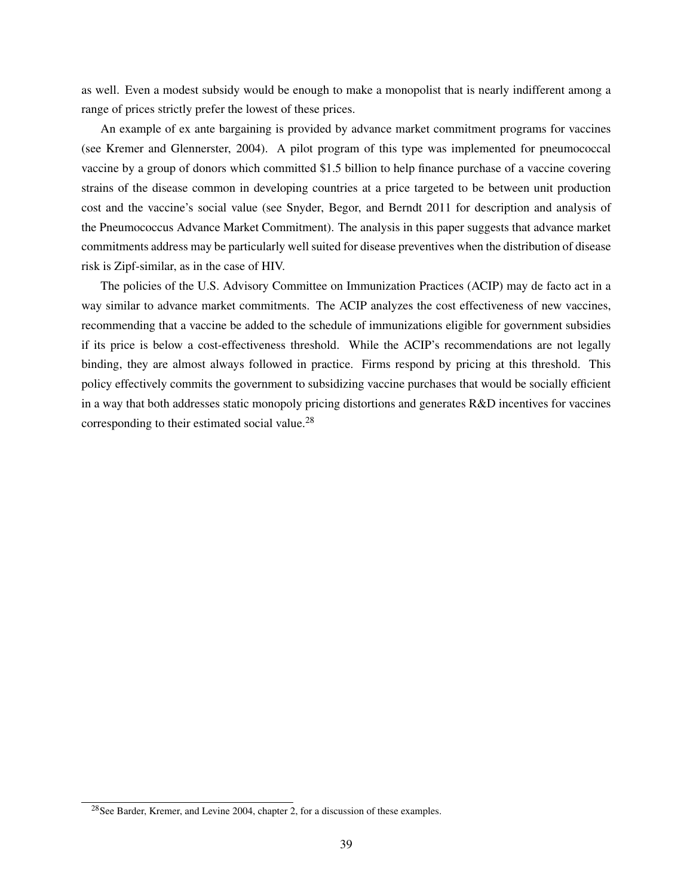as well. Even a modest subsidy would be enough to make a monopolist that is nearly indifferent among a range of prices strictly prefer the lowest of these prices.

An example of ex ante bargaining is provided by advance market commitment programs for vaccines (see Kremer and Glennerster, 2004). A pilot program of this type was implemented for pneumococcal vaccine by a group of donors which committed \$1.5 billion to help finance purchase of a vaccine covering strains of the disease common in developing countries at a price targeted to be between unit production cost and the vaccine's social value (see Snyder, Begor, and Berndt 2011 for description and analysis of the Pneumococcus Advance Market Commitment). The analysis in this paper suggests that advance market commitments address may be particularly well suited for disease preventives when the distribution of disease risk is Zipf-similar, as in the case of HIV.

The policies of the U.S. Advisory Committee on Immunization Practices (ACIP) may de facto act in a way similar to advance market commitments. The ACIP analyzes the cost effectiveness of new vaccines, recommending that a vaccine be added to the schedule of immunizations eligible for government subsidies if its price is below a cost-effectiveness threshold. While the ACIP's recommendations are not legally binding, they are almost always followed in practice. Firms respond by pricing at this threshold. This policy effectively commits the government to subsidizing vaccine purchases that would be socially efficient in a way that both addresses static monopoly pricing distortions and generates R&D incentives for vaccines corresponding to their estimated social value.<sup>28</sup>

<sup>28</sup>See Barder, Kremer, and Levine 2004, chapter 2, for a discussion of these examples.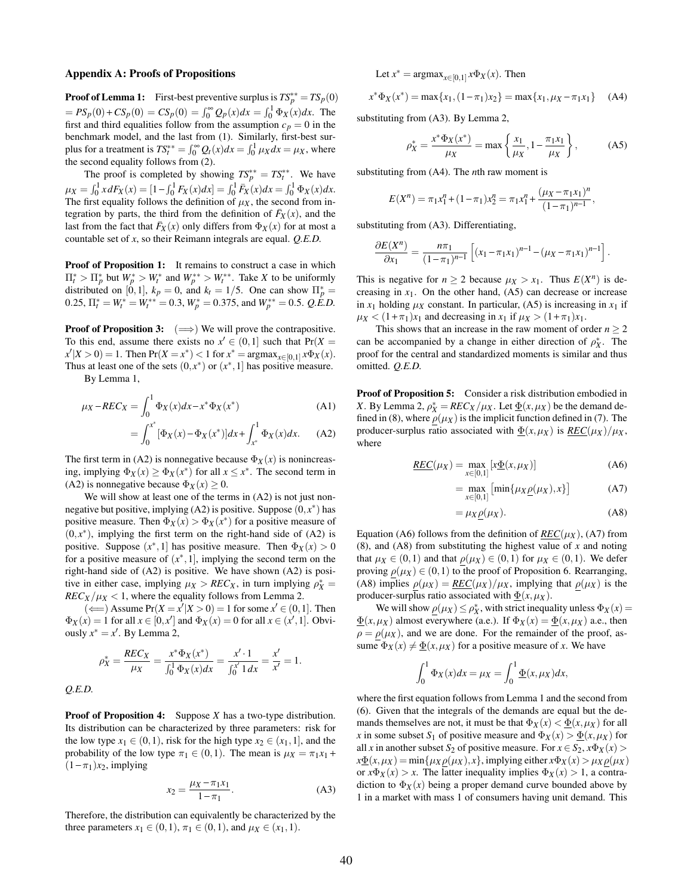#### Appendix A: Proofs of Propositions

**Proof of Lemma 1:** First-best preventive surplus is  $TS_p^{**} = TS_p(0)$  $= PS_p(0) + CS_p(0) = CS_p(0) = \int_0^\infty Q_p(x) dx = \int_0^1 \Phi_X(x) dx$ . The first and third equalities follow from the assumption  $c_p = 0$  in the benchmark model, and the last from (1). Similarly, first-best surplus for a treatment is  $TS_t^{**} = \int_0^\infty Q_t(x) dx = \int_0^1 \mu_X dx = \mu_X$ , where the second equality follows from (2).

The proof is completed by showing  $TS_p^{**} = TS_t^{**}$ . We have  $\mu_X = \int_0^1 x dF_X(x) = \left[1 - \int_0^1 F_X(x) dx\right] = \int_0^1 \overline{F}_X(x) dx = \int_0^1 \Phi_X(x) dx.$ The first equality follows the definition of  $\mu_X$ , the second from integration by parts, the third from the definition of  $F_X(x)$ , and the last from the fact that  $\bar{F}_X(x)$  only differs from  $\Phi_X(x)$  for at most a countable set of *x*, so their Reimann integrals are equal. *Q.E.D.*

Proof of Proposition 1: It remains to construct a case in which  $\Pi_t^* > \Pi_p^*$  but  $W_p^* > W_t^*$  and  $W_p^{**} > W_t^{**}$ . Take *X* to be uniformly distributed on [0, 1],  $k_p = 0$ , and  $k_t = 1/5$ . One can show  $\prod_{p=1}^{k}$  $0.25, \Pi_t^* = W_t^* = W_t^{**} = 0.3, W_p^* = 0.375, \text{ and } W_p^{**} = 0.5.$  *Q.E.D.* 

Proof of Proposition 3: (**⇒**) We will prove the contrapositive. To this end, assume there exists no  $x' \in (0,1]$  such that  $Pr(X =$  $x'|X > 0$ ) = 1. Then Pr( $X = x^*$ ) < 1 for  $x^* = \text{argmax}_{x \in [0,1]} x \Phi_X(x)$ . Thus at least one of the sets  $(0, x^*)$  or  $(x^*, 1]$  has positive measure.

By Lemma 1,

$$
\mu_X - REC_X = \int_0^1 \Phi_X(x) dx - x^* \Phi_X(x^*)
$$
\n
$$
= \int_0^{x^*} [\Phi_X(x) - \Phi_X(x^*)] dx + \int_{x^*}^1 \Phi_X(x) dx.
$$
\n(A2)

The first term in (A2) is nonnegative because  $\Phi_X(x)$  is nonincreasing, implying  $\Phi_X(x) \ge \Phi_X(x^*)$  for all  $x \le x^*$ . The second term in (A2) is nonnegative because  $\Phi_X(x) \geq 0$ .

We will show at least one of the terms in  $(A2)$  is not just nonnegative but positive, implying  $(A2)$  is positive. Suppose  $(0, x^*)$  has positive measure. Then  $\Phi_X(x) > \Phi_X(x^*)$  for a positive measure of  $(0, x^*)$ , implying the first term on the right-hand side of  $(A2)$  is positive. Suppose  $(x^*, 1]$  has positive measure. Then  $\Phi_X(x) > 0$ for a positive measure of  $(x^*, 1]$ , implying the second term on the right-hand side of (A2) is positive. We have shown (A2) is positive in either case, implying  $\mu_X > REC_X$ , in turn implying  $\rho_X^* =$ *, where the equality follows from Lemma 2.* 

 $(\Leftarrow)$  Assume  $Pr(X = x'|X > 0) = 1$  for some  $x' \in (0, 1]$ . Then  $\Phi_X(x) = 1$  for all  $x \in [0, x']$  and  $\Phi_X(x) = 0$  for all  $x \in (x', 1]$ . Obviously  $x^* = x'$ . By Lemma 2,

$$
\rho_X^* = \frac{REC_X}{\mu_X} = \frac{x^* \Phi_X(x^*)}{\int_0^1 \Phi_X(x) dx} = \frac{x' \cdot 1}{\int_0^{x'} 1 dx} = \frac{x'}{x'} = 1.
$$

*Q.E.D.*

Proof of Proposition 4: Suppose *X* has a two-type distribution. Its distribution can be characterized by three parameters: risk for the low type  $x_1 \in (0,1)$ , risk for the high type  $x_2 \in (x_1,1]$ , and the probability of the low type  $\pi_1 \in (0,1)$ . The mean is  $\mu_X = \pi_1 x_1 + \cdots$  $(1 - \pi_1)x_2$ , implying

$$
x_2 = \frac{\mu_X - \pi_1 x_1}{1 - \pi_1}.
$$
 (A3)

Therefore, the distribution can equivalently be characterized by the three parameters  $x_1 \in (0,1)$ ,  $\pi_1 \in (0,1)$ , and  $\mu_X \in (x_1,1)$ .

Let  $x^* = \text{argmax}_{x \in [0,1]} x \Phi_X(x)$ . Then

$$
x^* \Phi_X(x^*) = \max\{x_1, (1 - \pi_1)x_2\} = \max\{x_1, \mu_X - \pi_1 x_1\} \quad (A4)
$$

substituting from (A3). By Lemma 2,

$$
\rho_X^* = \frac{x^* \Phi_X(x^*)}{\mu_X} = \max\left\{\frac{x_1}{\mu_X}, 1 - \frac{\pi_1 x_1}{\mu_X}\right\},\tag{A5}
$$

substituting from (A4). The *n*th raw moment is

$$
E(X^n) = \pi_1 x_1^n + (1 - \pi_1) x_2^n = \pi_1 x_1^n + \frac{(\mu_X - \pi_1 x_1)^n}{(1 - \pi_1)^{n-1}},
$$

substituting from (A3). Differentiating,

$$
\frac{\partial E(X^n)}{\partial x_1} = \frac{n\pi_1}{(1-\pi_1)^{n-1}} \left[ (x_1 - \pi_1 x_1)^{n-1} - (\mu_X - \pi_1 x_1)^{n-1} \right].
$$

This is negative for  $n \ge 2$  because  $\mu_X > x_1$ . Thus  $E(X^n)$  is decreasing in  $x_1$ . On the other hand,  $(A5)$  can decrease or increase in  $x_1$  holding  $\mu_X$  constant. In particular, (A5) is increasing in  $x_1$  if  $\mu_X$  <  $(1+\pi_1)x_1$  and decreasing in  $x_1$  if  $\mu_X$  >  $(1+\pi_1)x_1$ .

This shows that an increase in the raw moment of order  $n \geq 2$ can be accompanied by a change in either direction of  $\rho_X^*$ . The proof for the central and standardized moments is similar and thus omitted. *Q.E.D.*

Proof of Proposition 5: Consider a risk distribution embodied in *X*. By Lemma 2,  $\rho_X^* = REC_X/\mu_X$ . Let  $\underline{\Phi}(x,\mu_X)$  be the demand defined in (8), where  $\rho(\mu_X)$  is the implicit function defined in (7). The producer-surplus ratio associated with  $\underline{\Phi}(x,\mu_X)$  is  $\underline{REC}(\mu_X)/\mu_X$ , where

$$
\underline{REC}(\mu_X) = \max_{x \in [0,1]} [x \underline{\Phi}(x, \mu_X)] \tag{A6}
$$

$$
= \max_{x \in [0,1]} \left[ \min \{ \mu_X \underline{\rho}(\mu_X), x \} \right] \tag{A7}
$$

$$
= \mu_X \underline{\rho}(\mu_X). \tag{A8}
$$

Equation (A6) follows from the definition of  $REC(\mu_X)$ , (A7) from (8), and (A8) from substituting the highest value of *x* and noting that  $\mu_X \in (0,1)$  and that  $\rho(\mu_X) \in (0,1)$  for  $\mu_X \in (0,1)$ . We defer proving  $\rho(\mu_X) \in (0,1)$  to the proof of Proposition 6. Rearranging, (A8) implies  $\rho(\mu_X) = \text{REC}(\mu_X)/\mu_X$ , implying that  $\rho(\mu_X)$  is the producer-surplus ratio associated with  $\underline{\Phi}(x, \mu_X)$ .

We will show  $\underline{\rho}(\mu_X) \le \rho_X^*$ , with strict inequality unless  $\Phi_X(x) =$  $\underline{\Phi}(x,\mu_X)$  almost everywhere (a.e.). If  $\Phi_X(x) = \underline{\Phi}(x,\mu_X)$  a.e., then  $\rho = \rho(\mu_X)$ , and we are done. For the remainder of the proof, assume  $\Phi_X(x) \neq \underline{\Phi}(x, \mu_X)$  for a positive measure of *x*. We have

$$
\int_0^1 \Phi_X(x) dx = \mu_X = \int_0^1 \underline{\Phi}(x, \mu_X) dx,
$$

where the first equation follows from Lemma 1 and the second from (6). Given that the integrals of the demands are equal but the demands themselves are not, it must be that  $\Phi_X(x) < \underline{\Phi}(x, \mu_X)$  for all *x* in some subset *S*<sub>1</sub> of positive measure and  $\Phi_X(x) > \underline{\Phi}(x, \mu_X)$  for all *x* in another subset  $S_2$  of positive measure. For  $x \in S_2$ ,  $x \Phi_X(x)$  $x \underline{\Phi}(x, \mu_X) = \min\{\mu_X \rho(\mu_X), x\}$ , implying either  $x \Phi_X(x) > \mu_X \rho(\mu_X)$ or  $x \Phi_X(x) > x$ . The latter inequality implies  $\Phi_X(x) > 1$ , a contradiction to  $\Phi_X(x)$  being a proper demand curve bounded above by 1 in a market with mass 1 of consumers having unit demand. This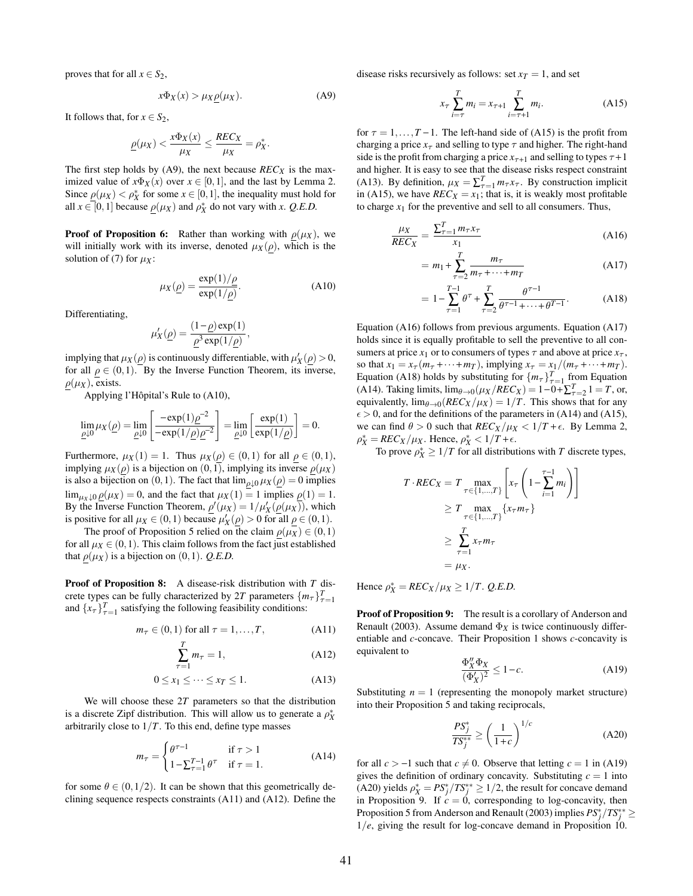proves that for all  $x \in S_2$ ,

$$
x\Phi_X(x) > \mu_X \rho(\mu_X). \tag{A9}
$$

It follows that, for  $x \in S_2$ ,

$$
\underline{\rho}(\mu_X) < \frac{x\Phi_X(x)}{\mu_X} \le \frac{REC_X}{\mu_X} = \rho_X^*.
$$

The first step holds by (A9), the next because  $REC<sub>X</sub>$  is the maximized value of  $x \Phi_X(x)$  over  $x \in [0,1]$ , and the last by Lemma 2. Since  $\rho(\mu_X) < \rho_X^*$  for some  $x \in [0,1]$ , the inequality must hold for all  $x \in [0, 1]$  because  $\rho(\mu_X)$  and  $\rho_X^*$  do not vary with *x*. *Q.E.D.* 

**Proof of Proposition 6:** Rather than working with  $\rho(\mu_X)$ , we will initially work with its inverse, denoted  $\mu_X(\rho)$ , which is the solution of (7) for  $\mu_X$ :

$$
\mu_X(\underline{\rho}) = \frac{\exp(1)/\underline{\rho}}{\exp(1/\rho)}.
$$
 (A10)

Differentiating,

$$
\mu'_X(\underline{\rho}) = \frac{(1-\underline{\rho})\exp(1)}{\underline{\rho}^3\exp(1/\underline{\rho})},
$$

implying that  $\mu_X(\rho)$  is continuously differentiable, with  $\mu'_X(\rho) > 0$ , for all  $\rho \in (0,1)$ . By the Inverse Function Theorem, its inverse,  $\rho(\mu_X)$ , exists.

Applying l'Hôpital's Rule to (A10),

$$
\lim_{\rho \downarrow 0} \mu_X(\rho) = \lim_{\rho \downarrow 0} \left[ \frac{-\exp(1)\rho^{-2}}{-\exp(1/\rho)\rho^{-2}} \right] = \lim_{\rho \downarrow 0} \left[ \frac{\exp(1)}{\exp(1/\rho)} \right] = 0.
$$

Furthermore,  $\mu_X(1) = 1$ . Thus  $\mu_X(\rho) \in (0,1)$  for all  $\rho \in (0,1)$ , implying  $\mu_X(\rho)$  is a bijection on  $(0,1)$ , implying its inverse  $\rho(\mu_X)$ is also a bijection on (0,1). The fact that  $\lim_{\rho \downarrow 0} \mu_X(\rho) = 0$  implies  $\lim_{\mu_X \downarrow 0} \rho(\mu_X) = 0$ , and the fact that  $\mu_X(1) = 1$  implies  $\rho(1) = 1$ . By the Inverse Function Theorem,  $\rho'(\mu_X) = 1/\mu'_X(\rho(\mu_X))$ , which is positive for all  $\mu_X \in (0,1)$  because  $\mu'_X(\underline{\rho}) > 0$  for all  $\underline{\rho} \in (0,1)$ .

The proof of Proposition 5 relied on the claim  $\rho(\mu_X) \in (0, 1)$ for all  $\mu_X \in (0,1)$ . This claim follows from the fact just established that  $\rho(\mu_X)$  is a bijection on  $(0,1)$ . *Q.E.D.* 

Proof of Proposition 8: A disease-risk distribution with *T* discrete types can be fully characterized by 2*T* parameters  $\{m_{\tau}\}_{\tau=1}^{T}$ and  $\{x_{\tau}\}_{\tau=1}^{T}$  satisfying the following feasibility conditions:

$$
m_{\tau} \in (0,1) \text{ for all } \tau = 1,\dots,T,
$$
 (A11)

$$
\sum_{\tau=1}^{T} m_{\tau} = 1, \tag{A12}
$$

$$
0 \le x_1 \le \dots \le x_T \le 1. \tag{A13}
$$

We will choose these 2*T* parameters so that the distribution is a discrete Zipf distribution. This will allow us to generate a  $\rho_X^*$ arbitrarily close to 1*/T*. To this end, define type masses

$$
m_{\tau} = \begin{cases} \theta^{\tau - 1} & \text{if } \tau > 1\\ 1 - \sum_{\tau = 1}^{T - 1} \theta^{\tau} & \text{if } \tau = 1. \end{cases} \tag{A14}
$$

for some  $\theta \in (0, 1/2)$ . It can be shown that this geometrically declining sequence respects constraints (A11) and (A12). Define the disease risks recursively as follows: set  $x_T = 1$ , and set

$$
x_{\tau} \sum_{i=\tau}^{T} m_i = x_{\tau+1} \sum_{i=\tau+1}^{T} m_i.
$$
 (A15)

for  $\tau = 1, \ldots, T-1$ . The left-hand side of (A15) is the profit from charging a price  $x_\tau$  and selling to type  $\tau$  and higher. The right-hand side is the profit from charging a price  $x_{\tau+1}$  and selling to types  $\tau+1$ and higher. It is easy to see that the disease risks respect constraint (A13). By definition,  $\mu_X = \sum_{\tau=1}^T m_\tau x_\tau$ . By construction implicit in (A15), we have  $REC_X = x_1$ ; that is, it is weakly most profitable to charge  $x_1$  for the preventive and sell to all consumers. Thus,

$$
\frac{\mu_X}{REC_X} = \frac{\sum_{\tau=1}^T m_{\tau} x_{\tau}}{x_1}
$$
\n(A16)

$$
= m_1 + \sum_{\tau=2}^{T} \frac{m_\tau}{m_\tau + \dots + m_T}
$$
 (A17)

$$
= 1 - \sum_{\tau=1}^{T-1} \theta^{\tau} + \sum_{\tau=2}^{T} \frac{\theta^{\tau-1}}{\theta^{\tau-1} + \dots + \theta^{T-1}}.
$$
 (A18)

Equation (A16) follows from previous arguments. Equation (A17) holds since it is equally profitable to sell the preventive to all consumers at price  $x_1$  or to consumers of types  $\tau$  and above at price  $x_\tau$ , so that  $x_1 = x_\tau (m_\tau + \cdots + m_T)$ , implying  $x_\tau = x_1/(m_\tau + \cdots + m_T)$ . Equation (A18) holds by substituting for  $\{m_{\tau}\}_{\tau=1}^{T}$  from Equation (A14). Taking limits,  $\lim_{\theta \to 0} (\mu_X / REC_X) = 1 - 0 + \sum_{\tau=2}^T 1 = T$ , or, equivalently,  $\lim_{\theta \to 0} (REC_X/\mu_X) = 1/T$ . This shows that for any  $\epsilon$  > 0, and for the definitions of the parameters in (A14) and (A15), we can find  $\theta > 0$  such that  $REC_X/\mu_X < 1/T + \epsilon$ . By Lemma 2,  $\rho_X^* = REC_X / \mu_X$ . Hence,  $\rho_X^* < 1/T + \epsilon$ .

To prove  $\rho_X^* \geq 1/T$  for all distributions with *T* discrete types,

$$
T \cdot REC_X = T \max_{\tau \in \{1, \dots, T\}} \left[ x_{\tau} \left( 1 - \sum_{i=1}^{\tau - 1} m_i \right) \right]
$$
  
\n
$$
\geq T \max_{\tau \in \{1, \dots, T\}} \{x_{\tau} m_{\tau}\}
$$
  
\n
$$
\geq \sum_{\tau=1}^{T} x_{\tau} m_{\tau}
$$
  
\n
$$
= \mu_X.
$$

 $Hence \rho_X^* = REC_X/\mu_X \ge 1/T$ . *Q.E.D.* 

Proof of Proposition 9: The result is a corollary of Anderson and Renault (2003). Assume demand  $\Phi_X$  is twice continuously differentiable and *c*-concave. Their Proposition 1 shows *c*-concavity is equivalent to

$$
\frac{\Phi''_X \Phi_X}{(\Phi'_X)^2} \le 1 - c.
$$
 (A19)

Substituting  $n = 1$  (representing the monopoly market structure) into their Proposition 5 and taking reciprocals,

$$
\frac{PS_j^*}{TS_j^{**}} \ge \left(\frac{1}{1+c}\right)^{1/c} \tag{A20}
$$

for all  $c > -1$  such that  $c \neq 0$ . Observe that letting  $c = 1$  in (A19) gives the definition of ordinary concavity. Substituting  $c = 1$  into (A20) yields  $\rho_X^* = PS_j^* / TS_j^{**} \ge 1/2$ , the result for concave demand in Proposition 9. If  $c = 0$ , corresponding to log-concavity, then Proposition 5 from Anderson and Renault (2003) implies  $PS_j^*/TS_j^{**} \geq$ 1*/e*, giving the result for log-concave demand in Proposition 10.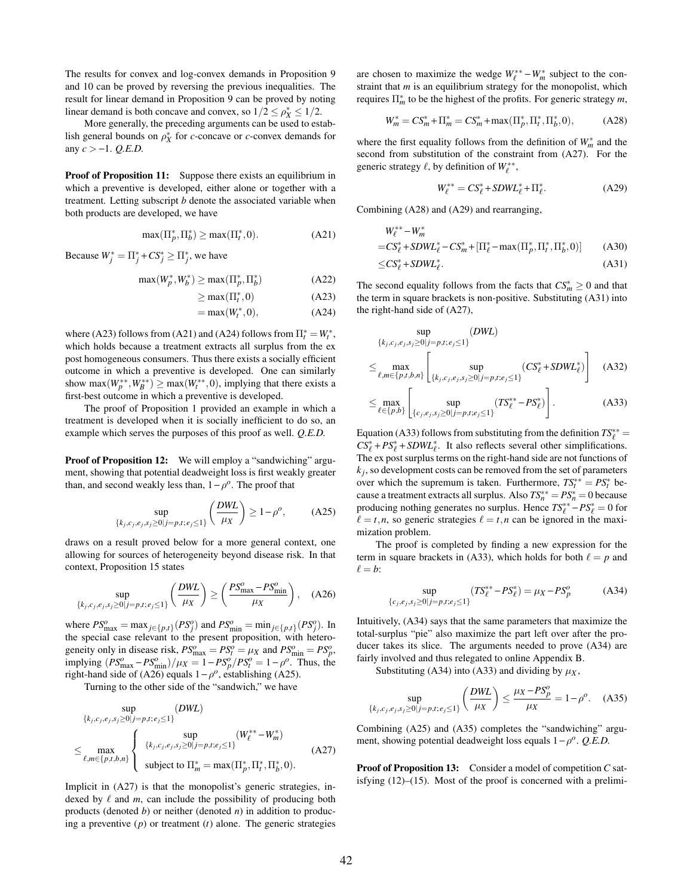The results for convex and log-convex demands in Proposition 9 and 10 can be proved by reversing the previous inequalities. The result for linear demand in Proposition 9 can be proved by noting linear demand is both concave and convex, so  $1/2 \le \rho_X^* \le 1/2$ .

More generally, the preceding arguments can be used to establish general bounds on  $\rho_X^*$  for *c*-concave or *c*-convex demands for any *c >* −1. *Q.E.D.*

**Proof of Proposition 11:** Suppose there exists an equilibrium in which a preventive is developed, either alone or together with a treatment. Letting subscript *b* denote the associated variable when both products are developed, we have

$$
\max(\Pi_p^*, \Pi_b^*) \ge \max(\Pi_t^*, 0). \tag{A21}
$$

Because  $W_j^* = \prod_j^* + CS_j^* \geq \prod_j^*$ , we have

$$
\max(W_p^*, W_b^*) \ge \max(\Pi_p^*, \Pi_b^*)\tag{A22}
$$

$$
\geq \max(\Pi_t^*, 0) \tag{A23}
$$

$$
= \max(W_t^*, 0), \qquad (A24)
$$

where (A23) follows from (A21) and (A24) follows from  $\Pi_t^* = W_t^*$ , which holds because a treatment extracts all surplus from the ex post homogeneous consumers. Thus there exists a socially efficient outcome in which a preventive is developed. One can similarly show  $\max(W_p^{**}, W_B^{**}) \ge \max(W_t^{**}, 0)$ , implying that there exists a first-best outcome in which a preventive is developed.

The proof of Proposition 1 provided an example in which a treatment is developed when it is socially inefficient to do so, an example which serves the purposes of this proof as well. *Q.E.D.*

Proof of Proposition 12: We will employ a "sandwiching" argument, showing that potential deadweight loss is first weakly greater than, and second weakly less than,  $1 - \rho^o$ . The proof that

$$
\sup_{\{k_j, c_j, e_j, s_j \ge 0 | j = p, t; e_j \le 1\}} \left(\frac{DWL}{\mu_X}\right) \ge 1 - \rho^o,\tag{A25}
$$

draws on a result proved below for a more general context, one allowing for sources of heterogeneity beyond disease risk. In that context, Proposition 15 states

$$
\sup_{\{k_j, c_j, e_j, s_j \ge 0 | j = p, t; e_j \le 1\}} \left(\frac{DWL}{\mu_X}\right) \ge \left(\frac{PS_{\text{max}}^o - PS_{\text{min}}^o}{\mu_X}\right), \quad \text{(A26)}
$$

where  $PS_{\text{max}}^o = \max_{j \in \{p,t\}} (PS_j^o)$  and  $PS_{\text{min}}^o = \min_{j \in \{p,t\}} (PS_j^o)$ . In the special case relevant to the present proposition, with heterogeneity only in disease risk,  $PS_{\text{max}}^o = PS_t^o = \mu_X$  and  $PS_{\text{min}}^o = PS_p^o$ ,  $\frac{1}{2}$  implying  $\left(\frac{PS_{\text{max}}^o - PS_{\text{min}}^o}{\mu_X}\right) / \mu_X = 1 - PS_{p}^o / PS_t^o = 1 - \rho^o$ . Thus, the right-hand side of (A26) equals  $1 - \rho^o$ , establishing (A25).

Turning to the other side of the "sandwich," we have

$$
\sup_{\{k_j, c_j, e_j, s_j \ge 0 | j = p, t; e_j \le 1\}} (DWL)
$$
\n
$$
\le \max_{\ell, m \in \{p, t, b, n\}} \left\{ \sup_{\{k_j, c_j, e_j, s_j \ge 0 | j = p, t; e_j \le 1\}} (W_{\ell}^{**} - W_m^*) \right\}
$$
\nsubject to  $\Pi_m^* = \max(\Pi_p^*, \Pi_t^*, \Pi_b^*, 0)$ . (A27)

Implicit in (A27) is that the monopolist's generic strategies, indexed by *ℓ* and *m*, can include the possibility of producing both products (denoted *b*) or neither (denoted *n*) in addition to producing a preventive (*p*) or treatment (*t*) alone. The generic strategies

are chosen to maximize the wedge  $W^{**}_{\ell} - W^*_{m}$  subject to the constraint that *m* is an equilibrium strategy for the monopolist, which requires  $\Pi_m^*$  to be the highest of the profits. For generic strategy *m*,

$$
W_m^* = CS_m^* + \Pi_m^* = CS_m^* + \max(\Pi_p^*, \Pi_t^*, \Pi_b^*, 0), \tag{A28}
$$

where the first equality follows from the definition of *W<sup>∗</sup> <sup>m</sup>* and the second from substitution of the constraint from (A27). For the generic strategy  $\ell$ , by definition of  $W_{\ell}^{**}$ ,

$$
W_{\ell}^{**} = CS_{\ell}^* + SDWL_{\ell}^* + \Pi_{\ell}^*.
$$
 (A29)

Combining (A28) and (A29) and rearranging,

$$
W_{\ell}^{**} - W_m^*
$$
  
= $CS_{\ell}^* + SDWL_{\ell}^* - CS_m^* + [\Pi_{\ell}^* - \max(\Pi_p^*, \Pi_t^*, \Pi_b^*, 0)]$  (A30)  
 $\leq CS_{\ell}^* + SDWL_{\ell}^*.$  (A31)

$$
\{CS^*_{\ell} + SDWL^*_{\ell}. \tag{A31}
$$

The second equality follows from the facts that  $CS_m^* \geq 0$  and that the term in square brackets is non-positive. Substituting (A31) into the right-hand side of (A27),

$$
\sup_{\{k_j, c_j, e_j, s_j \ge 0 | j = p, t; e_j \le 1\}} (DWL)
$$
\n
$$
\leq \max_{\ell, m \in \{p, t, b, n\}} \left[ \sup_{\{k_j, c_j, e_j, s_j \ge 0 | j = p, t; e_j \le 1\}} (CS_{\ell}^* + SDWL_{\ell}^*) \right] \quad (A32)
$$
\n
$$
\leq \max_{\ell \in \{p, b\}} \left[ \sup_{\{c_j, e_j, s_j \ge 0 | j = p, t; e_j \le 1\}} (TS_{\ell}^{**} - PS_{\ell}^*) \right]. \quad (A33)
$$

Equation (A33) follows from substituting from the definition  $TS_{\ell}^{**}$  =  $CS^*_{\ell}$  +  $PS^*_{\ell}$  +  $SDWL^*_{\ell}$ . It also reflects several other simplifications. The ex post surplus terms on the right-hand side are not functions of *k j* , so development costs can be removed from the set of parameters over which the supremum is taken. Furthermore,  $TS_t^{**} = PS_t^*$  because a treatment extracts all surplus. Also  $TS_n^{**} = PS_n^* = 0$  because producing nothing generates no surplus. Hence  $TS^{**}_{\ell} - PS^{*}_{\ell} = 0$  for  $l = t, n$ , so generic strategies  $l = t, n$  can be ignored in the maximization problem.

The proof is completed by finding a new expression for the term in square brackets in (A33), which holds for both  $\ell = p$  and  $\ell = b$ :

$$
\sup_{c_j, e_j, s_j \ge 0 | j = p, t; e_j \le 1} (TS_{\ell}^{**} - PS_{\ell}^*) = \mu_X - PS_p^o \tag{A34}
$$

Intuitively, (A34) says that the same parameters that maximize the total-surplus "pie" also maximize the part left over after the producer takes its slice. The arguments needed to prove (A34) are fairly involved and thus relegated to online Appendix B.

Substituting (A34) into (A33) and dividing by  $\mu_X$ ,

$$
\sup_{\{k_j, c_j, e_j, s_j \ge 0 | j = p, t, e_j \le 1\}} \left( \frac{DWL}{\mu_X} \right) \le \frac{\mu_X - PS_p^o}{\mu_X} = 1 - \rho^o. \tag{A35}
$$

Combining (A25) and (A35) completes the "sandwiching" argument, showing potential deadweight loss equals  $1 - \rho^o$ . *Q.E.D.* 

Proof of Proposition 13: Consider a model of competition *C* satisfying (12)–(15). Most of the proof is concerned with a prelimi-

*{c<sup>j</sup>*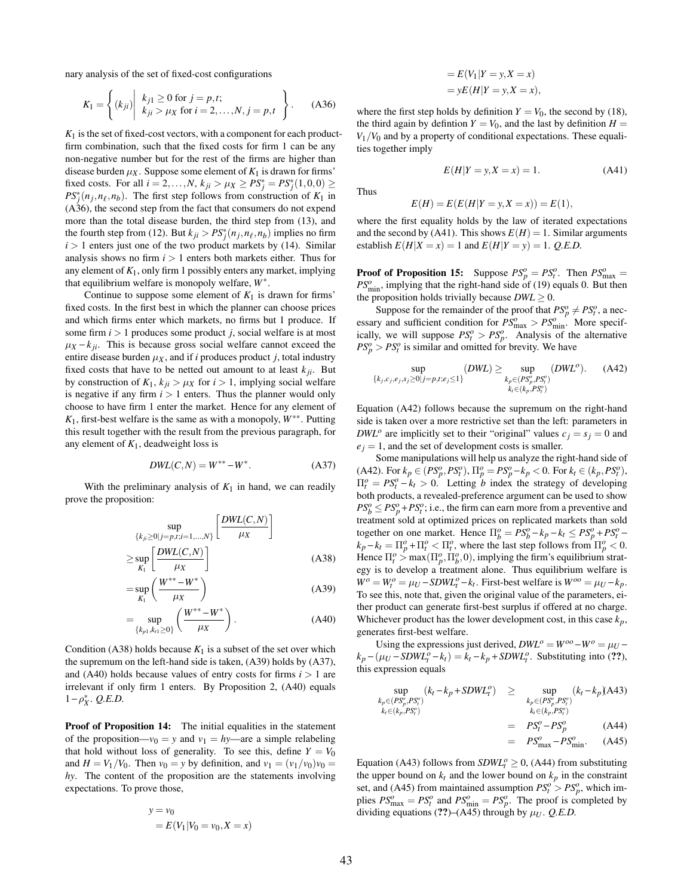nary analysis of the set of fixed-cost configurations

$$
K_1 = \left\{ (k_{ji}) \middle| \begin{array}{l} k_{j1} \ge 0 \text{ for } j = p, t; \\ k_{ji} > \mu_X \text{ for } i = 2, ..., N, j = p, t \end{array} \right\}.
$$
 (A36)

 $K_1$  is the set of fixed-cost vectors, with a component for each productfirm combination, such that the fixed costs for firm 1 can be any non-negative number but for the rest of the firms are higher than disease burden  $\mu_X$ . Suppose some element of  $K_1$  is drawn for firms' fixed costs. For all  $i = 2,...,N$ ,  $k_{ji} > \mu_X \ge PS_j^* = PS_j^*(1,0,0) \ge$  $PS_j^*(n_j, n_\ell, n_b)$ . The first step follows from construction of  $K_1$  in (A36), the second step from the fact that consumers do not expend more than the total disease burden, the third step from (13), and the fourth step from (12). But  $k_{ji} > PS_j^*(n_j, n_\ell, n_b)$  implies no firm  $i > 1$  enters just one of the two product markets by (14). Similar analysis shows no firm *i >* 1 enters both markets either. Thus for any element of *K*1, only firm 1 possibly enters any market, implying that equilibrium welfare is monopoly welfare, *W<sup>∗</sup>* .

Continue to suppose some element of  $K_1$  is drawn for firms' fixed costs. In the first best in which the planner can choose prices and which firms enter which markets, no firms but 1 produce. If some firm *i >* 1 produces some product *j*, social welfare is at most  $\mu_X - k_{ii}$ . This is because gross social welfare cannot exceed the entire disease burden  $\mu_X$ , and if *i* produces product *j*, total industry fixed costs that have to be netted out amount to at least  $k_{ii}$ . But by construction of  $K_1$ ,  $k_{ji} > \mu_X$  for  $i > 1$ , implying social welfare is negative if any firm *i >* 1 enters. Thus the planner would only choose to have firm 1 enter the market. Hence for any element of *K*1, first-best welfare is the same as with a monopoly, *W∗∗*. Putting this result together with the result from the previous paragraph, for any element of  $K_1$ , deadweight loss is

$$
DWL(C,N) = W^{**} - W^*.
$$
 (A37)

With the preliminary analysis of  $K_1$  in hand, we can readily prove the proposition:

$$
\sup_{\{k_{ji} \ge 0 | j = p, t; i = 1, \dots, N\}} \left[ \frac{DWL(C, N)}{\mu_X} \right]
$$
  
\n
$$
\ge \sup_{K_1} \left[ \frac{DWL(C, N)}{\mu_X} \right]
$$
 (A38)

$$
=\sup_{K_1}\left(\frac{W^{**}-W^*}{\mu_X}\right) \tag{A39}
$$

$$
= \sup_{\{k_{p1}, k_{t1} \ge 0\}} \left( \frac{W^{**} - W^*}{\mu_X} \right). \tag{A40}
$$

Condition (A38) holds because  $K_1$  is a subset of the set over which the supremum on the left-hand side is taken, (A39) holds by (A37), and (A40) holds because values of entry costs for firms  $i > 1$  are irrelevant if only firm 1 enters. By Proposition 2, (A40) equals  $1 - \rho_X^*$ . *Q.E.D.* 

Proof of Proposition 14: The initial equalities in the statement of the proposition— $v_0 = y$  and  $v_1 = hy$ —are a simple relabeling that hold without loss of generality. To see this, define  $Y = V_0$ and  $H = V_1/V_0$ . Then  $v_0 = y$  by definition, and  $v_1 = (v_1/v_0)v_0$ *hy*. The content of the proposition are the statements involving expectations. To prove those,

$$
y = v_0
$$
  
=  $E(V_1|V_0 = v_0, X = x)$ 

$$
= E(V1|Y = y, X = x)
$$
  

$$
= yE(H|Y = y, X = x),
$$

where the first step holds by definition  $Y = V_0$ , the second by (18), the third again by defintion  $Y = V_0$ , and the last by definition  $H =$  $V_1/V_0$  and by a property of conditional expectations. These equalities together imply

$$
E(H|Y = y, X = x) = 1.
$$
 (A41)

Thus

$$
E(H) = E(E(H|Y=y, X=x)) = E(1),
$$

where the first equality holds by the law of iterated expectations and the second by (A41). This shows  $E(H) = 1$ . Similar arguments establish  $E(H|X = x) = 1$  and  $E(H|Y = y) = 1$ . *Q.E.D.* 

**Proof of Proposition 15:** Suppose  $PS_p^o = PS_t^o$ . Then  $PS_{\text{max}}^o =$  $PS^o_{\text{min}}$ , implying that the right-hand side of (19) equals 0. But then the proposition holds trivially because  $DWL \geq 0$ .

Suppose for the remainder of the proof that  $PS_p^o \neq PS_t^o$ , a necessary and sufficient condition for  $PS_{\text{max}}^o > PS_{\text{min}}^o$ . More specifically, we will suppose  $PS_t^o > PS_p^o$ . Analysis of the alternative  $PS_p^o > PS_t^o$  is similar and omitted for brevity. We have

$$
\sup_{\{k_j, c_j, e_j, s_j \ge 0 | j = p, t; e_j \le 1\}} (DWL) \ge \sup_{\substack{k_p \in (PS_p^o, PS_l^o) \\ k_t \in (k_p, PS_l^o)}} (DWL^o). \tag{A42}
$$

Equation (A42) follows because the supremum on the right-hand side is taken over a more restrictive set than the left: parameters in *DWL<sup>o</sup>* are implicitly set to their "original" values  $c_j = s_j = 0$  and  $e_i = 1$ , and the set of development costs is smaller.

Some manipulations will help us analyze the right-hand side of (A42). For  $k_p \in (PS_p^o, PS_t^o)$ ,  $\Pi_p^o = PS_p^o - k_p < 0$ . For  $k_t \in (k_p, PS_t^o)$ ,  $\Pi_t^o = PS_t^o - k_t > 0$ . Letting *b* index the strategy of developing both products, a revealed-preference argument can be used to show  $PS_{b}^{o} \le PS_{p}^{o} + PS_{t}^{o}$ ; i.e., the firm can earn more from a preventive and treatment sold at optimized prices on replicated markets than sold together on one market. Hence  $\Pi_b^o = PS_b^o - k_p - k_t \leq PS_p^o + PS_t^o$  $k_p - k_t = \prod_p^o + \prod_t^o < \prod_t^o$ , where the last step follows from  $\prod_p^o < 0$ . Hence  $\Pi_t^o$  > max $(\Pi_p^o, \Pi_b^o, 0)$ , implying the firm's equilibrium strategy is to develop a treatment alone. Thus equilibrium welfare is  $W^o = W_t^o = \mu_U - SDWL_t^o - k_t$ . First-best welfare is  $W^{oo} = \mu_U - k_p$ . To see this, note that, given the original value of the parameters, either product can generate first-best surplus if offered at no charge. Whichever product has the lower development cost, in this case  $k_p$ , generates first-best welfare.

Using the expressions just derived,  $DWL^o = W^{oo} - W^o = \mu_U$  $k_p - (\mu_U - SDWL_f^o - k_t) = k_t - k_p + SDWL_f^o$ . Substituting into (??), this expression equals

$$
\sup_{k_p \in (PS_p^o, PS_t^o)} (k_t - k_p + SDWL_t^o) \geq \sup_{k_p \in (PS_p^o, PS_t^o)} (k_t - k_p) \text{A43)}
$$
\n
$$
\sup_{k_f \in (k_p, PS_t^o)} (k_t - k_p) \geq \sup_{k_f \in (R_p^o, PS_t^o)} (k_t - k_p) \geq \sup_{k_f \in (R_p, PS_t^o)} (k_t - k_p) \geq \sup_{k_f \in (R_p, PS_t^o)} (k_t - k_p) \geq \sup_{k_f \in (R_p, PS_t^o)} (k_t - k_p) \geq \sup_{k_f \in (R_p, PS_t^o)} (k_t - k_p) \geq \sup_{k_f \in (R_p, PS_t^o)} (k_t - k_p) \geq \sup_{k_f \in (R_p, PS_t^o)} (k_t - k_p) \geq \sup_{k_f \in (R_p, PS_t^o)} (k_t - k_p) \geq \sup_{k_f \in (R_p, PS_t^o)} (k_t - k_p) \geq \sup_{k_f \in (R_p, PS_t^o)} (k_t - k_p) \geq \sup_{k_f \in (R_p, PS_t^o)} (k_t - k_p) \geq \sup_{k_f \in (R_p, PS_t^o)} (k_t - k_p) \geq \sup_{k_f \in (R_p, PS_t^o)} (k_t - k_p) \geq \sup_{k_f \in (R_p, PS_t^o)} (k_t - k_p) \geq \sup_{k_f \in (R_p, PS_t^o)} (k_t - k_p) \geq \sup_{k_f \in (R_p, PS_t^o)} (k_t - k_p) \geq \sup_{k_f \in (R_p, PS_t^o)} (k_t - k_p) \geq \sup_{k_f \in (R_p, PS_t^o)} (k_t - k_p) \geq \sup_{k_f \in (R_p, PS_t^o)} (k_t - k_p) \geq \sup_{k_f \in (R_p, PS_t^o)} (k_t - k_p) \geq \sup_{k_f \in (R_p, PS_t^o)} (k_t - k_p) \geq \sup_{k_f \in (R_p, PS_t^o)} (k_t - k_p) \geq \sup_{k_f \in (R_p, PS_t^o)} (k_t - k_p) \geq \sup_{k_f \in (R_p, PS_t^o)} (k_t - k_p) \geq \sup_{k_f \in (R_p, PS_t^o)} (k_t - k_p) \geq \sup_{k_f \in (
$$

Equation (A43) follows from  $SDWL_t^o \geq 0$ , (A44) from substituting the upper bound on  $k_t$  and the lower bound on  $k_p$  in the constraint set, and (A45) from maintained assumption  $PS_t^o > PS_p^o$ , which implies  $PS_{\text{max}}^o = PS_t^o$  and  $PS_{\text{min}}^o = PS_p^o$ . The proof is completed by dividing equations (??)–(A45) through by  $\mu_U$ . *Q.E.D.*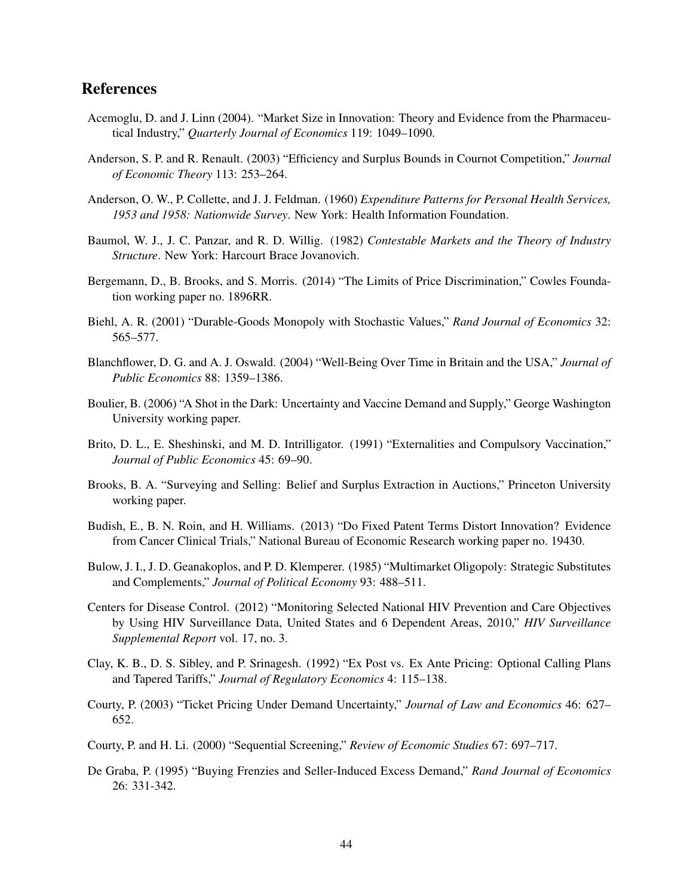# References

- Acemoglu, D. and J. Linn (2004). "Market Size in Innovation: Theory and Evidence from the Pharmaceutical Industry," *Quarterly Journal of Economics* 119: 1049–1090.
- Anderson, S. P. and R. Renault. (2003) "Efficiency and Surplus Bounds in Cournot Competition," *Journal of Economic Theory* 113: 253–264.
- Anderson, O. W., P. Collette, and J. J. Feldman. (1960) *Expenditure Patterns for Personal Health Services, 1953 and 1958: Nationwide Survey*. New York: Health Information Foundation.
- Baumol, W. J., J. C. Panzar, and R. D. Willig. (1982) *Contestable Markets and the Theory of Industry Structure*. New York: Harcourt Brace Jovanovich.
- Bergemann, D., B. Brooks, and S. Morris. (2014) "The Limits of Price Discrimination," Cowles Foundation working paper no. 1896RR.
- Biehl, A. R. (2001) "Durable-Goods Monopoly with Stochastic Values," *Rand Journal of Economics* 32: 565–577.
- Blanchflower, D. G. and A. J. Oswald. (2004) "Well-Being Over Time in Britain and the USA," *Journal of Public Economics* 88: 1359–1386.
- Boulier, B. (2006) "A Shot in the Dark: Uncertainty and Vaccine Demand and Supply," George Washington University working paper.
- Brito, D. L., E. Sheshinski, and M. D. Intrilligator. (1991) "Externalities and Compulsory Vaccination," *Journal of Public Economics* 45: 69–90.
- Brooks, B. A. "Surveying and Selling: Belief and Surplus Extraction in Auctions," Princeton University working paper.
- Budish, E., B. N. Roin, and H. Williams. (2013) "Do Fixed Patent Terms Distort Innovation? Evidence from Cancer Clinical Trials," National Bureau of Economic Research working paper no. 19430.
- Bulow, J. I., J. D. Geanakoplos, and P. D. Klemperer. (1985) "Multimarket Oligopoly: Strategic Substitutes and Complements," *Journal of Political Economy* 93: 488–511.
- Centers for Disease Control. (2012) "Monitoring Selected National HIV Prevention and Care Objectives by Using HIV Surveillance Data, United States and 6 Dependent Areas, 2010," *HIV Surveillance Supplemental Report* vol. 17, no. 3.
- Clay, K. B., D. S. Sibley, and P. Srinagesh. (1992) "Ex Post vs. Ex Ante Pricing: Optional Calling Plans and Tapered Tariffs," *Journal of Regulatory Economics* 4: 115–138.
- Courty, P. (2003) "Ticket Pricing Under Demand Uncertainty," *Journal of Law and Economics* 46: 627– 652.
- Courty, P. and H. Li. (2000) "Sequential Screening," *Review of Economic Studies* 67: 697–717.
- De Graba, P. (1995) "Buying Frenzies and Seller-Induced Excess Demand," *Rand Journal of Economics* 26: 331-342.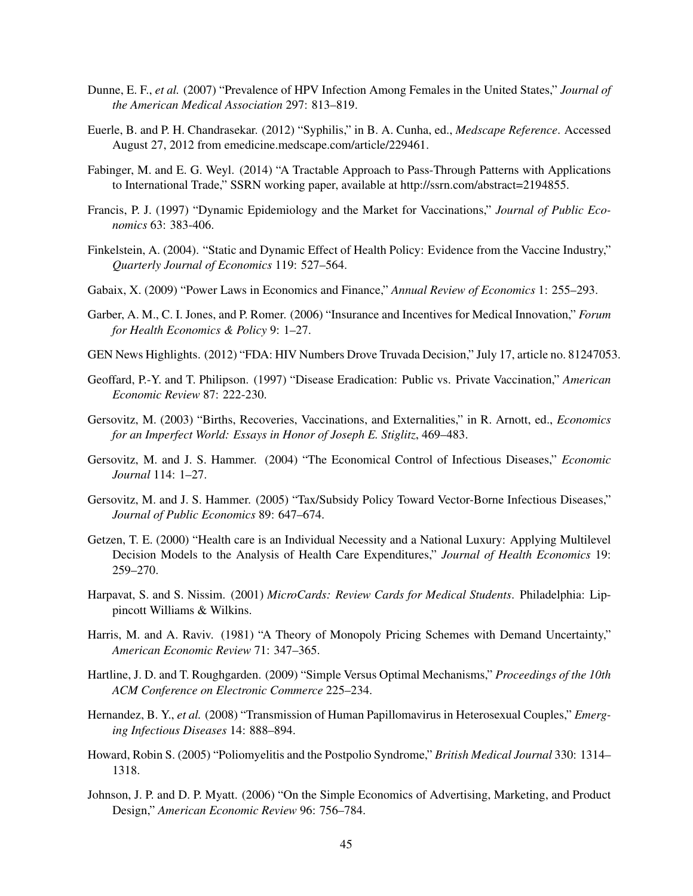- Dunne, E. F., *et al.* (2007) "Prevalence of HPV Infection Among Females in the United States," *Journal of the American Medical Association* 297: 813–819.
- Euerle, B. and P. H. Chandrasekar. (2012) "Syphilis," in B. A. Cunha, ed., *Medscape Reference*. Accessed August 27, 2012 from emedicine.medscape.com/article/229461.
- Fabinger, M. and E. G. Weyl. (2014) "A Tractable Approach to Pass-Through Patterns with Applications to International Trade," SSRN working paper, available at http://ssrn.com/abstract=2194855.
- Francis, P. J. (1997) "Dynamic Epidemiology and the Market for Vaccinations," *Journal of Public Economics* 63: 383-406.
- Finkelstein, A. (2004). "Static and Dynamic Effect of Health Policy: Evidence from the Vaccine Industry," *Quarterly Journal of Economics* 119: 527–564.
- Gabaix, X. (2009) "Power Laws in Economics and Finance," *Annual Review of Economics* 1: 255–293.
- Garber, A. M., C. I. Jones, and P. Romer. (2006) "Insurance and Incentives for Medical Innovation," *Forum for Health Economics & Policy* 9: 1–27.
- GEN News Highlights. (2012) "FDA: HIV Numbers Drove Truvada Decision," July 17, article no. 81247053.
- Geoffard, P.-Y. and T. Philipson. (1997) "Disease Eradication: Public vs. Private Vaccination," *American Economic Review* 87: 222-230.
- Gersovitz, M. (2003) "Births, Recoveries, Vaccinations, and Externalities," in R. Arnott, ed., *Economics for an Imperfect World: Essays in Honor of Joseph E. Stiglitz*, 469–483.
- Gersovitz, M. and J. S. Hammer. (2004) "The Economical Control of Infectious Diseases," *Economic Journal* 114: 1–27.
- Gersovitz, M. and J. S. Hammer. (2005) "Tax/Subsidy Policy Toward Vector-Borne Infectious Diseases," *Journal of Public Economics* 89: 647–674.
- Getzen, T. E. (2000) "Health care is an Individual Necessity and a National Luxury: Applying Multilevel Decision Models to the Analysis of Health Care Expenditures," *Journal of Health Economics* 19: 259–270.
- Harpavat, S. and S. Nissim. (2001) *MicroCards: Review Cards for Medical Students*. Philadelphia: Lippincott Williams & Wilkins.
- Harris, M. and A. Raviv. (1981) "A Theory of Monopoly Pricing Schemes with Demand Uncertainty," *American Economic Review* 71: 347–365.
- Hartline, J. D. and T. Roughgarden. (2009) "Simple Versus Optimal Mechanisms," *Proceedings of the 10th ACM Conference on Electronic Commerce* 225–234.
- Hernandez, B. Y., *et al.* (2008) "Transmission of Human Papillomavirus in Heterosexual Couples," *Emerging Infectious Diseases* 14: 888–894.
- Howard, Robin S. (2005) "Poliomyelitis and the Postpolio Syndrome," *British Medical Journal* 330: 1314– 1318.
- Johnson, J. P. and D. P. Myatt. (2006) "On the Simple Economics of Advertising, Marketing, and Product Design," *American Economic Review* 96: 756–784.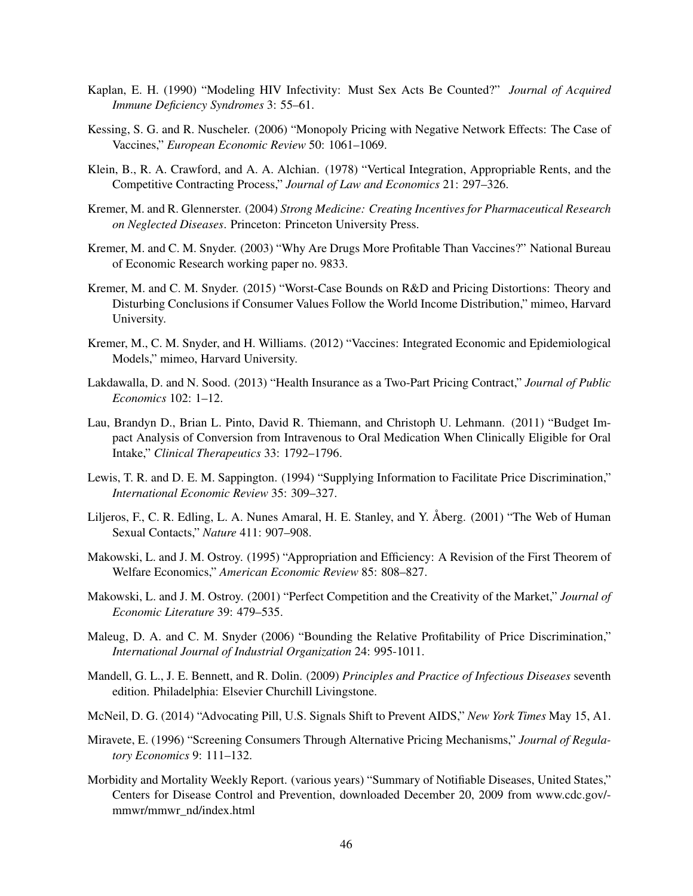- Kaplan, E. H. (1990) "Modeling HIV Infectivity: Must Sex Acts Be Counted?" *Journal of Acquired Immune Deficiency Syndromes* 3: 55–61.
- Kessing, S. G. and R. Nuscheler. (2006) "Monopoly Pricing with Negative Network Effects: The Case of Vaccines," *European Economic Review* 50: 1061–1069.
- Klein, B., R. A. Crawford, and A. A. Alchian. (1978) "Vertical Integration, Appropriable Rents, and the Competitive Contracting Process," *Journal of Law and Economics* 21: 297–326.
- Kremer, M. and R. Glennerster. (2004) *Strong Medicine: Creating Incentives for Pharmaceutical Research on Neglected Diseases*. Princeton: Princeton University Press.
- Kremer, M. and C. M. Snyder. (2003) "Why Are Drugs More Profitable Than Vaccines?" National Bureau of Economic Research working paper no. 9833.
- Kremer, M. and C. M. Snyder. (2015) "Worst-Case Bounds on R&D and Pricing Distortions: Theory and Disturbing Conclusions if Consumer Values Follow the World Income Distribution," mimeo, Harvard University.
- Kremer, M., C. M. Snyder, and H. Williams. (2012) "Vaccines: Integrated Economic and Epidemiological Models," mimeo, Harvard University.
- Lakdawalla, D. and N. Sood. (2013) "Health Insurance as a Two-Part Pricing Contract," *Journal of Public Economics* 102: 1–12.
- Lau, Brandyn D., Brian L. Pinto, David R. Thiemann, and Christoph U. Lehmann. (2011) "Budget Impact Analysis of Conversion from Intravenous to Oral Medication When Clinically Eligible for Oral Intake," *Clinical Therapeutics* 33: 1792–1796.
- Lewis, T. R. and D. E. M. Sappington. (1994) "Supplying Information to Facilitate Price Discrimination," *International Economic Review* 35: 309–327.
- Liljeros, F., C. R. Edling, L. A. Nunes Amaral, H. E. Stanley, and Y. Åberg. (2001) "The Web of Human Sexual Contacts," *Nature* 411: 907–908.
- Makowski, L. and J. M. Ostroy. (1995) "Appropriation and Efficiency: A Revision of the First Theorem of Welfare Economics," *American Economic Review* 85: 808–827.
- Makowski, L. and J. M. Ostroy. (2001) "Perfect Competition and the Creativity of the Market," *Journal of Economic Literature* 39: 479–535.
- Maleug, D. A. and C. M. Snyder (2006) "Bounding the Relative Profitability of Price Discrimination," *International Journal of Industrial Organization* 24: 995-1011.
- Mandell, G. L., J. E. Bennett, and R. Dolin. (2009) *Principles and Practice of Infectious Diseases* seventh edition. Philadelphia: Elsevier Churchill Livingstone.
- McNeil, D. G. (2014) "Advocating Pill, U.S. Signals Shift to Prevent AIDS," *New York Times* May 15, A1.
- Miravete, E. (1996) "Screening Consumers Through Alternative Pricing Mechanisms," *Journal of Regulatory Economics* 9: 111–132.
- Morbidity and Mortality Weekly Report. (various years) "Summary of Notifiable Diseases, United States," Centers for Disease Control and Prevention, downloaded December 20, 2009 from www.cdc.gov/ mmwr/mmwr\_nd/index.html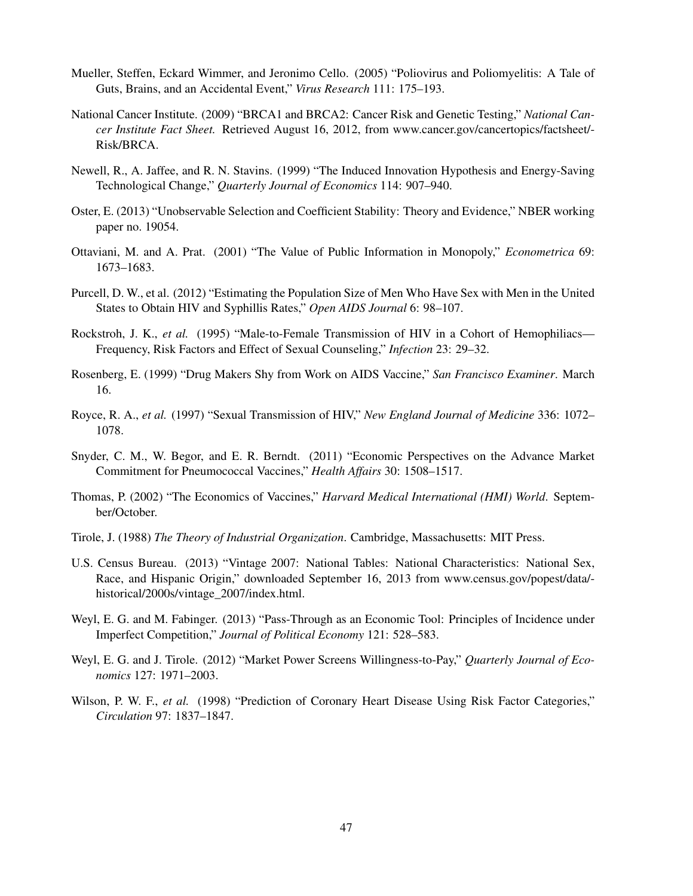- Mueller, Steffen, Eckard Wimmer, and Jeronimo Cello. (2005) "Poliovirus and Poliomyelitis: A Tale of Guts, Brains, and an Accidental Event," *Virus Research* 111: 175–193.
- National Cancer Institute. (2009) "BRCA1 and BRCA2: Cancer Risk and Genetic Testing," *National Cancer Institute Fact Sheet.* Retrieved August 16, 2012, from www.cancer.gov/cancertopics/factsheet/- Risk/BRCA.
- Newell, R., A. Jaffee, and R. N. Stavins. (1999) "The Induced Innovation Hypothesis and Energy-Saving Technological Change," *Quarterly Journal of Economics* 114: 907–940.
- Oster, E. (2013) "Unobservable Selection and Coefficient Stability: Theory and Evidence," NBER working paper no. 19054.
- Ottaviani, M. and A. Prat. (2001) "The Value of Public Information in Monopoly," *Econometrica* 69: 1673–1683.
- Purcell, D. W., et al. (2012) "Estimating the Population Size of Men Who Have Sex with Men in the United States to Obtain HIV and Syphillis Rates," *Open AIDS Journal* 6: 98–107.
- Rockstroh, J. K., *et al.* (1995) "Male-to-Female Transmission of HIV in a Cohort of Hemophiliacs— Frequency, Risk Factors and Effect of Sexual Counseling," *Infection* 23: 29–32.
- Rosenberg, E. (1999) "Drug Makers Shy from Work on AIDS Vaccine," *San Francisco Examiner*. March 16.
- Royce, R. A., *et al.* (1997) "Sexual Transmission of HIV," *New England Journal of Medicine* 336: 1072– 1078.
- Snyder, C. M., W. Begor, and E. R. Berndt. (2011) "Economic Perspectives on the Advance Market Commitment for Pneumococcal Vaccines," *Health Affairs* 30: 1508–1517.
- Thomas, P. (2002) "The Economics of Vaccines," *Harvard Medical International (HMI) World*. September/October.
- Tirole, J. (1988) *The Theory of Industrial Organization*. Cambridge, Massachusetts: MIT Press.
- U.S. Census Bureau. (2013) "Vintage 2007: National Tables: National Characteristics: National Sex, Race, and Hispanic Origin," downloaded September 16, 2013 from www.census.gov/popest/data/ historical/2000s/vintage\_2007/index.html.
- Weyl, E. G. and M. Fabinger. (2013) "Pass-Through as an Economic Tool: Principles of Incidence under Imperfect Competition," *Journal of Political Economy* 121: 528–583.
- Weyl, E. G. and J. Tirole. (2012) "Market Power Screens Willingness-to-Pay," *Quarterly Journal of Economics* 127: 1971–2003.
- Wilson, P. W. F., *et al.* (1998) "Prediction of Coronary Heart Disease Using Risk Factor Categories," *Circulation* 97: 1837–1847.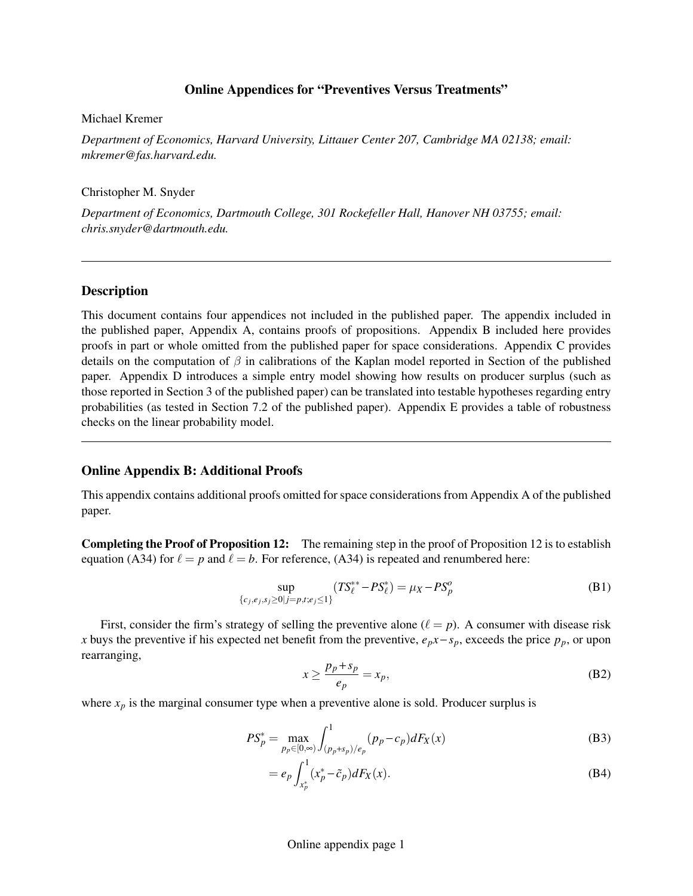## Online Appendices for "Preventives Versus Treatments"

#### Michael Kremer

*Department of Economics, Harvard University, Littauer Center 207, Cambridge MA 02138; email: mkremer@fas.harvard.edu.*

Christopher M. Snyder

*Department of Economics, Dartmouth College, 301 Rockefeller Hall, Hanover NH 03755; email: chris.snyder@dartmouth.edu.*

#### Description

This document contains four appendices not included in the published paper. The appendix included in the published paper, Appendix A, contains proofs of propositions. Appendix B included here provides proofs in part or whole omitted from the published paper for space considerations. Appendix C provides details on the computation of *β* in calibrations of the Kaplan model reported in Section of the published paper. Appendix D introduces a simple entry model showing how results on producer surplus (such as those reported in Section 3 of the published paper) can be translated into testable hypotheses regarding entry probabilities (as tested in Section 7.2 of the published paper). Appendix E provides a table of robustness checks on the linear probability model.

#### Online Appendix B: Additional Proofs

This appendix contains additional proofs omitted for space considerations from Appendix A of the published paper.

Completing the Proof of Proposition 12: The remaining step in the proof of Proposition 12 is to establish equation (A34) for  $\ell = p$  and  $\ell = b$ . For reference, (A34) is repeated and renumbered here:

$$
\sup_{\{c_j, e_j, s_j \ge 0 | j = p, t; e_j \le 1\}} (TS_{\ell}^{**} - PS_{\ell}^{*}) = \mu_X - PS_{p}^{o}
$$
\n(B1)

First, consider the firm's strategy of selling the preventive alone  $(\ell = p)$ . A consumer with disease risk *x* buys the preventive if his expected net benefit from the preventive,  $e_p x - s_p$ , exceeds the price  $p_p$ , or upon rearranging,

$$
x \ge \frac{p_p + s_p}{e_p} = x_p,\tag{B2}
$$

where  $x_p$  is the marginal consumer type when a preventive alone is sold. Producer surplus is

$$
PS_p^* = \max_{p_p \in [0,\infty)} \int_{(p_p + s_p)/e_p}^{1} (p_p - c_p) dF_X(x)
$$
 (B3)

$$
=e_p\int_{x_p^*}^1(x_p^*-\tilde{c}_p)dF_X(x).
$$
 (B4)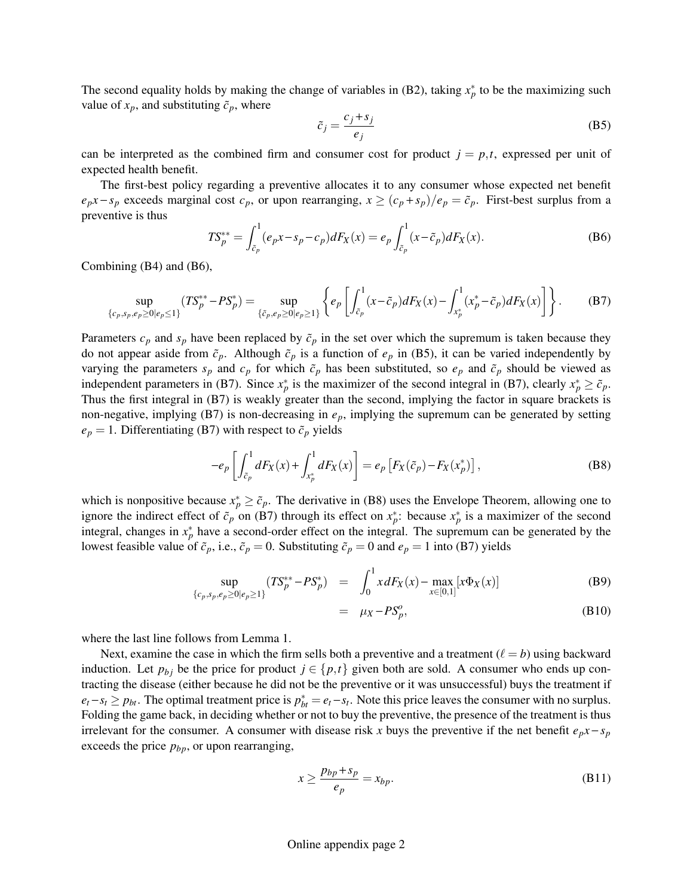The second equality holds by making the change of variables in  $(B2)$ , taking  $x_p^*$  to be the maximizing such value of  $x_p$ , and substituting  $\tilde{c}_p$ , where

$$
\tilde{c}_j = \frac{c_j + s_j}{e_j} \tag{B5}
$$

can be interpreted as the combined firm and consumer cost for product  $j = p, t$ , expressed per unit of expected health benefit.

The first-best policy regarding a preventive allocates it to any consumer whose expected net benefit  $e_p x - s_p$  exceeds marginal cost  $c_p$ , or upon rearranging,  $x \ge (c_p + s_p)/e_p = \tilde{c}_p$ . First-best surplus from a preventive is thus

$$
TS_p^{**} = \int_{\tilde{c}_p}^{1} (e_p x - s_p - c_p) dF_X(x) = e_p \int_{\tilde{c}_p}^{1} (x - \tilde{c}_p) dF_X(x).
$$
 (B6)

Combining (B4) and (B6),

$$
\sup_{\{c_p, s_p, e_p \ge 0 | e_p \le 1\}} (TS_p^{**} - PS_p^*) = \sup_{\{\tilde{c}_p, e_p \ge 0 | e_p \ge 1\}} \left\{ e_p \left[ \int_{\tilde{c}_p}^1 (x - \tilde{c}_p) dF_X(x) - \int_{x_p^*}^1 (x_p^* - \tilde{c}_p) dF_X(x) \right] \right\}.
$$
 (B7)

Parameters  $c_p$  and  $s_p$  have been replaced by  $\tilde{c}_p$  in the set over which the supremum is taken because they do not appear aside from  $\tilde{c}_p$ . Although  $\tilde{c}_p$  is a function of  $e_p$  in (B5), it can be varied independently by varying the parameters  $s_p$  and  $c_p$  for which  $\tilde{c}_p$  has been substituted, so  $e_p$  and  $\tilde{c}_p$  should be viewed as independent parameters in (B7). Since  $x_p^*$  is the maximizer of the second integral in (B7), clearly  $x_p^* \ge \tilde{c}_p$ . Thus the first integral in (B7) is weakly greater than the second, implying the factor in square brackets is non-negative, implying (B7) is non-decreasing in *ep*, implying the supremum can be generated by setting  $e_p = 1$ . Differentiating (B7) with respect to  $\tilde{c}_p$  yields

$$
-e_p \left[ \int_{\tilde{c}_p}^1 dF_X(x) + \int_{x_p^*}^1 dF_X(x) \right] = e_p \left[ F_X(\tilde{c}_p) - F_X(x_p^*) \right],
$$
 (B8)

which is nonpositive because  $x_p^* \geq \tilde{c}_p$ . The derivative in (B8) uses the Envelope Theorem, allowing one to ignore the indirect effect of  $\tilde{c}_p$  on (B7) through its effect on  $x_p^*$ : because  $x_p^*$  is a maximizer of the second integral, changes in  $x_p^*$  have a second-order effect on the integral. The supremum can be generated by the lowest feasible value of  $\tilde{c}_p$ , i.e.,  $\tilde{c}_p = 0$ . Substituting  $\tilde{c}_p = 0$  and  $e_p = 1$  into (B7) yields

$$
\sup_{\{c_p, s_p, e_p \ge 0 | e_p \ge 1\}} (TS_p^{**} - PS_p^*) = \int_0^1 x dF_X(x) - \max_{x \in [0,1]} [x \Phi_X(x)] \tag{B9}
$$

$$
= \mu_X - PS_p^o, \tag{B10}
$$

where the last line follows from Lemma 1.

Next, examine the case in which the firm sells both a preventive and a treatment  $(\ell = b)$  using backward induction. Let  $p_{b}$  be the price for product  $j \in \{p,t\}$  given both are sold. A consumer who ends up contracting the disease (either because he did not be the preventive or it was unsuccessful) buys the treatment if  $e_t - s_t \geq p_{bt}$ . The optimal treatment price is  $p_{bt}^* = e_t - s_t$ . Note this price leaves the consumer with no surplus. Folding the game back, in deciding whether or not to buy the preventive, the presence of the treatment is thus irrelevant for the consumer. A consumer with disease risk *x* buys the preventive if the net benefit  $e_p x - s_p$ exceeds the price  $p_{bp}$ , or upon rearranging,

$$
x \ge \frac{p_{bp} + s_p}{e_p} = x_{bp}.\tag{B11}
$$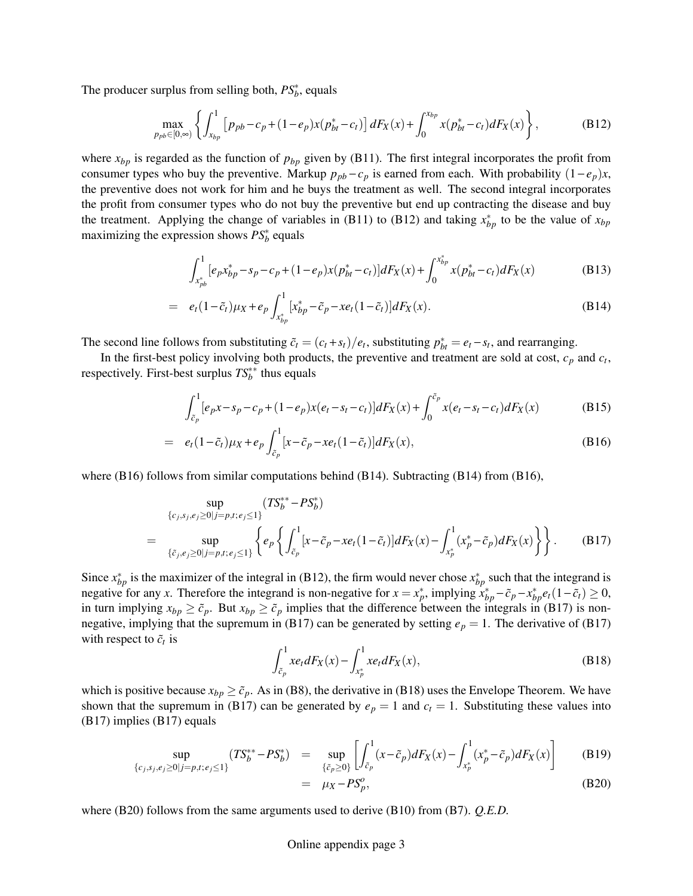The producer surplus from selling both,  $PS_b^*$ , equals

$$
\max_{p_{pb}\in[0,\infty)}\left\{\int_{x_{bp}}^1\left[p_{pb}-c_p+(1-e_p)x(p_{bt}^*-c_t)\right]dF_X(x)+\int_0^{x_{bp}}x(p_{bt}^*-c_t)dF_X(x)\right\},\tag{B12}
$$

where  $x_{bp}$  is regarded as the function of  $p_{bp}$  given by (B11). The first integral incorporates the profit from consumer types who buy the preventive. Markup  $p_{pb} - c_p$  is earned from each. With probability  $(1 - e_p)x$ , the preventive does not work for him and he buys the treatment as well. The second integral incorporates the profit from consumer types who do not buy the preventive but end up contracting the disease and buy the treatment. Applying the change of variables in (B11) to (B12) and taking  $x_{bp}^*$  to be the value of  $x_{bp}$ maximizing the expression shows  $PS_b^*$  equals

$$
\int_{x_{pb}^*}^{1} [e_p x_{bp}^* - s_p - c_p + (1 - e_p)x(p_{bt}^* - c_t)]dF_X(x) + \int_0^{x_{bp}^*} x(p_{bt}^* - c_t)dF_X(x)
$$
 (B13)

$$
= e_t(1-\tilde{c}_t)\mu_X + e_p \int_{x_{bp}^*}^1 [x_{bp}^* - \tilde{c}_p - xe_t(1-\tilde{c}_t)]dF_X(x).
$$
 (B14)

The second line follows from substituting  $\tilde{c}_t = (c_t + s_t)/e_t$ , substituting  $p_{bt}^* = e_t - s_t$ , and rearranging.

In the first-best policy involving both products, the preventive and treatment are sold at cost,  $c_p$  and  $c_t$ , respectively. First-best surplus *TS∗∗ b* thus equals

$$
\int_{\tilde{c}_p}^1 [e_p x - s_p - c_p + (1 - e_p) x (e_t - s_t - c_t)] dF_X(x) + \int_0^{\tilde{c}_p} x (e_t - s_t - c_t) dF_X(x)
$$
 (B15)

$$
= e_t(1-\tilde{c}_t)\mu_X + e_p \int_{\tilde{c}_p}^1 [x-\tilde{c}_p - xe_t(1-\tilde{c}_t)]dF_X(x), \tag{B16}
$$

where (B16) follows from similar computations behind (B14). Subtracting (B14) from (B16),

$$
\sup_{\{c_j, s_j, e_j \ge 0 | j = p, t; e_j \le 1\}} (TS_b^{**} - PS_b^*)
$$
\n
$$
= \sup_{\{\tilde{c}_j, e_j \ge 0 | j = p, t; e_j \le 1\}} \left\{ e_p \left\{ \int_{\tilde{c}_p}^1 [x - \tilde{c}_p - x e_t (1 - \tilde{c}_t)] dF_X(x) - \int_{x_p^*}^1 (x_p^* - \tilde{c}_p) dF_X(x) \right\} \right\}.
$$
\n(B17)

Since  $x_{bp}^*$  is the maximizer of the integral in (B12), the firm would never chose  $x_{bp}^*$  such that the integrand is negative for any x. Therefore the integrand is non-negative for  $x = x_p^*$ , implying  $x_{bp}^* - \tilde{c}_p - x_{bp}^* e_t (1 - \tilde{c}_t) \ge 0$ , in turn implying  $x_{bp} \geq \tilde{c}_p$ . But  $x_{bp} \geq \tilde{c}_p$  implies that the difference between the integrals in (B17) is nonnegative, implying that the supremum in (B17) can be generated by setting  $e_p = 1$ . The derivative of (B17) with respect to  $\tilde{c}_t$  is

$$
\int_{\tilde{c}_p}^1 x e_t dF_X(x) - \int_{x_p^*}^1 x e_t dF_X(x),
$$
\n(B18)

which is positive because  $x_{bp} \geq \tilde{c}_p$ . As in (B8), the derivative in (B18) uses the Envelope Theorem. We have shown that the supremum in (B17) can be generated by  $e_p = 1$  and  $c_t = 1$ . Substituting these values into (B17) implies (B17) equals

$$
\sup_{\{\tilde{c}_j, s_j, e_j \ge 0 | j = p, t; e_j \le 1\}} (TS_b^{**} - PS_b^*) = \sup_{\{\tilde{c}_p \ge 0\}} \left[ \int_{\tilde{c}_p}^1 (x - \tilde{c}_p) dF_X(x) - \int_{x_p^*}^1 (x_p^* - \tilde{c}_p) dF_X(x) \right]
$$
(B19)

$$
= \mu_X - PS_p^o, \tag{B20}
$$

where (B20) follows from the same arguments used to derive (B10) from (B7). *Q.E.D.*

#### Online appendix page 3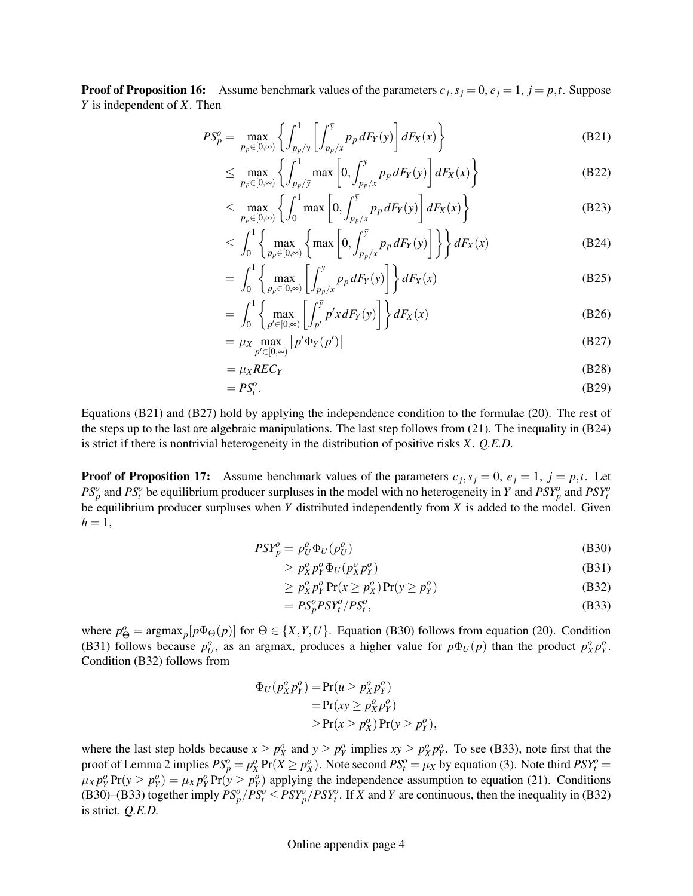**Proof of Proposition 16:** Assume benchmark values of the parameters  $c_j$ ,  $s_j = 0$ ,  $e_j = 1$ ,  $j = p$ , *t*. Suppose *Y* is independent of *X*. Then

$$
PS_p^o = \max_{p_p \in [0,\infty)} \left\{ \int_{p_p/\bar{y}}^1 \left[ \int_{p_p/x}^{\bar{y}} p_p dF_Y(y) \right] dF_X(x) \right\} \tag{B21}
$$

$$
\leq \max_{p_p \in [0,\infty)} \left\{ \int_{p_p/\bar{y}}^1 \max\left[0, \int_{p_p/x}^{\bar{y}} p_p dF_Y(y) \right] dF_X(x) \right\} \tag{B22}
$$

$$
\leq \max_{p_p \in [0,\infty)} \left\{ \int_0^1 \max\left[0, \int_{p_p/x}^{\bar{y}} p_p dF_Y(y) \right] dF_X(x) \right\} \tag{B23}
$$

$$
\leq \int_0^1 \left\{ \max_{p_p \in [0,\infty)} \left\{ \max \left[ 0, \int_{p_p/x}^{\bar{y}} p_p dF_Y(y) \right] \right\} \right\} dF_X(x) \tag{B24}
$$

$$
= \int_0^1 \left\{ \max_{p_p \in [0,\infty)} \left[ \int_{p_p/x}^{\bar{y}} p_p dF_Y(y) \right] \right\} dF_X(x) \tag{B25}
$$

$$
= \int_0^1 \left\{ \max_{p' \in [0,\infty)} \left[ \int_{p'}^{\bar{y}} p' x dF_Y(y) \right] \right\} dF_X(x) \tag{B26}
$$

$$
= \mu_X \max_{p' \in [0,\infty)} \left[ p' \Phi_Y(p') \right] \tag{B27}
$$

$$
=\mu_X REC_Y \tag{B28}
$$

$$
= PS_t^o. \tag{B29}
$$

Equations (B21) and (B27) hold by applying the independence condition to the formulae (20). The rest of the steps up to the last are algebraic manipulations. The last step follows from (21). The inequality in (B24) is strict if there is nontrivial heterogeneity in the distribution of positive risks *X*. *Q.E.D.*

**Proof of Proposition 17:** Assume benchmark values of the parameters  $c_j$ ,  $s_j = 0$ ,  $e_j = 1$ ,  $j = p$ , *t*. Let *PS*<sup>*o*</sup><sub>*p*</sub> and *PS*<sup>*c*</sup><sub>*p*</sub> and *PSY*<sup>*o*</sup><sub>*f*</sub> and *PSY*<sup>*o*</sup><sub>*f*</sub> and *PSY*<sup>*o*</sup><sub>*f*</sub> and *PSY*<sup>*o*</sup><sub>*f*</sub> and *PSY*<sup>*o*</sup><sub>*f*</sub> and *PSY*<sup>*o*</sup><sub>*f*</sub> and *PSY*<sup>*6*</sup><sub>*f*</sub> and *PSY*<sup>*6*</sup><sub>*f*</sub> and *PSY*<sup>*6*</sup><sub>*f*</sub> and *PS* be equilibrium producer surpluses when *Y* distributed independently from *X* is added to the model. Given  $h=1,$ 

$$
PSY_p^o = p_U^o \Phi_U(p_U^o) \tag{B30}
$$

$$
\geq p_X^o p_Y^o \Phi_U(p_X^o p_Y^o) \tag{B31}
$$

$$
\ge p_X^o p_Y^o \Pr(x \ge p_X^o) \Pr(y \ge p_Y^o) \tag{B32}
$$

$$
= PS_p^o PSY_t^o / PS_t^o,
$$
 (B33)

where  $p_{\Theta}^o = \text{argmax}_p[p\Phi_{\Theta}(p)]$  for  $\Theta \in \{X, Y, U\}$ . Equation (B30) follows from equation (20). Condition (B31) follows because  $p_U^o$ , as an argmax, produces a higher value for  $p_{U}(p)$  than the product  $p_X^o p_Y^o$ . Condition (B32) follows from

$$
\Phi_U(p_X^o p_Y^o) = \Pr(u \ge p_X^o p_Y^o) \n= \Pr(xy \ge p_X^o p_Y^o) \n\ge \Pr(x \ge p_X^o) \Pr(y \ge p_Y^o),
$$

where the last step holds because  $x \ge p_X^o$  and  $y \ge p_Y^o$  implies  $xy \ge p_X^o p_Y^o$ . To see (B33), note first that the proof of Lemma 2 implies  $PS_p^o = p_X^o \Pr(X \ge p_X^o)$ . Note second  $PS_t^o = \mu_X$  by equation (3). Note third  $PS_t^o =$  $\mu_X p_Y^o \Pr(y \ge p_Y^o) = \mu_X p_Y^o \Pr(y \ge p_Y^o)$  applying the independence assumption to equation (21). Conditions (B30)–(B33) together imply  $PS_p^o/PS_t^o \leq PSY_p^o/PSY_t^o$ . If X and Y are continuous, then the inequality in (B32) is strict. *Q.E.D.*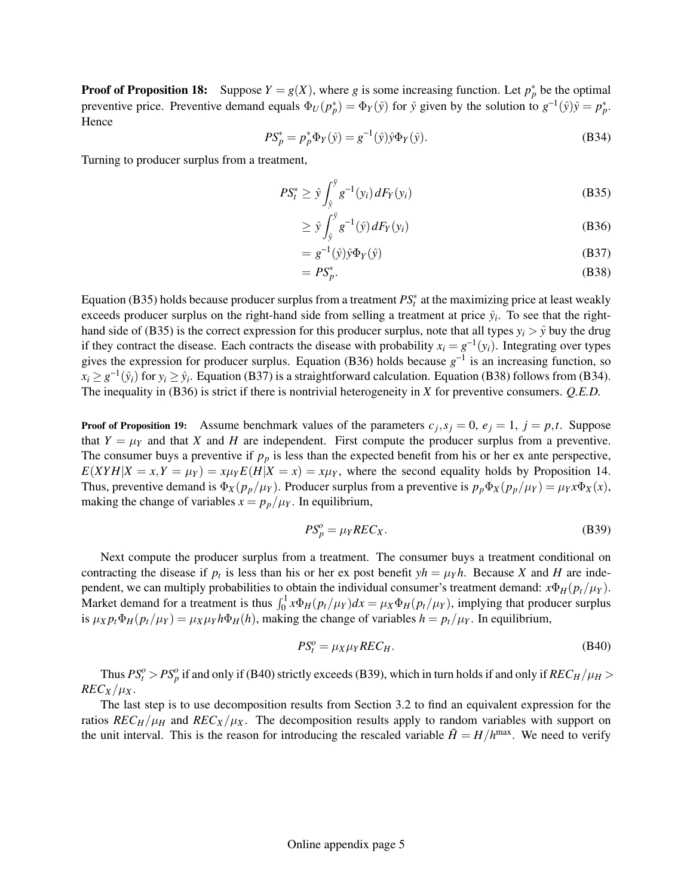**Proof of Proposition 18:** Suppose  $Y = g(X)$ , where *g* is some increasing function. Let  $p_p^*$  be the optimal preventive price. Preventive demand equals  $\Phi_U(p_p^*) = \Phi_Y(\hat{y})$  for  $\hat{y}$  given by the solution to  $g^{-1}(\hat{y})\hat{y} = p_p^*$ . Hence

$$
PS_p^* = p_p^* \Phi_Y(\hat{y}) = g^{-1}(\hat{y}) \hat{y} \Phi_Y(\hat{y}).
$$
\n(B34)

Turning to producer surplus from a treatment,

$$
PS_t^* \ge \hat{y} \int_{\hat{y}}^{\bar{y}} g^{-1}(y_i) dF_Y(y_i)
$$
 (B35)

$$
\geq \hat{y} \int_{\hat{y}}^{\bar{y}} g^{-1}(\hat{y}) dF_Y(y_i) \tag{B36}
$$

$$
=g^{-1}(\hat{y})\hat{y}\Phi_Y(\hat{y})
$$
 (B37)

$$
= PS_p^*.
$$
 (B38)

Equation (B35) holds because producer surplus from a treatment *PS<sup>∗</sup> t* at the maximizing price at least weakly exceeds producer surplus on the right-hand side from selling a treatment at price  $\hat{y}_i$ . To see that the righthand side of (B35) is the correct expression for this producer surplus, note that all types  $y_i > \hat{y}$  buy the drug if they contract the disease. Each contracts the disease with probability  $x_i = g^{-1}(y_i)$ . Integrating over types gives the expression for producer surplus. Equation (B36) holds because  $g^{-1}$  is an increasing function, so  $x_i \geq g^{-1}(\hat{y}_i)$  for  $y_i \geq \hat{y}_i$ . Equation (B37) is a straightforward calculation. Equation (B38) follows from (B34). The inequality in (B36) is strict if there is nontrivial heterogeneity in *X* for preventive consumers. *Q.E.D.*

**Proof of Proposition 19:** Assume benchmark values of the parameters  $c_j$ ,  $s_j = 0$ ,  $e_j = 1$ ,  $j = p$ , *t*. Suppose that  $Y = \mu_Y$  and that *X* and *H* are independent. First compute the producer surplus from a preventive. The consumer buys a preventive if  $p_p$  is less than the expected benefit from his or her ex ante perspective,  $E(XYH|X=x, Y=\mu_Y)=x\mu_Y E(H|X=x)=x\mu_Y$ , where the second equality holds by Proposition 14. Thus, preventive demand is  $\Phi_X(p_p/\mu_Y)$ . Producer surplus from a preventive is  $p_p \Phi_X(p_p/\mu_Y) = \mu_Y x \Phi_X(x)$ , making the change of variables  $x = p_p / \mu_Y$ . In equilibrium,

$$
PS_p^o = \mu_Y REC_X. \tag{B39}
$$

Next compute the producer surplus from a treatment. The consumer buys a treatment conditional on contracting the disease if  $p_t$  is less than his or her ex post benefit  $yh = \mu_Y h$ . Because *X* and *H* are independent, we can multiply probabilities to obtain the individual consumer's treatment demand:  $x\Phi_H(p_t/\mu_Y)$ . Market demand for a treatment is thus  $\int_0^1 x \Phi_H(p_t/\mu_Y) dx = \mu_X \Phi_H(p_t/\mu_Y)$ , implying that producer surplus is  $\mu_X p_t \Phi_H(p_t/\mu_Y) = \mu_X \mu_Y h \Phi_H(h)$ , making the change of variables  $h = p_t/\mu_Y$ . In equilibrium,

$$
PS_t^o = \mu_X \mu_Y REC_H. \tag{B40}
$$

Thus  $PS_t^o > PS_p^o$  if and only if (B40) strictly exceeds (B39), which in turn holds if and only if  $REC_H/\mu$ <sup>*H*</sup>  $>$  $REC_X/\mu_X$ .

The last step is to use decomposition results from Section 3.2 to find an equivalent expression for the ratios  $REC_H/\mu$ <sup>H</sup> and  $REC_X/\mu$ <sup>X</sup>. The decomposition results apply to random variables with support on the unit interval. This is the reason for introducing the rescaled variable  $\tilde{H} = H/h^{\text{max}}$ . We need to verify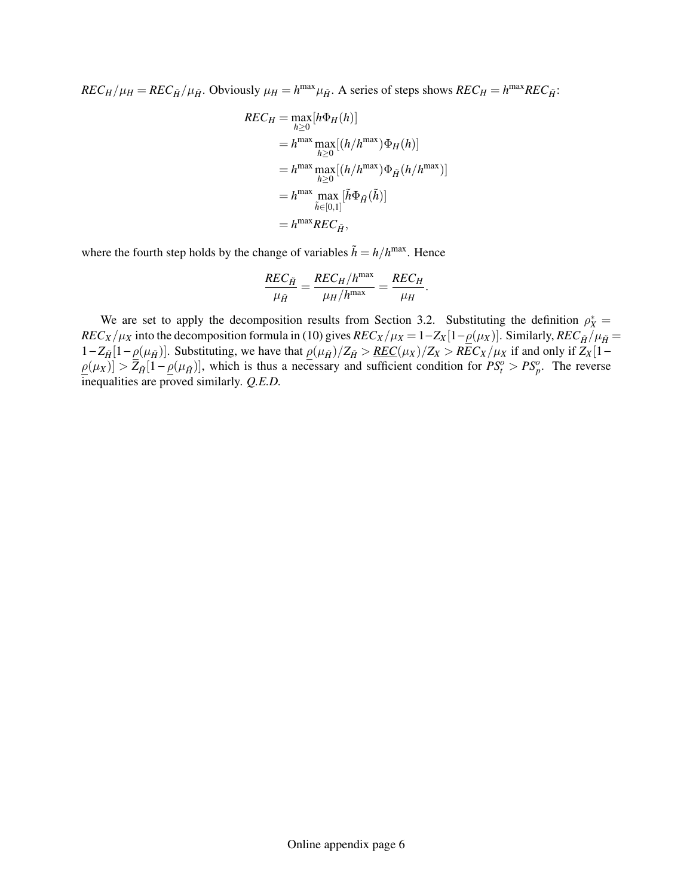$REC_H/\mu_H = REC_{\tilde{H}}/\mu_{\tilde{H}}$ . Obviously  $\mu_H = h^{\text{max}}\mu_{\tilde{H}}$ . A series of steps shows  $REC_H = h^{\text{max}}REC_{\tilde{H}}$ .

$$
REC_H = \max_{h \geq 0} [h\Phi_H(h)]
$$
  
=  $h^{\max} \max_{h \geq 0} [(h/h^{\max})\Phi_H(h)]$   
=  $h^{\max} \max_{h \geq 0} [(h/h^{\max})\Phi_{\tilde{H}}(h/h^{\max})]$   
=  $h^{\max} \max_{\tilde{h} \in [0,1]} [\tilde{h}\Phi_{\tilde{H}}(\tilde{h})]$   
=  $h^{\max}REC_{\tilde{H}},$ 

where the fourth step holds by the change of variables  $\tilde{h} = h/h^{\max}$ . Hence

$$
\frac{REC_{\tilde{H}}}{\mu_{\tilde{H}}} = \frac{REC_H/h^{\max}}{\mu_H/h^{\max}} = \frac{REC_H}{\mu_H}.
$$

We are set to apply the decomposition results from Section 3.2. Substituting the definition  $\rho_X^* =$ *REC<sub>X</sub>* / $\mu_X$  into the decomposition formula in (10) gives  $REC_X / \mu_X = 1 - Z_X [1 - \rho(\mu_X)]$ . Similarly,  $REC_H / \mu_H =$  $1 - Z_{\tilde{H}}[1 - \rho(\mu_{\tilde{H}})].$  Substituting, we have that  $\rho(\mu_{\tilde{H}})/Z_{\tilde{H}} > \underline{REC}(\mu_X)/Z_X > \overline{REC}_X/\mu_X$  if and only if  $Z_X[1 - \mu_X]$  $\rho(\mu_X)$   $> \overline{Z}_{\tilde{H}}[1-\rho(\mu_{\tilde{H}})]$ , which is thus a necessary and sufficient condition for  $PS_t^o > PS_p^o$ . The reverse inequalities are proved similarly. *Q.E.D.*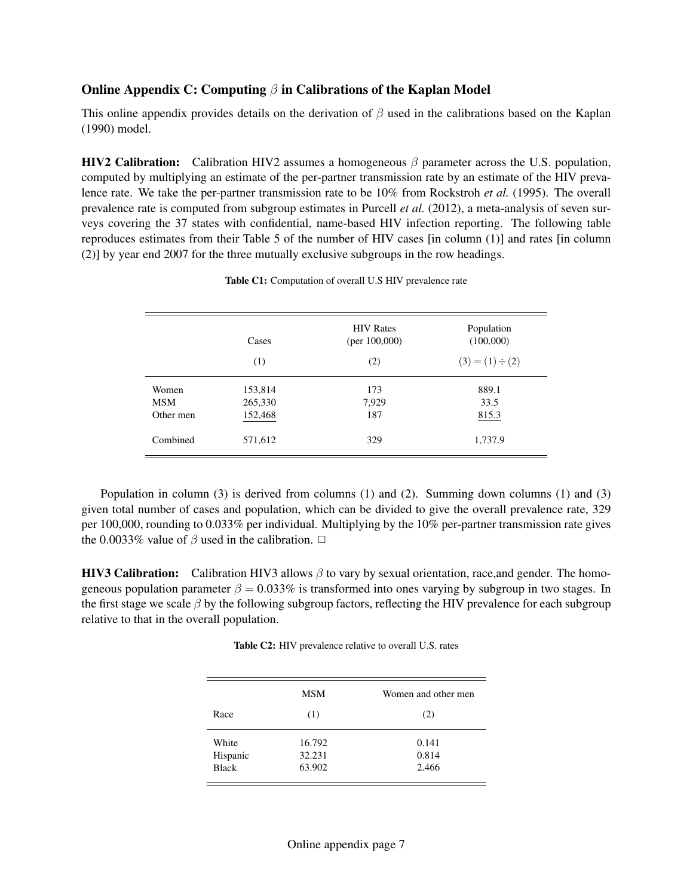# Online Appendix C: Computing *β* in Calibrations of the Kaplan Model

This online appendix provides details on the derivation of *β* used in the calibrations based on the Kaplan (1990) model.

HIV2 Calibration: Calibration HIV2 assumes a homogeneous *β* parameter across the U.S. population, computed by multiplying an estimate of the per-partner transmission rate by an estimate of the HIV prevalence rate. We take the per-partner transmission rate to be 10% from Rockstroh *et al.* (1995). The overall prevalence rate is computed from subgroup estimates in Purcell *et al.* (2012), a meta-analysis of seven surveys covering the 37 states with confidential, name-based HIV infection reporting. The following table reproduces estimates from their Table 5 of the number of HIV cases [in column (1)] and rates [in column (2)] by year end 2007 for the three mutually exclusive subgroups in the row headings.

|            | Cases   | <b>HIV</b> Rates<br>(per $100,000$ ) | Population<br>(100,000) |
|------------|---------|--------------------------------------|-------------------------|
|            | (1)     | (2)                                  | $(3) = (1) \div (2)$    |
| Women      | 153,814 | 173                                  | 889.1                   |
| <b>MSM</b> | 265,330 | 7,929                                | 33.5                    |
| Other men  | 152,468 | 187                                  | 815.3                   |
| Combined   | 571,612 | 329                                  | 1,737.9                 |

Table C1: Computation of overall U.S HIV prevalence rate

Population in column (3) is derived from columns (1) and (2). Summing down columns (1) and (3) given total number of cases and population, which can be divided to give the overall prevalence rate, 329 per 100,000, rounding to 0.033% per individual. Multiplying by the 10% per-partner transmission rate gives the 0.0033% value of  $\beta$  used in the calibration.  $\Box$ 

HIV3 Calibration: Calibration HIV3 allows *β* to vary by sexual orientation, race,and gender. The homogeneous population parameter  $\beta = 0.033\%$  is transformed into ones varying by subgroup in two stages. In the first stage we scale *β* by the following subgroup factors, reflecting the HIV prevalence for each subgroup relative to that in the overall population.

|              | <b>MSM</b> | Women and other men |
|--------------|------------|---------------------|
| Race         | (1)        | (2)                 |
| White        | 16.792     | 0.141               |
| Hispanic     | 32.231     | 0.814               |
| <b>Black</b> | 63.902     | 2.466               |

Table C2: HIV prevalence relative to overall U.S. rates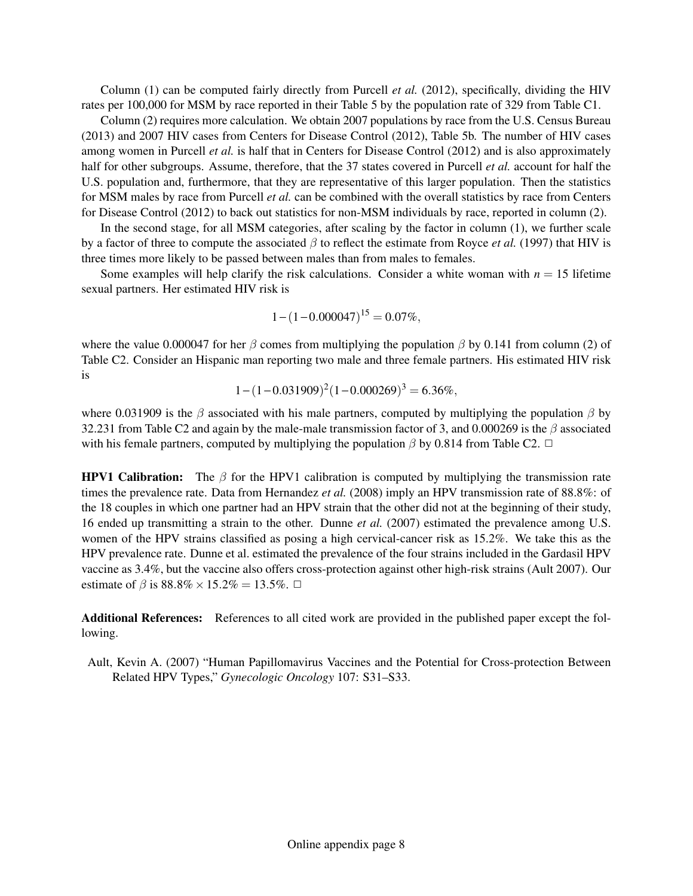Column (1) can be computed fairly directly from Purcell *et al.* (2012), specifically, dividing the HIV rates per 100,000 for MSM by race reported in their Table 5 by the population rate of 329 from Table C1.

Column (2) requires more calculation. We obtain 2007 populations by race from the U.S. Census Bureau (2013) and 2007 HIV cases from Centers for Disease Control (2012), Table 5b. The number of HIV cases among women in Purcell *et al.* is half that in Centers for Disease Control (2012) and is also approximately half for other subgroups. Assume, therefore, that the 37 states covered in Purcell *et al.* account for half the U.S. population and, furthermore, that they are representative of this larger population. Then the statistics for MSM males by race from Purcell *et al.* can be combined with the overall statistics by race from Centers for Disease Control (2012) to back out statistics for non-MSM individuals by race, reported in column (2).

In the second stage, for all MSM categories, after scaling by the factor in column (1), we further scale by a factor of three to compute the associated *β* to reflect the estimate from Royce *et al.* (1997) that HIV is three times more likely to be passed between males than from males to females.

Some examples will help clarify the risk calculations. Consider a white woman with  $n = 15$  lifetime sexual partners. Her estimated HIV risk is

$$
1 - (1 - 0.000047)^{15} = 0.07\%,
$$

where the value 0.000047 for her *β* comes from multiplying the population *β* by 0.141 from column (2) of Table C2. Consider an Hispanic man reporting two male and three female partners. His estimated HIV risk is

$$
1 - (1 - 0.031909)^{2} (1 - 0.000269)^{3} = 6.36\%,
$$

where 0.031909 is the *β* associated with his male partners, computed by multiplying the population *β* by 32.231 from Table C2 and again by the male-male transmission factor of 3, and 0.000269 is the *β* associated with his female partners, computed by multiplying the population  $\beta$  by 0.814 from Table C2.  $\Box$ 

**HPV1 Calibration:** The  $\beta$  for the HPV1 calibration is computed by multiplying the transmission rate times the prevalence rate. Data from Hernandez *et al.* (2008) imply an HPV transmission rate of 88.8%: of the 18 couples in which one partner had an HPV strain that the other did not at the beginning of their study, 16 ended up transmitting a strain to the other. Dunne *et al.* (2007) estimated the prevalence among U.S. women of the HPV strains classified as posing a high cervical-cancer risk as 15.2%. We take this as the HPV prevalence rate. Dunne et al. estimated the prevalence of the four strains included in the Gardasil HPV vaccine as 3.4%, but the vaccine also offers cross-protection against other high-risk strains (Ault 2007). Our estimate of  $\beta$  is 88.8%  $\times$  15.2% = 13.5%.  $\Box$ 

Additional References: References to all cited work are provided in the published paper except the following.

Ault, Kevin A. (2007) "Human Papillomavirus Vaccines and the Potential for Cross-protection Between Related HPV Types," *Gynecologic Oncology* 107: S31–S33.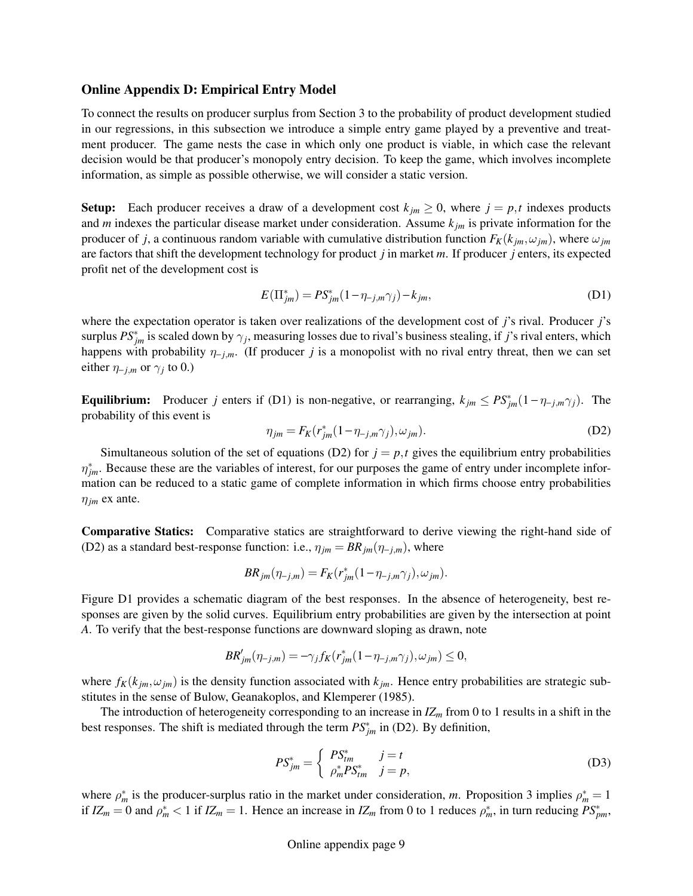#### Online Appendix D: Empirical Entry Model

To connect the results on producer surplus from Section 3 to the probability of product development studied in our regressions, in this subsection we introduce a simple entry game played by a preventive and treatment producer. The game nests the case in which only one product is viable, in which case the relevant decision would be that producer's monopoly entry decision. To keep the game, which involves incomplete information, as simple as possible otherwise, we will consider a static version.

Setup: Each producer receives a draw of a development cost  $k_{jm} \geq 0$ , where  $j = p, t$  indexes products and *m* indexes the particular disease market under consideration. Assume *kjm* is private information for the producer of *j*, a continuous random variable with cumulative distribution function  $F_K(k_{jm}, \omega_{jm})$ , where  $\omega_{jm}$ are factors that shift the development technology for product *j* in market *m*. If producer *j* enters, its expected profit net of the development cost is

$$
E(\Pi_{jm}^*) = PS_{jm}^*(1 - \eta_{-j,m}\gamma_j) - k_{jm},\tag{D1}
$$

where the expectation operator is taken over realizations of the development cost of *j*'s rival. Producer *j*'s surplus  $PS_{jm}^*$  is scaled down by  $\gamma_j$ , measuring losses due to rival's business stealing, if *j*'s rival enters, which happens with probability  $\eta_{-j,m}$ . (If producer *j* is a monopolist with no rival entry threat, then we can set either  $\eta_{-j,m}$  or  $\gamma_j$  to 0.)

**Equilibrium:** Producer *j* enters if (D1) is non-negative, or rearranging,  $k_{jm} \le PS^*_{jm}(1 - \eta_{-j,m}\gamma_j)$ . The probability of this event is

$$
\eta_{jm} = F_K(r_{jm}^*(1 - \eta_{-j,m}\gamma_j), \omega_{jm}).
$$
\n(D2)

Simultaneous solution of the set of equations (D2) for  $j = p$ , *t* gives the equilibrium entry probabilities  $\eta_{jm}^*$ . Because these are the variables of interest, for our purposes the game of entry under incomplete information can be reduced to a static game of complete information in which firms choose entry probabilities *ηjm* ex ante.

Comparative Statics: Comparative statics are straightforward to derive viewing the right-hand side of (D2) as a standard best-response function: i.e.,  $\eta_{jm} = BR_{jm}(\eta_{-j,m})$ , where

$$
BR_{jm}(\eta_{-j,m}) = F_K(r^*_{jm}(1-\eta_{-j,m}\gamma_j),\omega_{jm}).
$$

Figure D1 provides a schematic diagram of the best responses. In the absence of heterogeneity, best responses are given by the solid curves. Equilibrium entry probabilities are given by the intersection at point *A*. To verify that the best-response functions are downward sloping as drawn, note

$$
BR'_{jm}(\eta_{-j,m}) = -\gamma_j f_K(r^*_{jm}(1-\eta_{-j,m}\gamma_j), \omega_{jm}) \leq 0,
$$

where  $f_K(k_{im}, \omega_{im})$  is the density function associated with  $k_{im}$ . Hence entry probabilities are strategic substitutes in the sense of Bulow, Geanakoplos, and Klemperer (1985).

The introduction of heterogeneity corresponding to an increase in *IZ<sup>m</sup>* from 0 to 1 results in a shift in the best responses. The shift is mediated through the term *PS<sup>∗</sup> jm* in (D2). By definition,

$$
PS_{jm}^* = \begin{cases} PS_{tm}^* & j = t \\ \rho_m^* PS_{tm}^* & j = p, \end{cases}
$$
 (D3)

where  $\rho_m^*$  is the producer-surplus ratio in the market under consideration, *m*. Proposition 3 implies  $\rho_m^* = 1$ if  $IZ_m = 0$  and  $\rho_m^* < 1$  if  $IZ_m = 1$ . Hence an increase in  $IZ_m$  from 0 to 1 reduces  $\rho_m^*$ , in turn reducing  $PS_{pm}^*$ ,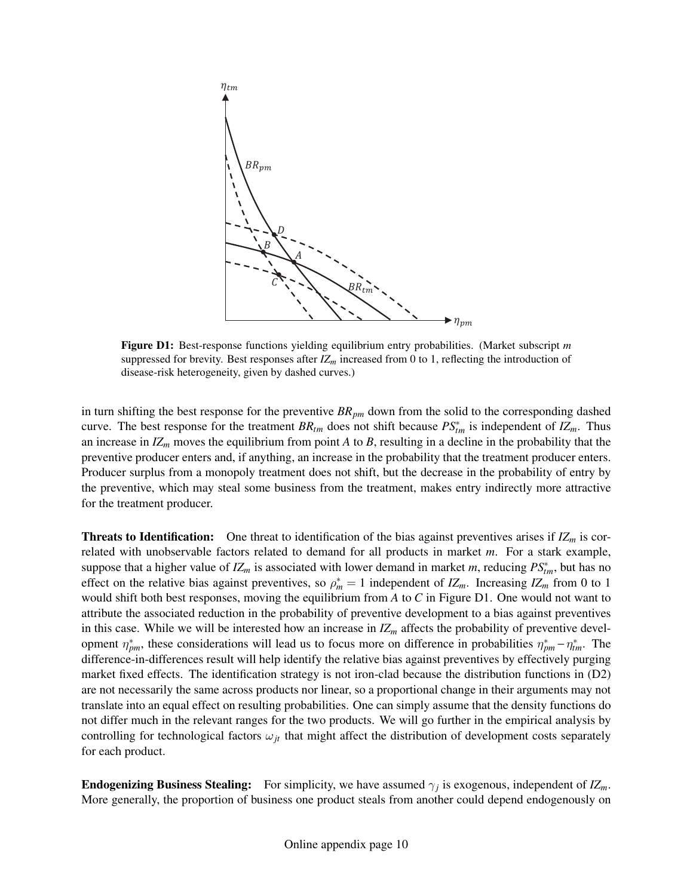

Figure D1: Best-response functions yielding equilibrium entry probabilities. (Market subscript *m* suppressed for brevity. Best responses after *IZ<sup>m</sup>* increased from 0 to 1, reflecting the introduction of disease-risk heterogeneity, given by dashed curves.)

in turn shifting the best response for the preventive *BRpm* down from the solid to the corresponding dashed curve. The best response for the treatment  $BR_{tm}$  does not shift because  $PS_{tm}^*$  is independent of  $IZ_m$ . Thus an increase in  $IZ_m$  moves the equilibrium from point *A* to *B*, resulting in a decline in the probability that the preventive producer enters and, if anything, an increase in the probability that the treatment producer enters. Producer surplus from a monopoly treatment does not shift, but the decrease in the probability of entry by the preventive, which may steal some business from the treatment, makes entry indirectly more attractive for the treatment producer.

**Threats to Identification:** One threat to identification of the bias against preventives arises if  $IZ<sub>m</sub>$  is correlated with unobservable factors related to demand for all products in market *m*. For a stark example, suppose that a higher value of  $IZ_m$  is associated with lower demand in market *m*, reducing  $PS_{tm}^*$ , but has no effect on the relative bias against preventives, so  $\rho_m^* = 1$  independent of  $IZ_m$ . Increasing  $IZ_m$  from 0 to 1 would shift both best responses, moving the equilibrium from *A* to *C* in Figure D1. One would not want to attribute the associated reduction in the probability of preventive development to a bias against preventives in this case. While we will be interested how an increase in *IZ<sup>m</sup>* affects the probability of preventive development  $\eta_{pm}^*$ , these considerations will lead us to focus more on difference in probabilities  $\eta_{pm}^* - \eta_{tm}^*$ . The difference-in-differences result will help identify the relative bias against preventives by effectively purging market fixed effects. The identification strategy is not iron-clad because the distribution functions in (D2) are not necessarily the same across products nor linear, so a proportional change in their arguments may not translate into an equal effect on resulting probabilities. One can simply assume that the density functions do not differ much in the relevant ranges for the two products. We will go further in the empirical analysis by controlling for technological factors  $\omega_{it}$  that might affect the distribution of development costs separately for each product.

**Endogenizing Business Stealing:** For simplicity, we have assumed  $\gamma_j$  is exogenous, independent of  $IZ_m$ . More generally, the proportion of business one product steals from another could depend endogenously on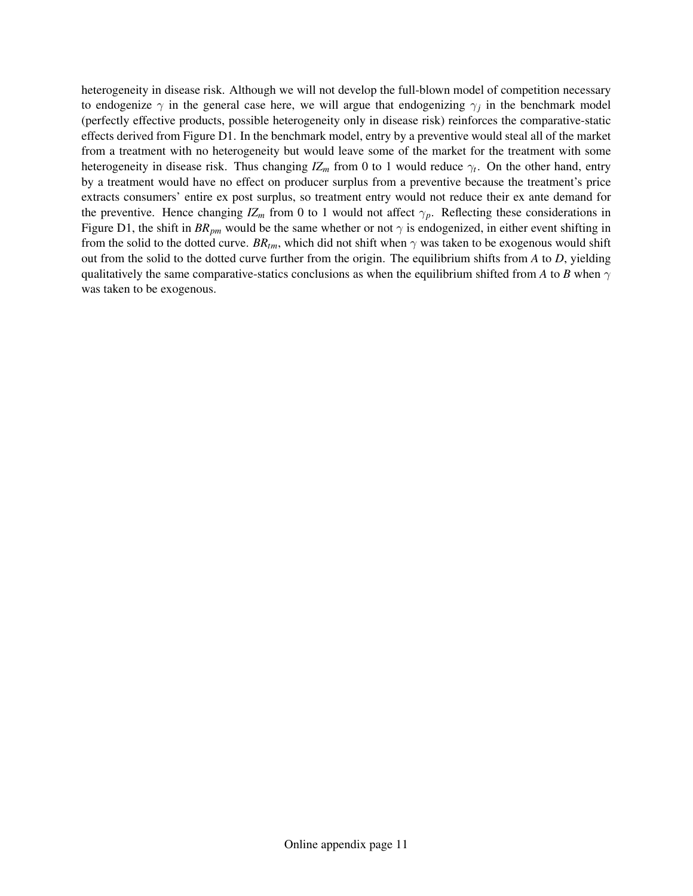heterogeneity in disease risk. Although we will not develop the full-blown model of competition necessary to endogenize  $\gamma$  in the general case here, we will argue that endogenizing  $\gamma_j$  in the benchmark model (perfectly effective products, possible heterogeneity only in disease risk) reinforces the comparative-static effects derived from Figure D1. In the benchmark model, entry by a preventive would steal all of the market from a treatment with no heterogeneity but would leave some of the market for the treatment with some heterogeneity in disease risk. Thus changing *IZ<sup>m</sup>* from 0 to 1 would reduce *γ<sup>t</sup>* . On the other hand, entry by a treatment would have no effect on producer surplus from a preventive because the treatment's price extracts consumers' entire ex post surplus, so treatment entry would not reduce their ex ante demand for the preventive. Hence changing  $IZ_m$  from 0 to 1 would not affect  $\gamma_p$ . Reflecting these considerations in Figure D1, the shift in  $BR_{pm}$  would be the same whether or not  $\gamma$  is endogenized, in either event shifting in from the solid to the dotted curve.  $BR_{tm}$ , which did not shift when  $\gamma$  was taken to be exogenous would shift out from the solid to the dotted curve further from the origin. The equilibrium shifts from *A* to *D*, yielding qualitatively the same comparative-statics conclusions as when the equilibrium shifted from *A* to *B* when  $\gamma$ was taken to be exogenous.